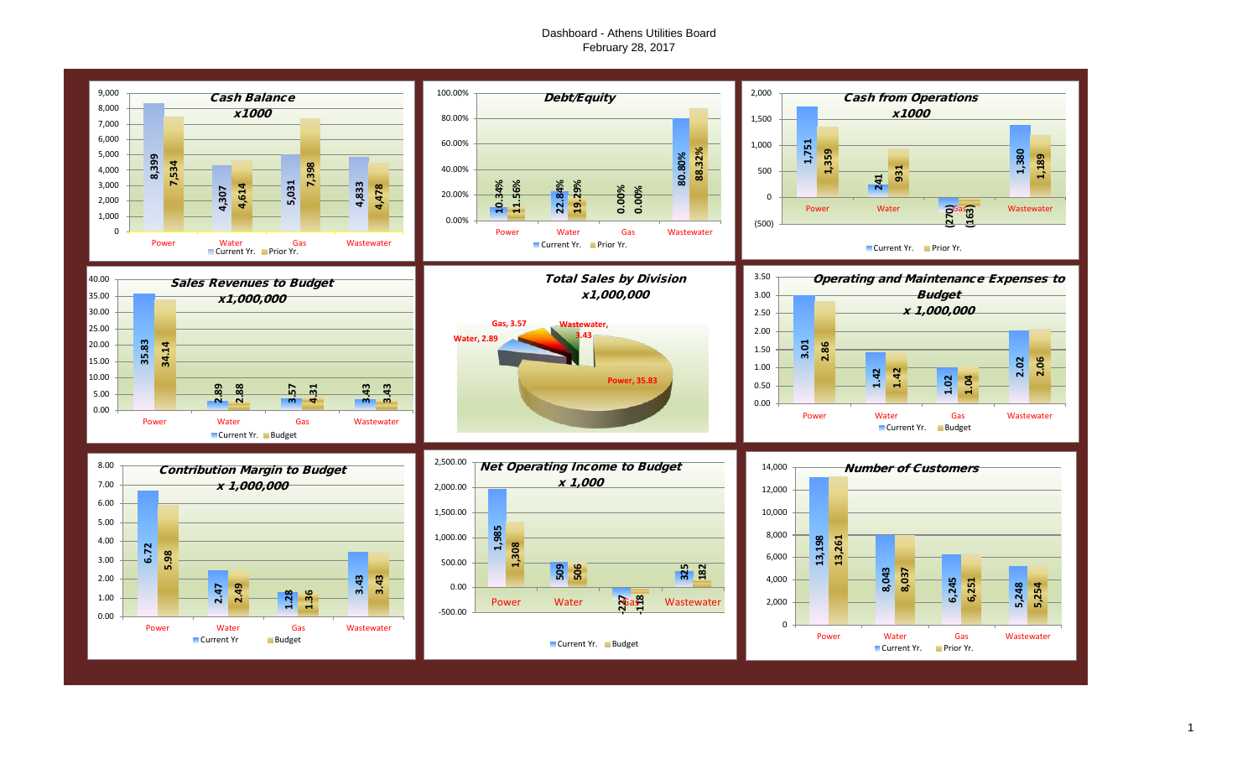# Dashboard - Athens Utilities Board February 28, 2017

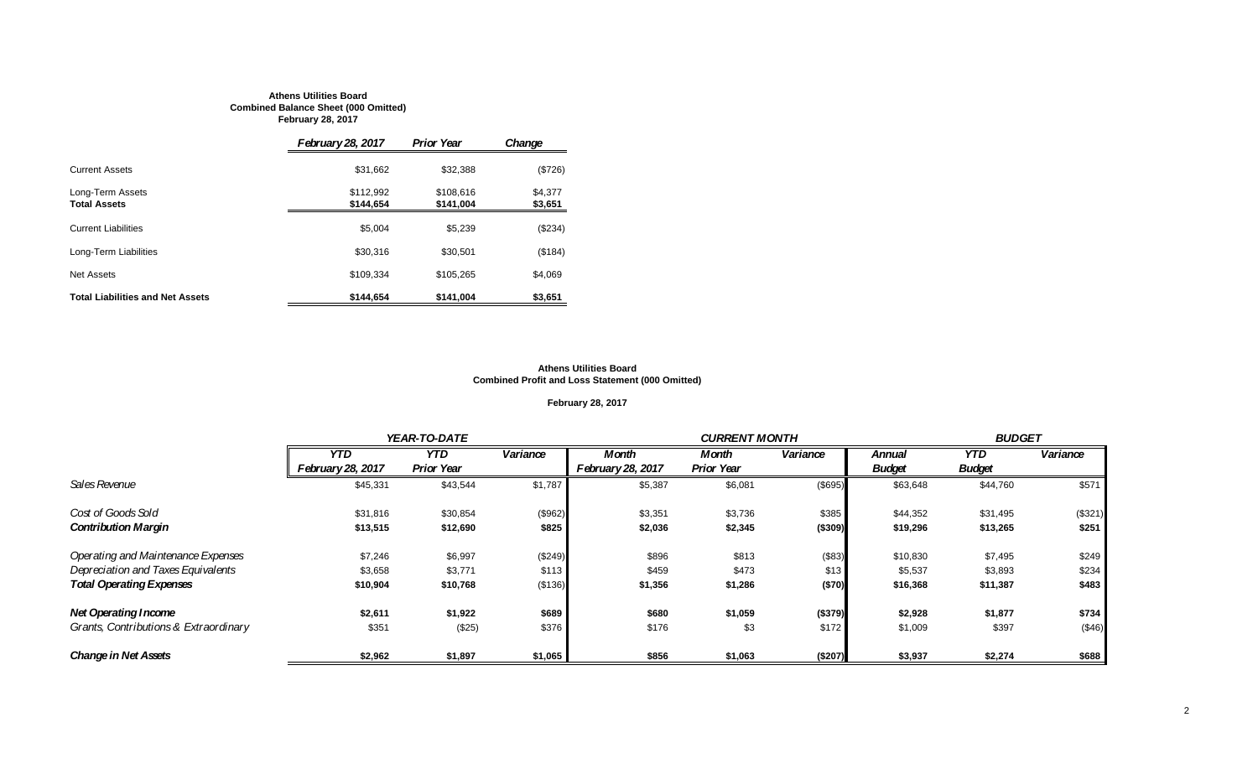#### **Athens Utilities Board Combined Balance Sheet (000 Omitted) February 28, 2017**

|                                         | <b>February 28, 2017</b> | <b>Prior Year</b>      | Change             |
|-----------------------------------------|--------------------------|------------------------|--------------------|
| <b>Current Assets</b>                   | \$31,662                 | \$32,388               | (\$726)            |
| Long-Term Assets<br><b>Total Assets</b> | \$112,992<br>\$144.654   | \$108.616<br>\$141,004 | \$4.377<br>\$3,651 |
| <b>Current Liabilities</b>              | \$5.004                  | \$5,239                | (\$234)            |
| Long-Term Liabilities                   | \$30,316                 | \$30,501               | (\$184)            |
| <b>Net Assets</b>                       | \$109.334                | \$105.265              | \$4,069            |
| <b>Total Liabilities and Net Assets</b> | \$144,654                | \$141,004              | \$3,651            |

#### **Athens Utilities Board Combined Profit and Loss Statement (000 Omitted)**

# **February 28, 2017**

|                                       |                   | YEAR-TO-DATE      |          |                          |                   | <b>CURRENT MONTH</b> |               |               |          |
|---------------------------------------|-------------------|-------------------|----------|--------------------------|-------------------|----------------------|---------------|---------------|----------|
|                                       | <b>YTD</b>        | <b>YTD</b>        | Variance | <b>Month</b>             | Month             | Variance             | <b>Annual</b> | YTD.          | Variance |
|                                       | February 28, 2017 | <b>Prior Year</b> |          | <b>February 28, 2017</b> | <b>Prior Year</b> |                      | <b>Budget</b> | <b>Budget</b> |          |
| Sales Revenue                         | \$45,331          | \$43,544          | \$1,787  | \$5,387                  | \$6,081           | (\$695)              | \$63,648      | \$44,760      | \$571    |
| Cost of Goods Sold                    | \$31,816          | \$30,854          | (\$962)  | \$3,351                  | \$3,736           | \$385                | \$44,352      | \$31,495      | (\$321)  |
| <b>Contribution Margin</b>            | \$13,515          | \$12,690          | \$825    | \$2,036                  | \$2,345           | ( \$309)             | \$19,296      | \$13,265      | \$251    |
| Operating and Maintenance Expenses    | \$7,246           | \$6,997           | (\$249)  | \$896                    | \$813             | (\$83)               | \$10,830      | \$7,495       | \$249    |
| Depreciation and Taxes Equivalents    | \$3,658           | \$3,771           | \$113    | \$459                    | \$473             | \$13                 | \$5,537       | \$3,893       | \$234    |
| <b>Total Operating Expenses</b>       | \$10,904          | \$10,768          | (\$136)  | \$1,356                  | \$1,286           | ( \$70)              | \$16,368      | \$11,387      | \$483    |
| <b>Net Operating Income</b>           | \$2,611           | \$1,922           | \$689    | \$680                    | \$1,059           | (\$379)              | \$2,928       | \$1,877       | \$734    |
| Grants, Contributions & Extraordinary | \$351             | (\$25)            | \$376    | \$176                    | \$3               | \$172                | \$1,009       | \$397         | (\$46)   |
| <b>Change in Net Assets</b>           | \$2,962           | \$1,897           | \$1,065  | \$856                    | \$1,063           | (\$207)              | \$3,937       | \$2,274       | \$688    |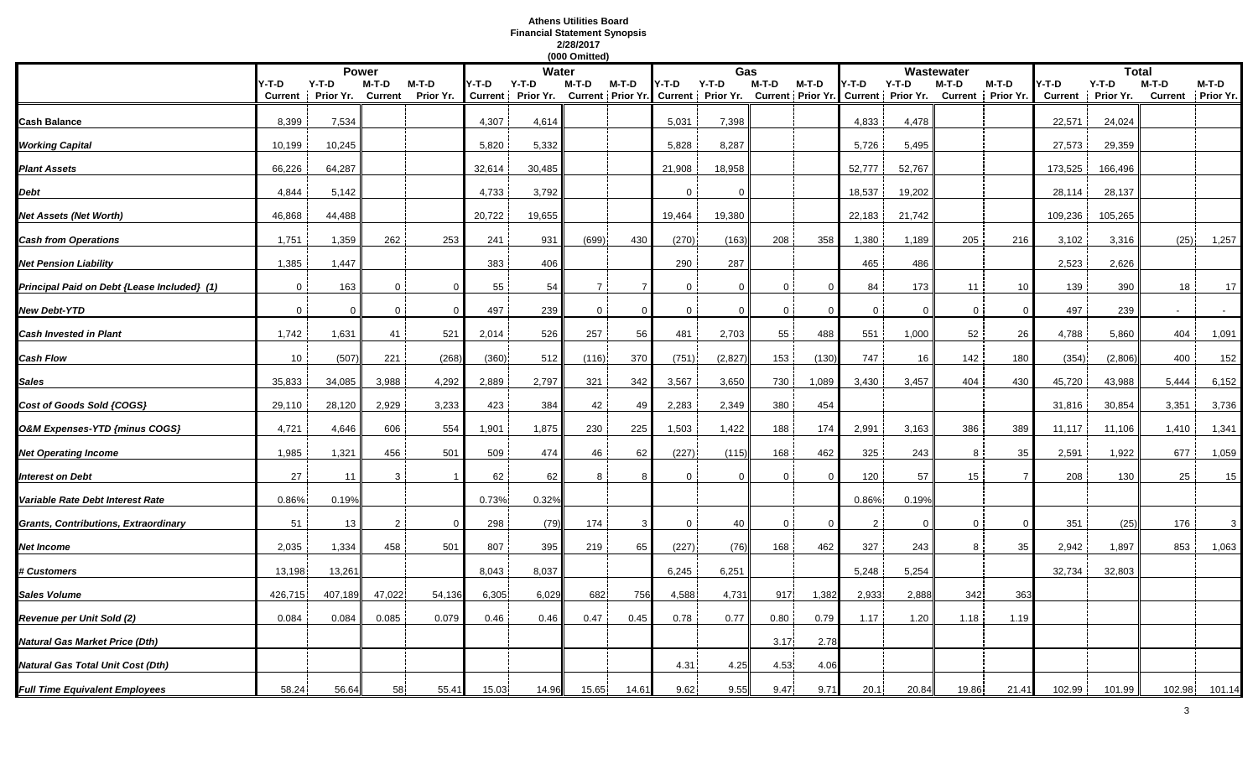# **Athens Utilities Board Financial Statement Synopsis 2/28/2017**

|                                             |                         |                      |                         |                    |                         |                      | (000 Omitted)  |       |              |                                                |                |                            |              |                              |                  |                    |                         |                      |        |                            |
|---------------------------------------------|-------------------------|----------------------|-------------------------|--------------------|-------------------------|----------------------|----------------|-------|--------------|------------------------------------------------|----------------|----------------------------|--------------|------------------------------|------------------|--------------------|-------------------------|----------------------|--------|----------------------------|
|                                             |                         |                      | <b>Power</b>            |                    |                         | Water                |                |       |              | Gas                                            |                |                            |              |                              | Wastewater       |                    |                         | <b>Total</b>         |        |                            |
|                                             | Y-T-D<br><b>Current</b> | $Y-T-D$<br>Prior Yr. | M-T-D<br><b>Current</b> | M-T-D<br>Prior Yr. | Y-T-D<br><b>Current</b> | $Y-T-D$<br>Prior Yr. | M-T-D          | M-T-D | Y-T-D        | $Y-T-D$<br>Current Prior Yr. Current Prior Yr. | $M-T-D$        | M-T-D<br>Current Prior Yr. | '-T-D        | $Y-T-D$<br>Current Prior Yr. | M-T-D<br>Current | M-T-D<br>Prior Yr. | Y-T-D<br><b>Current</b> | $Y-T-D$<br>Prior Yr. | M-T-D  | M-T-D<br>Current Prior Yr. |
| Cash Balance                                | 8,399                   | 7,534                |                         |                    | 4,307                   | 4,614                |                |       | 5,031        | 7,398                                          |                |                            | 4,833        | 4,478                        |                  |                    | 22,571                  | 24,024               |        |                            |
| <b>Working Capital</b>                      | 10,199                  | 10,245               |                         |                    | 5,820                   | 5,332                |                |       | 5,828        | 8,287                                          |                |                            | 5,726        | 5,495                        |                  |                    | 27,573                  | 29,359               |        |                            |
| <b>Plant Assets</b>                         | 66,226                  | 64,287               |                         |                    | 32,614                  | 30,485               |                |       | 21,908       | 18,958                                         |                |                            | 52,777       | 52,767                       |                  |                    | 173,525                 | 166,496              |        |                            |
| Debt                                        | 4,844                   | 5,142                |                         |                    | 4,733                   | 3,792                |                |       | $\Omega$     | $\Omega$                                       |                |                            | 18,537       | 19,202                       |                  |                    | 28,114                  | 28,137               |        |                            |
| Net Assets (Net Worth)                      | 46,868                  | 44,488               |                         |                    | 20,722                  | 19,655               |                |       | 19,464       | 19,380                                         |                |                            | 22,183       | 21,742                       |                  |                    | 109,236                 | 105,265              |        |                            |
| <b>Cash from Operations</b>                 | 1,751                   | 1,359                | 262                     | 253                | 241                     | 931                  | (699)          | 430   | (270)        | (163)                                          | 208            | 358                        | 1,380        | 1,189                        | 205              | 216                | 3,102                   | 3,316                | (25)   | 1,257                      |
| <b>Net Pension Liability</b>                | 1,385                   | 1,447                |                         |                    | 383                     | 406                  |                |       | 290          | 287                                            |                |                            | 465          | 486                          |                  |                    | 2,523                   | 2,626                |        |                            |
| Principal Paid on Debt {Lease Included} (1) | $\Omega$                | 163                  | $\Omega$                | $\Omega$           | 55                      | 54                   | $\overline{7}$ |       | $\Omega$     | $\Omega$                                       | $\Omega$       | - 0                        | 84           | 173                          | 11               | 10                 | 139                     | 390                  | 18     | 17                         |
| <b>New Debt-YTD</b>                         | $\mathbf 0$             | $\Omega$             | $\mathbf{0}$            | $\mathfrak{o}$     | 497                     | 239                  | $\mathbf{0}$   |       | $\mathbf{0}$ | $\Omega$                                       | $\overline{0}$ | $\Omega$                   | $\mathbf{0}$ | $\Omega$                     | $\mathbf 0$      | $\Omega$           | 497                     | 239                  |        |                            |
| <b>Cash Invested in Plant</b>               | 1,742                   | 1,631                | 41                      | 521                | 2,014                   | 526                  | 257            | 56    | 481          | 2,703                                          | 55             | 488                        | 551          | 1,000                        | 52               | 26                 | 4,788                   | 5,860                | 404    | 1,091                      |
| Cash Flow                                   | 10                      | (507)                | 221                     | (268)              | (360)                   | 512                  | (116)          | 370   | (751)        | (2, 827)                                       | 153            | (130)                      | 747          | 16                           | 142              | 180                | (354)                   | (2,806)              | 400    | 152                        |
| Sales                                       | 35,833                  | 34,085               | 3,988                   | 4,292              | 2,889                   | 2,797                | 321            | 342   | 3,567        | 3,650                                          | 730            | 1,089                      | 3,430        | 3,457                        | 404              | 430                | 45,720                  | 43,988               | 5,444  | 6,152                      |
| Cost of Goods Sold {COGS}                   | 29,110                  | 28,120               | 2,929                   | 3,233              | 423                     | 384                  | 42             | 49    | 2,283        | 2,349                                          | 380            | 454                        |              |                              |                  |                    | 31,816                  | 30,854               | 3,351  | 3,736                      |
| O&M Expenses-YTD {minus COGS}               | 4,721                   | 4,646                | 606                     | 554                | ,901                    | 1,875                | 230            | 225   | 1,503        | 1,422                                          | 188            | 174                        | 2,991        | 3,163                        | 386              | 389                | 11,117                  | 11,106               | 1,410  | 1,341                      |
| <b>Net Operating Income</b>                 | 1,985                   | 1,321                | 456                     | 501                | 509                     | 474                  | 46             | 62    | (227)        | (115)                                          | 168            | 462                        | 325          | 243                          | 8                | 35                 | 2,591                   | 1,922                | 677    | 1,059                      |
| nterest on Debt                             | 27                      | 11                   | 3                       |                    | 62                      | 62                   | 8              |       | $\Omega$     | $\Omega$                                       | $\Omega$       |                            | 120          | 57                           | 15               | $\overline{7}$     | 208                     | 130                  | 25     | 15                         |
| Variable Rate Debt Interest Rate            | 0.86%                   | 0.19%                |                         |                    | 0.73%                   | 0.32%                |                |       |              |                                                |                |                            | 0.86%        | 0.19%                        |                  |                    |                         |                      |        |                            |
| Grants, Contributions, Extraordinary        | 51                      | 13                   | $\overline{2}$          | $\Omega$           | 298                     | (79)                 | 174            | 3     | $\mathbf{0}$ | 40                                             | 0              | $\overline{0}$             | 2            | $\Omega$                     | $\Omega$         | $\Omega$           | 351                     | (25)                 | 176    | 3                          |
| Net Income                                  | 2,035                   | 1,334                | 458                     | 501                | 807                     | 395                  | 219            | 65    | (227)        | (76)                                           | 168            | 462                        | 327          | 243                          | 8                | 35                 | 2,942                   | 1,897                | 853    | 1,063                      |
| <b>‡ Customers</b>                          | 13,198                  | 13,261               |                         |                    | 8,043                   | 8,037                |                |       | 6,245        | 6,251                                          |                |                            | 5,248        | 5,254                        |                  |                    | 32,734                  | 32,803               |        |                            |
| Sales Volume                                | 426,715                 | 407,189              | 47,022                  | 54,136             | 6,305                   | 6,029                | 682            | 756   | 4,588        | 4,731                                          | 917            | 1,382                      | 2,933        | 2,888                        | 342              | 363                |                         |                      |        |                            |
| Revenue per Unit Sold (2)                   | 0.084                   | 0.084                | 0.085                   | 0.079              | 0.46                    | 0.46                 | 0.47           | 0.45  | 0.78         | 0.77                                           | 0.80           | 0.79                       | 1.17         | 1.20                         | 1.18             | 1.19               |                         |                      |        |                            |
| Natural Gas Market Price (Dth)              |                         |                      |                         |                    |                         |                      |                |       |              |                                                | 3.17           | 2.78                       |              |                              |                  |                    |                         |                      |        |                            |
| Natural Gas Total Unit Cost (Dth)           |                         |                      |                         |                    |                         |                      |                |       | 4.31         | 4.25                                           | 4.53           | 4.06                       |              |                              |                  |                    |                         |                      |        |                            |
| <b>Full Time Equivalent Employees</b>       | 58.24                   | 56.64                | 58                      | 55.41              | 15.03                   | 14.96                | 15.65          | 14.61 | 9.62         | 9.55                                           | 9.47           | 9.71                       | 20.1         | 20.84                        | 19.86            | 21.41              | 102.99                  | 101.99               | 102.98 | 101.14                     |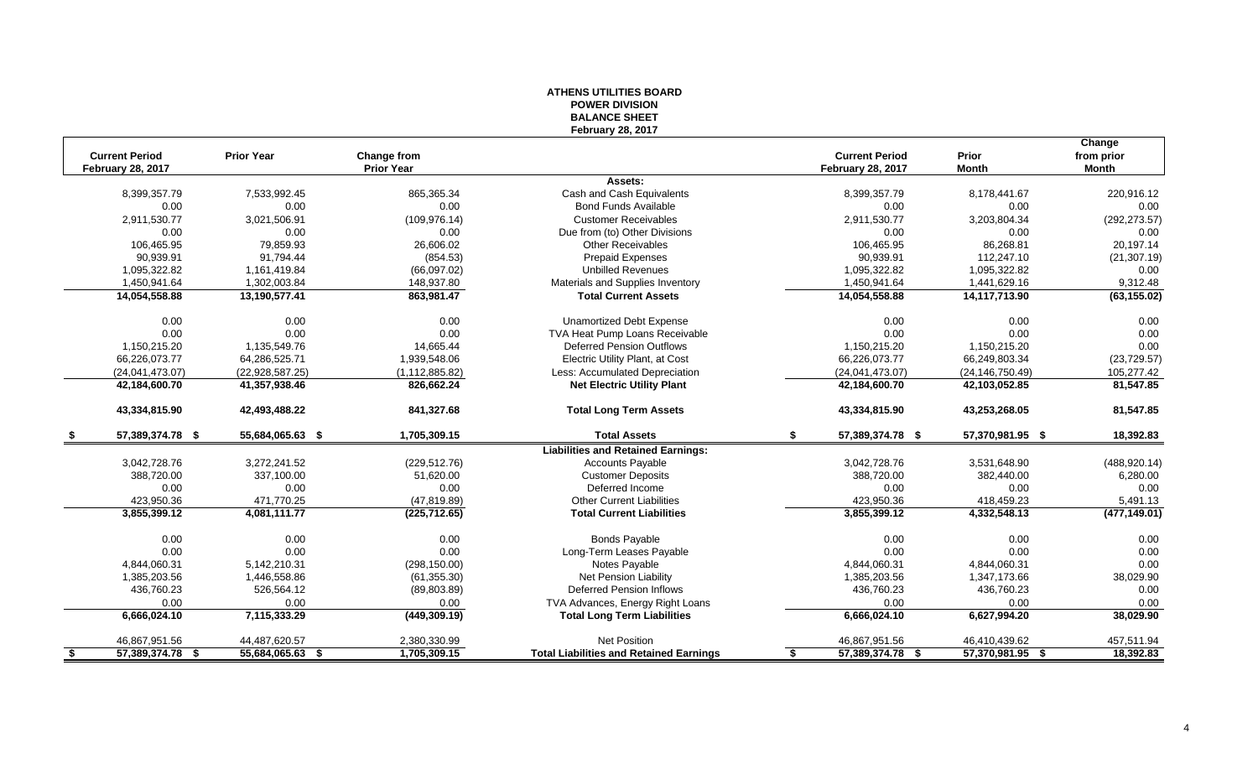## **ATHENS UTILITIES BOARD POWER DIVISION BALANCE SHEET February 28, 2017**

|      |                          |                   |                   |                                                |                          |                   | Change        |
|------|--------------------------|-------------------|-------------------|------------------------------------------------|--------------------------|-------------------|---------------|
|      | <b>Current Period</b>    | <b>Prior Year</b> | Change from       |                                                | <b>Current Period</b>    | Prior             | from prior    |
|      | <b>February 28, 2017</b> |                   | <b>Prior Year</b> |                                                | <b>February 28, 2017</b> | <b>Month</b>      | Month         |
|      |                          |                   |                   | Assets:                                        |                          |                   |               |
|      | 8,399,357.79             | 7,533,992.45      | 865,365.34        | Cash and Cash Equivalents                      | 8,399,357.79             | 8,178,441.67      | 220,916.12    |
|      | 0.00                     | 0.00              | 0.00              | <b>Bond Funds Available</b>                    | 0.00                     | 0.00              | 0.00          |
|      | 2,911,530.77             | 3,021,506.91      | (109, 976.14)     | <b>Customer Receivables</b>                    | 2,911,530.77             | 3,203,804.34      | (292, 273.57) |
|      | 0.00                     | 0.00              | 0.00              | Due from (to) Other Divisions                  | 0.00                     | 0.00              | 0.00          |
|      | 106,465.95               | 79,859.93         | 26,606.02         | <b>Other Receivables</b>                       | 106,465.95               | 86,268.81         | 20.197.14     |
|      | 90,939.91                | 91,794.44         | (854.53)          | <b>Prepaid Expenses</b>                        | 90,939.91                | 112,247.10        | (21, 307.19)  |
|      | 1,095,322.82             | 1,161,419.84      | (66,097.02)       | <b>Unbilled Revenues</b>                       | 1,095,322.82             | 1,095,322.82      | 0.00          |
|      | 1,450,941.64             | 1,302,003.84      | 148,937.80        | Materials and Supplies Inventory               | 1,450,941.64             | 1,441,629.16      | 9,312.48      |
|      | 14,054,558.88            | 13,190,577.41     | 863,981.47        | <b>Total Current Assets</b>                    | 14,054,558.88            | 14,117,713.90     | (63, 155.02)  |
|      | 0.00                     | 0.00              | 0.00              | Unamortized Debt Expense                       | 0.00                     | 0.00              | 0.00          |
|      | 0.00                     | 0.00              | 0.00              | TVA Heat Pump Loans Receivable                 | 0.00                     | 0.00              | 0.00          |
|      | 1,150,215.20             | 1,135,549.76      | 14,665.44         | <b>Deferred Pension Outflows</b>               | 1,150,215.20             | 1,150,215.20      | 0.00          |
|      | 66,226,073.77            | 64,286,525.71     | 1,939,548.06      | Electric Utility Plant, at Cost                | 66,226,073.77            | 66,249,803.34     | (23, 729.57)  |
|      | (24,041,473.07)          | (22,928,587.25)   | (1, 112, 885.82)  | Less: Accumulated Depreciation                 | (24,041,473.07)          | (24, 146, 750.49) | 105,277.42    |
|      | 42,184,600.70            | 41,357,938.46     | 826,662.24        | <b>Net Electric Utility Plant</b>              | 42,184,600.70            | 42,103,052.85     | 81,547.85     |
|      | 43,334,815.90            | 42,493,488.22     | 841,327.68        | <b>Total Long Term Assets</b>                  | 43,334,815.90            | 43,253,268.05     | 81,547.85     |
| -S   | 57,389,374.78 \$         | 55,684,065.63 \$  | 1,705,309.15      | <b>Total Assets</b>                            | \$<br>57,389,374.78 \$   | 57,370,981.95 \$  | 18,392.83     |
|      |                          |                   |                   | <b>Liabilities and Retained Earnings:</b>      |                          |                   |               |
|      | 3,042,728.76             | 3,272,241.52      | (229, 512.76)     | <b>Accounts Payable</b>                        | 3,042,728.76             | 3,531,648.90      | (488, 920.14) |
|      | 388,720.00               | 337,100.00        | 51,620.00         | <b>Customer Deposits</b>                       | 388,720.00               | 382,440.00        | 6,280.00      |
|      | 0.00                     | 0.00              | 0.00              | Deferred Income                                | 0.00                     | 0.00              | 0.00          |
|      | 423,950.36               | 471,770.25        | (47, 819.89)      | <b>Other Current Liabilities</b>               | 423,950.36               | 418,459.23        | 5,491.13      |
|      | 3,855,399.12             | 4,081,111.77      | (225, 712.65)     | <b>Total Current Liabilities</b>               | 3,855,399.12             | 4,332,548.13      | (477, 149.01) |
|      | 0.00                     | 0.00              | 0.00              | <b>Bonds Payable</b>                           | 0.00                     | 0.00              | 0.00          |
|      | 0.00                     | 0.00              | 0.00              | Long-Term Leases Payable                       | 0.00                     | 0.00              | 0.00          |
|      | 4,844,060.31             | 5,142,210.31      | (298, 150.00)     | Notes Payable                                  | 4,844,060.31             | 4,844,060.31      | 0.00          |
|      | 1,385,203.56             | 1,446,558.86      | (61, 355.30)      | Net Pension Liability                          | 1,385,203.56             | 1,347,173.66      | 38,029.90     |
|      | 436,760.23               | 526,564.12        | (89,803.89)       | Deferred Pension Inflows                       | 436,760.23               | 436,760.23        | 0.00          |
|      | 0.00                     | 0.00              | 0.00              | TVA Advances, Energy Right Loans               | 0.00                     | 0.00              | 0.00          |
|      | 6,666,024.10             | 7,115,333.29      | (449, 309.19)     | <b>Total Long Term Liabilities</b>             | 6,666,024.10             | 6,627,994.20      | 38,029.90     |
|      | 46,867,951.56            | 44,487,620.57     | 2,380,330.99      | <b>Net Position</b>                            | 46,867,951.56            | 46,410,439.62     | 457,511.94    |
| - \$ | 57,389,374.78 \$         | 55,684,065.63 \$  | 1,705,309.15      | <b>Total Liabilities and Retained Earnings</b> | 57,389,374.78 \$<br>-\$  | 57,370,981.95 \$  | 18,392.83     |
|      |                          |                   |                   |                                                |                          |                   |               |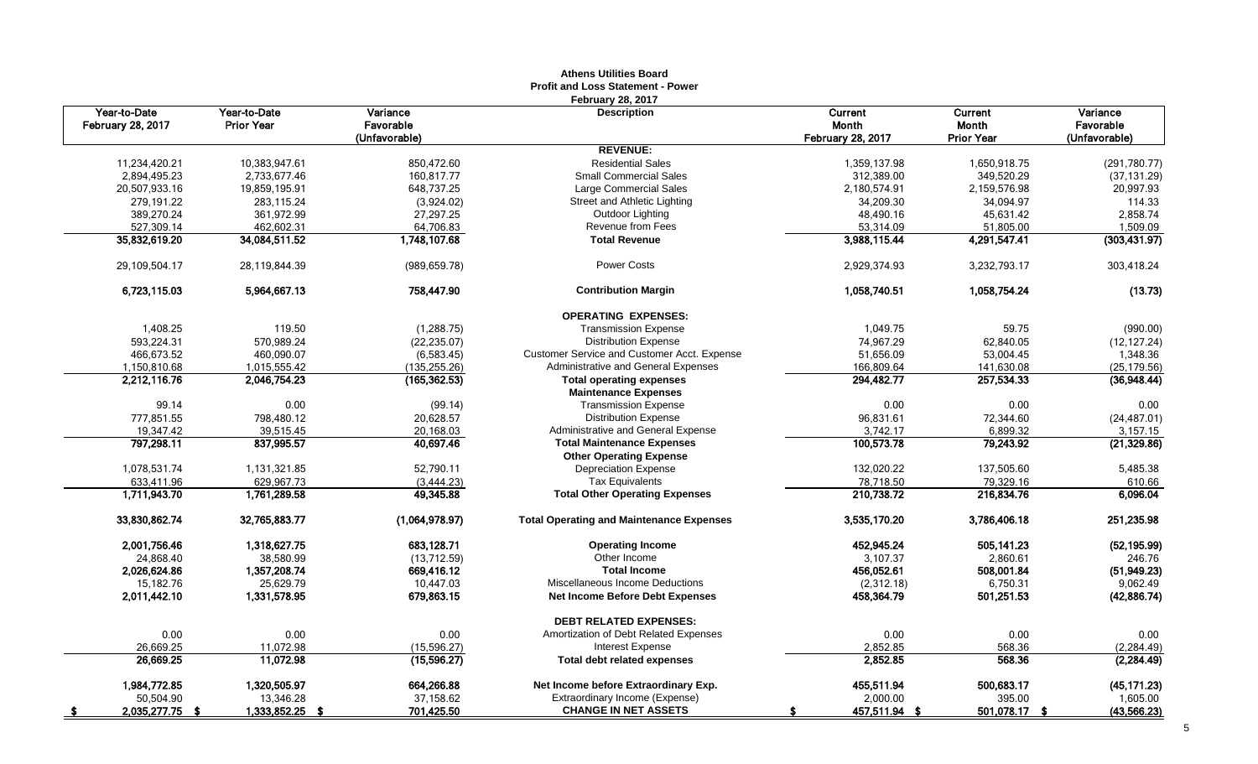|                                          |                                   |                       | <b>Athens Utilities Doard</b><br><b>Profit and Loss Statement - Power</b> |                   |                   |                       |
|------------------------------------------|-----------------------------------|-----------------------|---------------------------------------------------------------------------|-------------------|-------------------|-----------------------|
|                                          |                                   |                       | <b>February 28, 2017</b>                                                  |                   |                   |                       |
| Year-to-Date<br><b>February 28, 2017</b> | Year-to-Date<br><b>Prior Year</b> | Variance<br>Favorable | <b>Description</b>                                                        | Current<br>Month  | Current<br>Month  | Variance<br>Favorable |
|                                          |                                   | (Unfavorable)         |                                                                           | February 28, 2017 | <b>Prior Year</b> | (Unfavorable)         |
|                                          |                                   |                       | <b>REVENUE:</b>                                                           |                   |                   |                       |
| 11,234,420.21                            | 10,383,947.61                     | 850,472.60            | <b>Residential Sales</b>                                                  | 1,359,137.98      | 1,650,918.75      | (291, 780.77)         |
| 2,894,495.23                             | 2,733,677.46                      | 160,817.77            | <b>Small Commercial Sales</b>                                             | 312,389.00        | 349,520.29        | (37, 131.29)          |
| 20,507,933.16                            | 19,859,195.91                     | 648,737.25            | Large Commercial Sales                                                    | 2,180,574.91      | 2,159,576.98      | 20,997.93             |
| 279,191.22                               | 283,115.24                        | (3,924.02)            | Street and Athletic Lighting                                              | 34,209.30         | 34,094.97         | 114.33                |
| 389,270.24                               | 361,972.99                        | 27,297.25             | Outdoor Lighting                                                          | 48,490.16         | 45,631.42         | 2,858.74              |
| 527,309.14                               | 462,602.31                        | 64,706.83             | Revenue from Fees                                                         | 53,314.09         | 51,805.00         | 1,509.09              |
| 35,832,619.20                            | 34,084,511.52                     | 1,748,107.68          | <b>Total Revenue</b>                                                      | 3,988,115.44      | 4,291,547.41      | (303, 431.97)         |
| 29,109,504.17                            | 28,119,844.39                     | (989, 659.78)         | Power Costs                                                               | 2,929,374.93      | 3,232,793.17      | 303,418.24            |
| 6,723,115.03                             | 5,964,667.13                      | 758,447.90            | <b>Contribution Margin</b>                                                | 1,058,740.51      | 1,058,754.24      | (13.73)               |
|                                          |                                   |                       | <b>OPERATING EXPENSES:</b>                                                |                   |                   |                       |
| 1,408.25                                 | 119.50                            | (1, 288.75)           | <b>Transmission Expense</b>                                               | 1,049.75          | 59.75             | (990.00)              |
| 593,224.31                               | 570,989.24                        | (22, 235.07)          | <b>Distribution Expense</b>                                               | 74,967.29         | 62,840.05         | (12, 127.24)          |
| 466,673.52                               | 460.090.07                        | (6,583.45)            | <b>Customer Service and Customer Acct. Expense</b>                        | 51.656.09         | 53,004.45         | 1,348.36              |
| 1,150,810.68                             | 1,015,555.42                      | (135, 255.26)         | Administrative and General Expenses                                       | 166,809.64        | 141,630.08        | (25, 179.56)          |
| 2,212,116.76                             | 2,046,754.23                      | (165, 362.53)         | <b>Total operating expenses</b>                                           | 294,482.77        | 257,534.33        | (36,948.44)           |
|                                          |                                   |                       | <b>Maintenance Expenses</b>                                               |                   |                   |                       |
| 99.14                                    | 0.00                              | (99.14)               | <b>Transmission Expense</b>                                               | 0.00              | 0.00              | 0.00                  |
| 777,851.55                               | 798,480.12                        | 20,628.57             | <b>Distribution Expense</b>                                               | 96,831.61         | 72,344.60         | (24, 487.01)          |
| 19,347.42                                | 39,515.45                         | 20,168.03             | Administrative and General Expense                                        | 3,742.17          | 6,899.32          | 3,157.15              |
| 797,298.11                               | 837,995.57                        | 40,697.46             | <b>Total Maintenance Expenses</b>                                         | 100,573.78        | 79,243.92         | (21, 329.86)          |
|                                          |                                   |                       | <b>Other Operating Expense</b>                                            |                   |                   |                       |
| 1,078,531.74                             | 1,131,321.85                      | 52,790.11             | <b>Depreciation Expense</b>                                               | 132,020.22        | 137,505.60        | 5,485.38              |
| 633,411.96                               | 629.967.73                        | (3,444.23)            | <b>Tax Equivalents</b>                                                    | 78,718.50         | 79,329.16         | 610.66                |
| 1,711,943.70                             | 1,761,289.58                      | 49,345.88             | <b>Total Other Operating Expenses</b>                                     | 210,738.72        | 216,834.76        | 6,096.04              |
| 33,830,862.74                            | 32,765,883.77                     | (1,064,978.97)        | <b>Total Operating and Maintenance Expenses</b>                           | 3,535,170.20      | 3,786,406.18      | 251,235.98            |
| 2,001,756.46                             | 1,318,627.75                      | 683,128.71            | <b>Operating Income</b>                                                   | 452,945.24        | 505,141.23        | (52, 195.99)          |
| 24,868.40                                | 38,580.99                         | (13,712.59)           | Other Income                                                              | 3.107.37          | 2,860.61          | 246.76                |
| 2,026,624.86                             | 1,357,208.74                      | 669,416.12            | <b>Total Income</b>                                                       | 456,052.61        | 508,001.84        | (51, 949.23)          |
| 15,182.76                                | 25,629.79                         | 10,447.03             | Miscellaneous Income Deductions                                           | (2,312.18)        | 6,750.31          | 9,062.49              |
| 2,011,442.10                             | 1,331,578.95                      | 679,863.15            | <b>Net Income Before Debt Expenses</b>                                    | 458,364.79        | 501,251.53        | (42,886.74)           |
|                                          |                                   |                       | <b>DEBT RELATED EXPENSES:</b>                                             |                   |                   |                       |
| 0.00                                     | 0.00                              | 0.00                  | Amortization of Debt Related Expenses                                     | 0.00              | 0.00              | 0.00                  |
| 26,669.25                                | 11,072.98                         | (15, 596.27)          | <b>Interest Expense</b>                                                   | 2,852.85          | 568.36            | (2, 284.49)           |
| 26,669.25                                | 11,072.98                         | (15,596.27)           | <b>Total debt related expenses</b>                                        | 2,852.85          | 568.36            | (2, 284.49)           |
| 1,984,772.85                             | 1,320,505.97                      | 664,266.88            | Net Income before Extraordinary Exp.                                      | 455,511.94        | 500,683.17        | (45, 171.23)          |
| 50,504.90                                | 13,346.28                         | 37,158.62             | Extraordinary Income (Expense)                                            | 2,000.00          | 395.00            | 1,605.00              |
| 2,035,277.75 \$<br><u>_s</u>             | 1,333,852.25 \$                   | 701,425.50            | <b>CHANGE IN NET ASSETS</b>                                               | 457,511.94 \$     | 501,078.17 \$     | (43, 566.23)          |

# **Athens Utilities Board**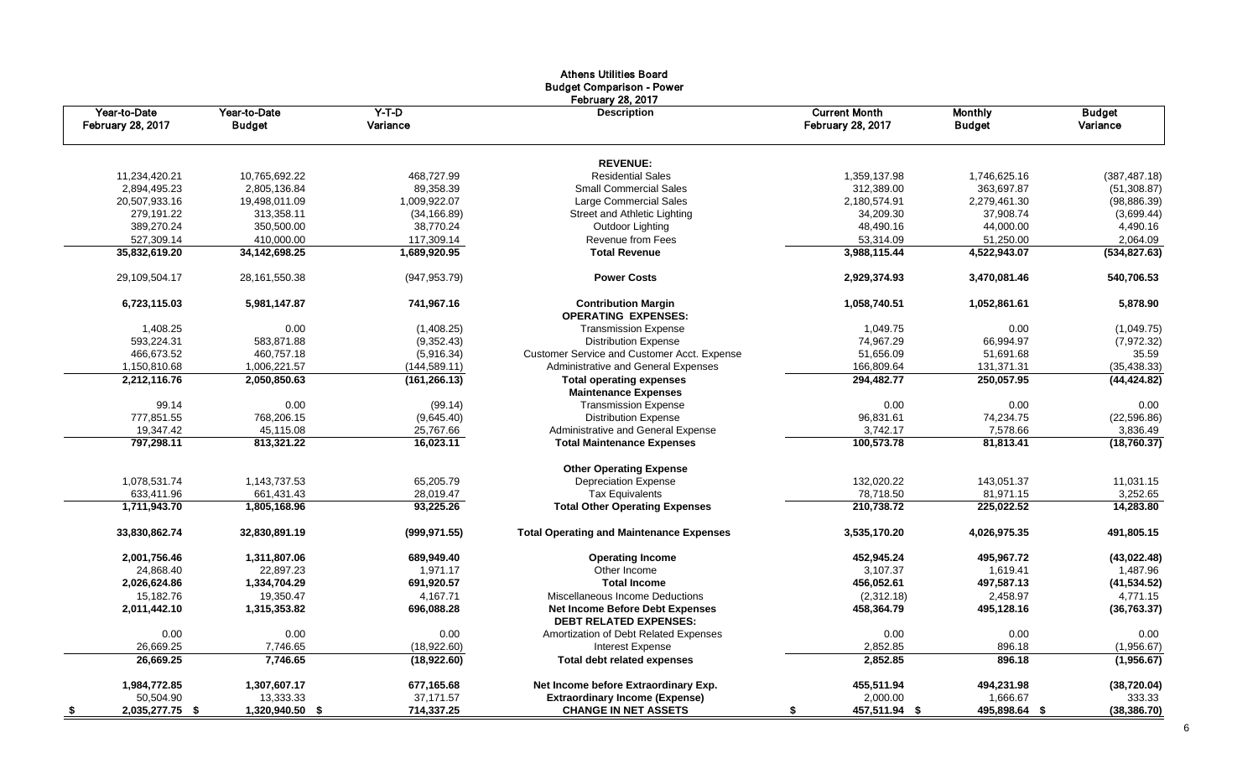|                                   |                               |                     | Athens Othitles Doard<br><b>Budget Comparison - Power</b>        |                                                  |                                 |                           |
|-----------------------------------|-------------------------------|---------------------|------------------------------------------------------------------|--------------------------------------------------|---------------------------------|---------------------------|
| Year-to-Date<br>February 28, 2017 | Year-to-Date<br><b>Budget</b> | $Y-T-D$<br>Variance | February 28, 2017<br><b>Description</b>                          | <b>Current Month</b><br><b>February 28, 2017</b> | <b>Monthly</b><br><b>Budget</b> | <b>Budget</b><br>Variance |
|                                   |                               |                     | <b>REVENUE:</b>                                                  |                                                  |                                 |                           |
| 11,234,420.21                     | 10,765,692.22                 | 468,727.99          | <b>Residential Sales</b>                                         | 1,359,137.98                                     | 1,746,625.16                    | (387, 487.18)             |
| 2,894,495.23                      | 2,805,136.84                  | 89,358.39           | <b>Small Commercial Sales</b>                                    | 312,389.00                                       | 363,697.87                      | (51, 308.87)              |
| 20,507,933.16                     | 19,498,011.09                 | 1,009,922.07        | Large Commercial Sales                                           | 2,180,574.91                                     | 2,279,461.30                    | (98, 886.39)              |
| 279,191.22                        | 313,358.11                    | (34, 166.89)        | Street and Athletic Lighting                                     | 34,209.30                                        | 37,908.74                       | (3,699.44)                |
| 389,270.24                        | 350,500.00                    | 38,770.24           | Outdoor Lighting                                                 | 48,490.16                                        | 44,000.00                       | 4,490.16                  |
| 527,309.14                        | 410,000.00                    | 117,309.14          | Revenue from Fees                                                | 53,314.09                                        | 51,250.00                       | 2,064.09                  |
| 35,832,619.20                     | 34, 142, 698. 25              | 1,689,920.95        | <b>Total Revenue</b>                                             | 3,988,115.44                                     | 4,522,943.07                    | (534, 827.63)             |
| 29,109,504.17                     | 28, 161, 550. 38              | (947, 953.79)       | <b>Power Costs</b>                                               | 2,929,374.93                                     | 3,470,081.46                    | 540,706.53                |
| 6,723,115.03                      | 5,981,147.87                  | 741,967.16          | <b>Contribution Margin</b><br><b>OPERATING EXPENSES:</b>         | 1,058,740.51                                     | 1,052,861.61                    | 5,878.90                  |
| 1,408.25                          | 0.00                          | (1,408.25)          | <b>Transmission Expense</b>                                      | 1,049.75                                         | 0.00                            | (1,049.75)                |
| 593,224.31                        | 583,871.88                    | (9,352.43)          | <b>Distribution Expense</b>                                      | 74,967.29                                        | 66,994.97                       | (7,972.32)                |
| 466,673.52                        | 460,757.18                    | (5,916.34)          | <b>Customer Service and Customer Acct. Expense</b>               | 51,656.09                                        | 51,691.68                       | 35.59                     |
| 1,150,810.68                      | 1,006,221.57                  | (144, 589.11)       | Administrative and General Expenses                              | 166,809.64                                       | 131,371.31                      | (35, 438.33)              |
| 2,212,116.76                      | 2,050,850.63                  | (161, 266.13)       | <b>Total operating expenses</b>                                  | 294,482.77                                       | 250,057.95                      | (44, 424.82)              |
|                                   |                               |                     | <b>Maintenance Expenses</b>                                      |                                                  |                                 |                           |
| 99.14                             | 0.00                          | (99.14)             | <b>Transmission Expense</b>                                      | 0.00                                             | 0.00                            | 0.00                      |
| 777,851.55                        | 768,206.15                    | (9,645.40)          | <b>Distribution Expense</b>                                      | 96,831.61                                        | 74,234.75                       | (22, 596.86)              |
| 19,347.42                         | 45,115.08                     | 25,767.66           | Administrative and General Expense                               | 3,742.17                                         | 7,578.66                        | 3,836.49                  |
| 797,298.11                        | 813,321.22                    | 16,023.11           | <b>Total Maintenance Expenses</b>                                | 100,573.78                                       | 81,813.41                       | (18,760.37)               |
|                                   |                               |                     | <b>Other Operating Expense</b>                                   |                                                  |                                 |                           |
| 1,078,531.74                      | 1,143,737.53                  | 65,205.79           | <b>Depreciation Expense</b>                                      | 132,020.22                                       | 143,051.37                      | 11,031.15                 |
| 633,411.96                        | 661,431.43                    | 28,019.47           | <b>Tax Equivalents</b>                                           | 78,718.50                                        | 81,971.15                       | 3,252.65                  |
| 1,711,943.70                      | 1,805,168.96                  | 93,225.26           | <b>Total Other Operating Expenses</b>                            | 210,738.72                                       | 225,022.52                      | 14,283.80                 |
| 33,830,862.74                     | 32,830,891.19                 | (999, 971.55)       | <b>Total Operating and Maintenance Expenses</b>                  | 3,535,170.20                                     | 4,026,975.35                    | 491,805.15                |
| 2,001,756.46                      | 1,311,807.06                  | 689,949.40          | <b>Operating Income</b>                                          | 452,945.24                                       | 495,967.72                      | (43, 022.48)              |
| 24,868.40                         | 22,897.23                     | 1,971.17            | Other Income                                                     | 3,107.37                                         | 1,619.41                        | 1,487.96                  |
| 2,026,624.86                      | 1,334,704.29                  | 691,920.57          | <b>Total Income</b>                                              | 456,052.61                                       | 497,587.13                      | (41, 534.52)              |
| 15,182.76                         | 19,350.47                     | 4,167.71            | Miscellaneous Income Deductions                                  | (2,312.18)                                       | 2,458.97                        | 4,771.15                  |
| 2,011,442.10                      | 1,315,353.82                  | 696,088.28          | Net Income Before Debt Expenses<br><b>DEBT RELATED EXPENSES:</b> | 458,364.79                                       | 495,128.16                      | (36, 763.37)              |
| 0.00                              | 0.00                          | 0.00                | Amortization of Debt Related Expenses                            | 0.00                                             | 0.00                            | 0.00                      |
| 26,669.25                         | 7,746.65                      | (18,922.60)         | <b>Interest Expense</b>                                          | 2,852.85                                         | 896.18                          | (1,956.67)                |
| 26,669.25                         | 7,746.65                      | (18,922.60)         | <b>Total debt related expenses</b>                               | 2,852.85                                         | 896.18                          | (1,956.67)                |
| 1,984,772.85                      | 1,307,607.17                  | 677,165.68          | Net Income before Extraordinary Exp.                             | 455,511.94                                       | 494,231.98                      | (38, 720.04)              |
| 50,504.90                         | 13,333.33                     | 37,171.57           | <b>Extraordinary Income (Expense)</b>                            | 2,000.00                                         | 1,666.67                        | 333.33                    |
| 2,035,277.75 \$<br>$\sqrt{2}$     | 1,320,940.50 \$               | 714,337.25          | <b>CHANGE IN NET ASSETS</b>                                      | 457,511.94 \$                                    | 495,898.64 \$                   | (38, 386.70)              |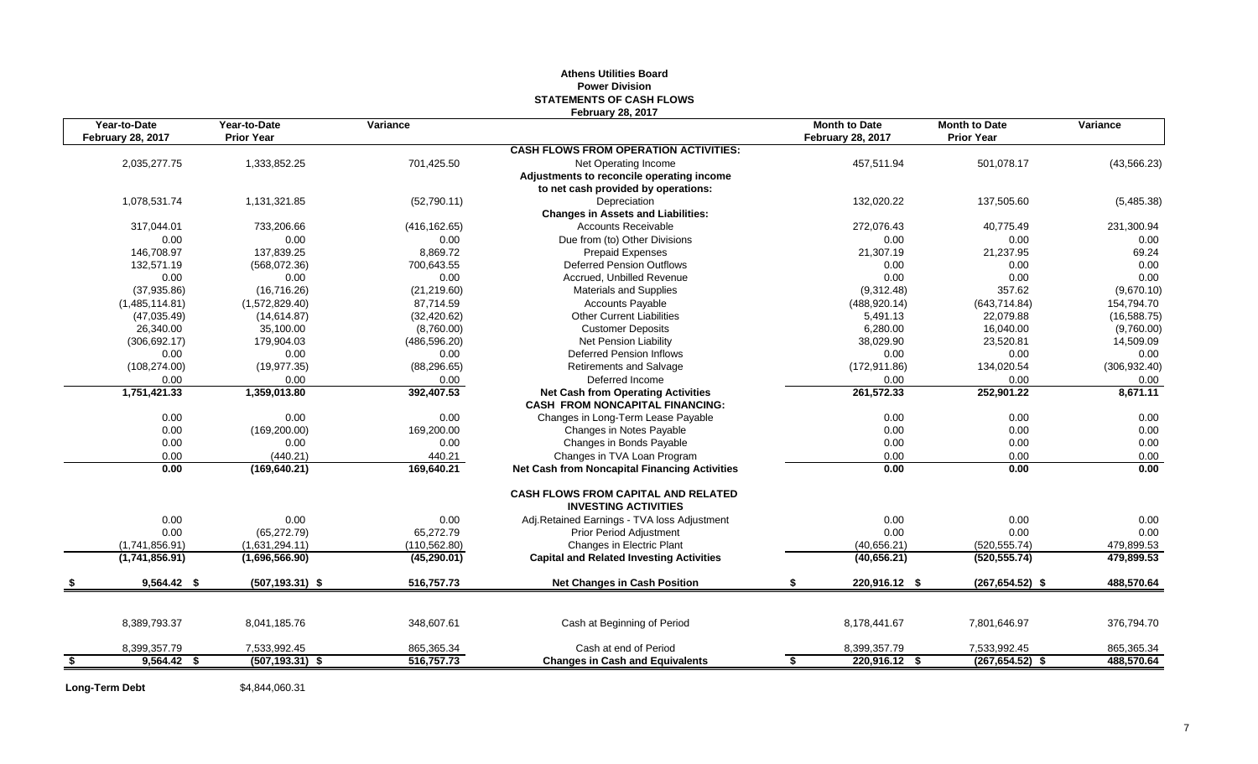## **Athens Utilities Board Power Division STATEMENTS OF CASH FLOWS February 28, 2017**

| Year-to-Date             | Year-to-Date         | Variance             |                                                                           | <b>Month to Date</b>     | <b>Month to Date</b> | Variance         |
|--------------------------|----------------------|----------------------|---------------------------------------------------------------------------|--------------------------|----------------------|------------------|
| <b>February 28, 2017</b> | <b>Prior Year</b>    |                      |                                                                           | <b>February 28, 2017</b> | <b>Prior Year</b>    |                  |
|                          |                      |                      | <b>CASH FLOWS FROM OPERATION ACTIVITIES:</b>                              |                          |                      |                  |
| 2,035,277.75             | 1,333,852.25         | 701,425.50           | Net Operating Income                                                      | 457,511.94               | 501,078.17           | (43, 566.23)     |
|                          |                      |                      | Adjustments to reconcile operating income                                 |                          |                      |                  |
|                          |                      |                      | to net cash provided by operations:                                       |                          |                      |                  |
| 1,078,531.74             | 1,131,321.85         | (52,790.11)          | Depreciation                                                              | 132,020.22               | 137,505.60           | (5,485.38)       |
|                          |                      |                      | <b>Changes in Assets and Liabilities:</b>                                 |                          |                      |                  |
| 317,044.01               | 733,206.66           | (416, 162.65)        | <b>Accounts Receivable</b>                                                | 272,076.43               | 40,775.49            | 231,300.94       |
| 0.00                     | 0.00                 | 0.00                 | Due from (to) Other Divisions                                             | 0.00                     | 0.00                 | 0.00             |
| 146,708.97               | 137,839.25           | 8,869.72             | <b>Prepaid Expenses</b>                                                   | 21,307.19                | 21,237.95            | 69.24            |
| 132,571.19               | (568,072.36)         | 700,643.55           | <b>Deferred Pension Outflows</b>                                          | 0.00                     | 0.00                 | 0.00             |
| 0.00                     | 0.00                 | 0.00                 | Accrued, Unbilled Revenue                                                 | 0.00                     | 0.00                 | 0.00             |
| (37, 935.86)             | (16,716.26)          | (21, 219.60)         | <b>Materials and Supplies</b>                                             | (9,312.48)               | 357.62               | (9,670.10)       |
| (1,485,114.81)           | (1,572,829.40)       | 87,714.59            | <b>Accounts Payable</b>                                                   | (488, 920.14)            | (643, 714.84)        | 154,794.70       |
| (47,035.49)              | (14, 614.87)         | (32, 420.62)         | <b>Other Current Liabilities</b>                                          | 5,491.13                 | 22,079.88            | (16, 588.75)     |
| 26,340.00                | 35,100.00            | (8,760.00)           | <b>Customer Deposits</b>                                                  | 6,280.00                 | 16,040.00            | (9,760.00)       |
| (306, 692.17)            | 179,904.03           | (486, 596.20)        | Net Pension Liability<br><b>Deferred Pension Inflows</b>                  | 38,029.90                | 23,520.81            | 14,509.09        |
| 0.00                     | 0.00                 | 0.00                 |                                                                           | 0.00                     | 0.00                 | 0.00             |
| (108, 274.00)<br>0.00    | (19, 977.35)<br>0.00 | (88, 296.65)<br>0.00 | Retirements and Salvage<br>Deferred Income                                | (172, 911.86)<br>0.00    | 134,020.54<br>0.00   | (306, 932.40)    |
| 1,751,421.33             | 1,359,013.80         | 392,407.53           | <b>Net Cash from Operating Activities</b>                                 | 261,572.33               | 252,901.22           | 0.00<br>8,671.11 |
|                          |                      |                      | <b>CASH FROM NONCAPITAL FINANCING:</b>                                    |                          |                      |                  |
| 0.00                     | 0.00                 | 0.00                 | Changes in Long-Term Lease Payable                                        | 0.00                     | 0.00                 | 0.00             |
| 0.00                     | (169, 200.00)        | 169,200.00           | Changes in Notes Payable                                                  | 0.00                     | 0.00                 | 0.00             |
| 0.00                     | 0.00                 | 0.00                 | Changes in Bonds Payable                                                  | 0.00                     | 0.00                 | 0.00             |
| 0.00                     | (440.21)             | 440.21               | Changes in TVA Loan Program                                               | 0.00                     | 0.00                 | 0.00             |
| 0.00                     | (169, 640.21)        | 169,640.21           | Net Cash from Noncapital Financing Activities                             | 0.00                     | 0.00                 | 0.00             |
|                          |                      |                      | <b>CASH FLOWS FROM CAPITAL AND RELATED</b><br><b>INVESTING ACTIVITIES</b> |                          |                      |                  |
| 0.00                     | 0.00                 | 0.00                 | Adj.Retained Earnings - TVA loss Adjustment                               | 0.00                     | 0.00                 | 0.00             |
| 0.00                     | (65, 272.79)         | 65,272.79            | Prior Period Adjustment                                                   | 0.00                     | 0.00                 | 0.00             |
| (1,741,856.91)           | (1,631,294.11)       | (110, 562.80)        | Changes in Electric Plant                                                 | (40,656.21)              | (520.555.74)         | 479,899.53       |
| (1,741,856.91)           | (1,696,566.90)       | (45, 290.01)         | <b>Capital and Related Investing Activities</b>                           | (40, 656.21)             | (520, 555.74)        | 479,899.53       |
| $9,564.42$ \$            | $(507, 193.31)$ \$   | 516,757.73           | <b>Net Changes in Cash Position</b>                                       | 220,916.12 \$            | $(267, 654.52)$ \$   | 488,570.64       |
| 8,389,793.37             | 8,041,185.76         | 348,607.61           | Cash at Beginning of Period                                               | 8,178,441.67             | 7,801,646.97         | 376,794.70       |
|                          |                      |                      |                                                                           |                          |                      |                  |
| 8,399,357.79             | 7,533,992.45         | 865,365.34           | Cash at end of Period                                                     | 8,399,357.79             | 7,533,992.45         | 865,365.34       |
| \$<br>9,564.42 \$        | $(507, 193.31)$ \$   | 516,757.73           | <b>Changes in Cash and Equivalents</b>                                    | \$<br>220,916.12 \$      | $(267, 654.52)$ \$   | 488,570.64       |

**Long-Term Debt** \$4,844,060.31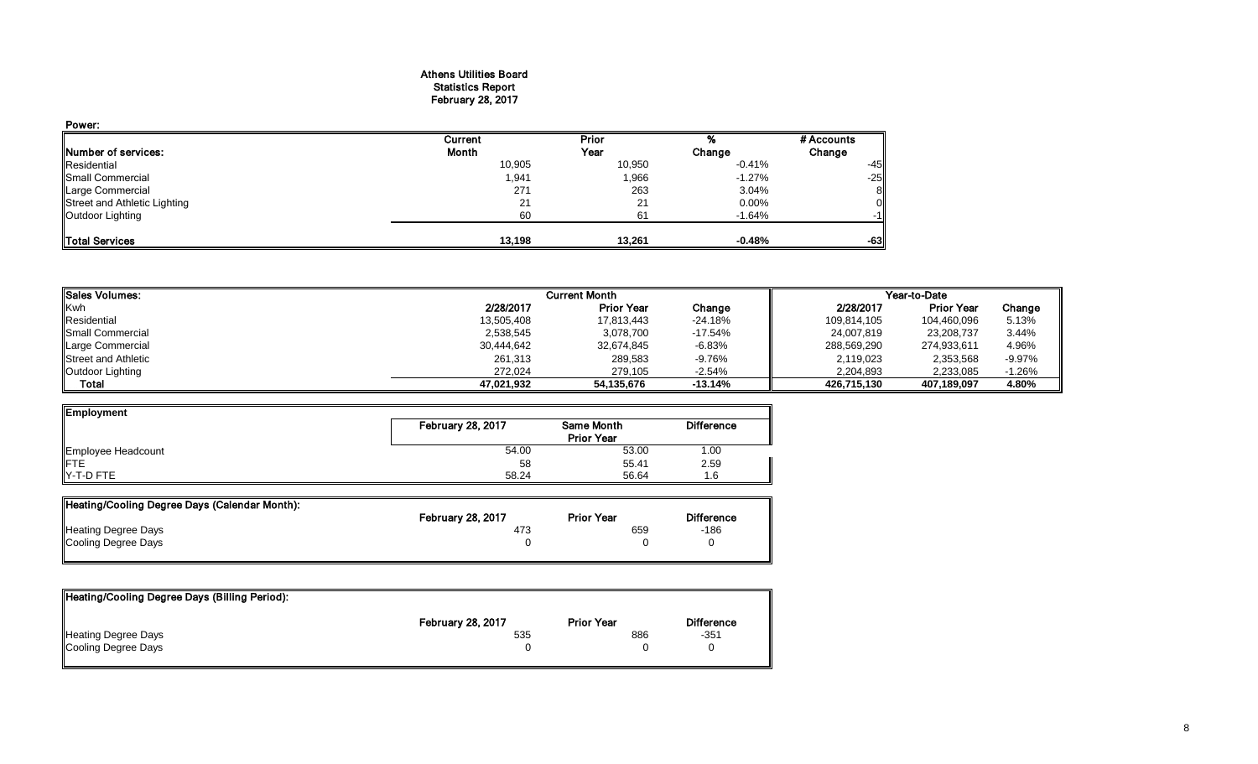#### Athens Utilities Board Statistics Report February 28, 2017

| Power:                       |         |        |          |            |
|------------------------------|---------|--------|----------|------------|
|                              | Current | Prior  |          | # Accounts |
| Number of services:          | Month   | Year   | Change   | Change     |
| Residential                  | 10,905  | 10,950 | $-0.41%$ | $-45$      |
| Small Commercial             | 1,941   | 1,966  | $-1.27%$ | $-25$      |
| Large Commercial             | 271     | 263    | 3.04%    | 8          |
| Street and Athletic Lighting | 21      | 21     | 0.00%    |            |
| Outdoor Lighting             | 60      | 61     | $-1.64%$ | -11        |
| <b>ITotal Services</b>       | 13.198  | 13,261 | $-0.48%$ | $-63$      |

| <b>I</b> Sales Volumes:    |            | <b>Current Month</b> |           | Year-to-Date |                   |           |  |
|----------------------------|------------|----------------------|-----------|--------------|-------------------|-----------|--|
| <b>Kwh</b>                 | 2/28/2017  | <b>Prior Year</b>    | Change    | 2/28/2017    | <b>Prior Year</b> | Change    |  |
| Residential                | 13,505,408 | 17,813,443           | -24.18%   | 109,814,105  | 104,460,096       | 5.13%     |  |
| <b>I</b> Small Commercial  | 2,538,545  | 3,078,700            | $-17.54%$ | 24,007,819   | 23,208,737        | 3.44%     |  |
| Large Commercial           | 30,444,642 | 32,674,845           | $-6.83%$  | 288,569,290  | 274,933,611       | 4.96%     |  |
| <b>Street and Athletic</b> | 261,313    | 289,583              | -9.76%    | 2,119,023    | 2,353,568         | $-9.97\%$ |  |
| Outdoor Lighting           | 272.024    | 279.105              | $-2.54%$  | 2,204,893    | 2,233,085         | $-1.26%$  |  |
| Total                      | 47.021.932 | 54,135,676           | $-13.14%$ | 426,715,130  | 407,189,097       | 4.80%     |  |

| Employment         |                   |            |                   |  |  |
|--------------------|-------------------|------------|-------------------|--|--|
|                    | February 28, 2017 | Same Month | <b>Difference</b> |  |  |
|                    | <b>Prior Year</b> |            |                   |  |  |
| Employee Headcount | 54.00             | 53.00      | 1.00              |  |  |
| <b>IFTE</b>        | 58                | 55.41      | 2.59              |  |  |
| $Y-T-D$ FTE        | 58.24             | 56.64      | 1.6               |  |  |

| Heating/Cooling Degree Days (Calendar Month): |                          |                   |                   |
|-----------------------------------------------|--------------------------|-------------------|-------------------|
|                                               | <b>February 28, 2017</b> | <b>Prior Year</b> | <b>Difference</b> |
| <b>Heating Degree Days</b>                    | 473                      | 659               | $-186$            |
| Cooling Degree Days                           |                          |                   |                   |

| Heating/Cooling Degree Days (Billing Period): |                          |                   |                   |
|-----------------------------------------------|--------------------------|-------------------|-------------------|
|                                               | <b>February 28, 2017</b> | <b>Prior Year</b> | <b>Difference</b> |
| <b>Heating Degree Days</b>                    | 535                      | 886               | $-351$            |
| Cooling Degree Days                           |                          |                   |                   |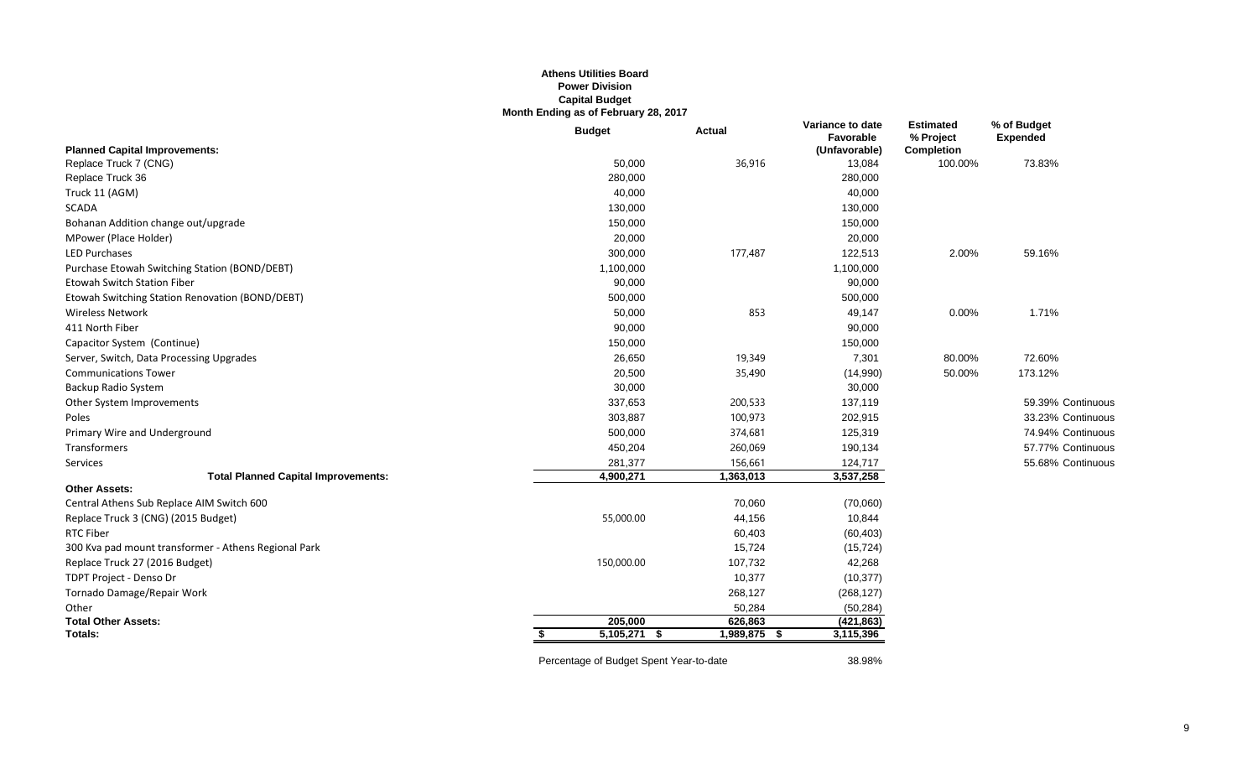## **Athens Utilities Board Power Division Capital Budget Month Ending as of February 28, 2017**

|                                                      | <b>Budget</b>  | <b>Actual</b> | Variance to date<br>Favorable | <b>Estimated</b><br>% Project | % of Budget<br><b>Expended</b> |
|------------------------------------------------------|----------------|---------------|-------------------------------|-------------------------------|--------------------------------|
| <b>Planned Capital Improvements:</b>                 |                |               | (Unfavorable)                 | <b>Completion</b>             |                                |
| Replace Truck 7 (CNG)                                | 50,000         | 36,916        | 13,084                        | 100.00%                       | 73.83%                         |
| Replace Truck 36                                     | 280,000        |               | 280,000                       |                               |                                |
| Truck 11 (AGM)                                       | 40,000         |               | 40,000                        |                               |                                |
| <b>SCADA</b>                                         | 130,000        |               | 130,000                       |                               |                                |
| Bohanan Addition change out/upgrade                  | 150,000        |               | 150,000                       |                               |                                |
| MPower (Place Holder)                                | 20,000         |               | 20,000                        |                               |                                |
| <b>LED Purchases</b>                                 | 300,000        | 177,487       | 122,513                       | 2.00%                         | 59.16%                         |
| Purchase Etowah Switching Station (BOND/DEBT)        | 1,100,000      |               | 1,100,000                     |                               |                                |
| <b>Etowah Switch Station Fiber</b>                   | 90,000         |               | 90,000                        |                               |                                |
| Etowah Switching Station Renovation (BOND/DEBT)      | 500,000        |               | 500,000                       |                               |                                |
| <b>Wireless Network</b>                              | 50,000         | 853           | 49,147                        | 0.00%                         | 1.71%                          |
| 411 North Fiber                                      | 90,000         |               | 90,000                        |                               |                                |
| Capacitor System (Continue)                          | 150,000        |               | 150,000                       |                               |                                |
| Server, Switch, Data Processing Upgrades             | 26,650         | 19,349        | 7,301                         | 80.00%                        | 72.60%                         |
| <b>Communications Tower</b>                          | 20,500         | 35,490        | (14,990)                      | 50.00%                        | 173.12%                        |
| Backup Radio System                                  | 30,000         |               | 30,000                        |                               |                                |
| Other System Improvements                            | 337,653        | 200,533       | 137,119                       |                               | 59.39% Continuous              |
| Poles                                                | 303,887        | 100,973       | 202,915                       |                               | 33.23% Continuous              |
| Primary Wire and Underground                         | 500,000        | 374,681       | 125,319                       |                               | 74.94% Continuous              |
| Transformers                                         | 450,204        | 260,069       | 190,134                       |                               | 57.77% Continuous              |
| Services                                             | 281,377        | 156,661       | 124,717                       |                               | 55.68% Continuous              |
| <b>Total Planned Capital Improvements:</b>           | 4,900,271      | 1,363,013     | 3,537,258                     |                               |                                |
| <b>Other Assets:</b>                                 |                |               |                               |                               |                                |
| Central Athens Sub Replace AIM Switch 600            |                | 70,060        | (70,060)                      |                               |                                |
| Replace Truck 3 (CNG) (2015 Budget)                  | 55,000.00      | 44,156        | 10,844                        |                               |                                |
| <b>RTC Fiber</b>                                     |                | 60,403        | (60, 403)                     |                               |                                |
| 300 Kva pad mount transformer - Athens Regional Park |                | 15,724        | (15, 724)                     |                               |                                |
| Replace Truck 27 (2016 Budget)                       | 150,000.00     | 107,732       | 42,268                        |                               |                                |
| TDPT Project - Denso Dr                              |                | 10,377        | (10, 377)                     |                               |                                |
| Tornado Damage/Repair Work                           |                | 268,127       | (268, 127)                    |                               |                                |
| Other                                                |                | 50,284        | (50, 284)                     |                               |                                |
| <b>Total Other Assets:</b>                           | 205,000        | 626,863       | (421, 863)                    |                               |                                |
| Totals:                                              | $5,105,271$ \$ | 1,989,875 \$  | 3,115,396                     |                               |                                |
|                                                      |                |               |                               |                               |                                |

Percentage of Budget Spent Year-to-date 38.98%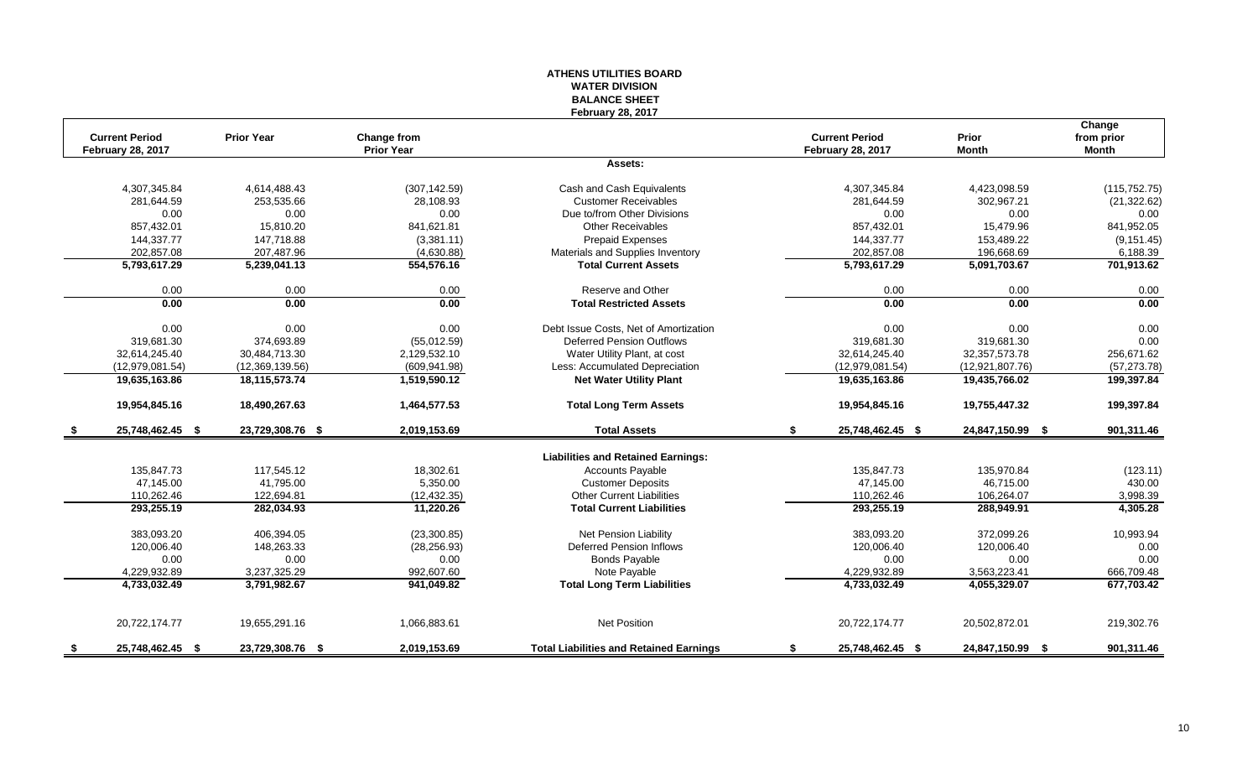#### **ATHENS UTILITIES BOARD WATER DIVISION BALANCE SHEET February 28, 2017**

|      | <b>Current Period</b>    | <b>Prior Year</b> | Change from       |                                                | <b>Current Period</b>    | Prior            | Change<br>from prior |
|------|--------------------------|-------------------|-------------------|------------------------------------------------|--------------------------|------------------|----------------------|
|      | <b>February 28, 2017</b> |                   | <b>Prior Year</b> |                                                | <b>February 28, 2017</b> | <b>Month</b>     | Month                |
|      |                          |                   |                   | Assets:                                        |                          |                  |                      |
|      | 4,307,345.84             | 4,614,488.43      | (307, 142.59)     | Cash and Cash Equivalents                      | 4,307,345.84             | 4,423,098.59     | (115, 752.75)        |
|      | 281,644.59               | 253,535.66        | 28,108.93         | <b>Customer Receivables</b>                    | 281,644.59               | 302,967.21       | (21, 322.62)         |
|      | 0.00                     | 0.00              | 0.00              | Due to/from Other Divisions                    | 0.00                     | 0.00             | 0.00                 |
|      | 857,432.01               | 15,810.20         | 841,621.81        | <b>Other Receivables</b>                       | 857,432.01               | 15,479.96        | 841,952.05           |
|      | 144,337.77               | 147,718.88        | (3,381.11)        | <b>Prepaid Expenses</b>                        | 144,337.77               | 153,489.22       | (9, 151.45)          |
|      | 202,857.08               | 207,487.96        | (4,630.88)        | Materials and Supplies Inventory               | 202,857.08               | 196,668.69       | 6,188.39             |
|      | 5,793,617.29             | 5,239,041.13      | 554,576.16        | <b>Total Current Assets</b>                    | 5,793,617.29             | 5,091,703.67     | 701,913.62           |
|      | 0.00                     | 0.00              | 0.00              | Reserve and Other                              | 0.00                     | 0.00             | 0.00                 |
|      | 0.00                     | 0.00              | 0.00              | <b>Total Restricted Assets</b>                 | 0.00                     | 0.00             | 0.00                 |
|      | 0.00                     | 0.00              | 0.00              | Debt Issue Costs, Net of Amortization          | 0.00                     | 0.00             | 0.00                 |
|      | 319.681.30               | 374.693.89        | (55,012.59)       | <b>Deferred Pension Outflows</b>               | 319,681.30               | 319,681.30       | 0.00                 |
|      | 32,614,245.40            | 30,484,713.30     | 2,129,532.10      | Water Utility Plant, at cost                   | 32,614,245.40            | 32, 357, 573. 78 | 256,671.62           |
|      | (12,979,081.54)          | (12,369,139.56)   | (609, 941.98)     | Less: Accumulated Depreciation                 | (12,979,081.54)          | (12,921,807.76)  | (57, 273.78)         |
|      | 19,635,163.86            | 18,115,573.74     | 1,519,590.12      | <b>Net Water Utility Plant</b>                 | 19,635,163.86            | 19,435,766.02    | 199,397.84           |
|      | 19,954,845.16            | 18,490,267.63     | 1,464,577.53      | <b>Total Long Term Assets</b>                  | 19,954,845.16            | 19,755,447.32    | 199,397.84           |
|      | 25,748,462.45 \$         | 23,729,308.76 \$  | 2,019,153.69      | <b>Total Assets</b>                            | 25,748,462.45 \$<br>\$   | 24,847,150.99 \$ | 901,311.46           |
|      |                          |                   |                   | <b>Liabilities and Retained Earnings:</b>      |                          |                  |                      |
|      | 135,847.73               | 117,545.12        | 18,302.61         | <b>Accounts Payable</b>                        | 135,847.73               | 135,970.84       | (123.11)             |
|      | 47,145.00                | 41,795.00         | 5,350.00          | <b>Customer Deposits</b>                       | 47,145.00                | 46,715.00        | 430.00               |
|      | 110,262.46               | 122,694.81        | (12, 432.35)      | <b>Other Current Liabilities</b>               | 110,262.46               | 106,264.07       | 3,998.39             |
|      | 293,255.19               | 282,034.93        | 11,220.26         | <b>Total Current Liabilities</b>               | 293,255.19               | 288,949.91       | 4,305.28             |
|      |                          |                   |                   |                                                |                          |                  |                      |
|      | 383,093.20               | 406,394.05        | (23, 300.85)      | Net Pension Liability                          | 383,093.20               | 372,099.26       | 10,993.94            |
|      | 120,006.40               | 148,263.33        | (28, 256.93)      | <b>Deferred Pension Inflows</b>                | 120,006.40               | 120,006.40       | 0.00                 |
|      | 0.00                     | 0.00              | 0.00              | <b>Bonds Payable</b>                           | 0.00                     | 0.00             | 0.00                 |
|      | 4.229.932.89             | 3.237.325.29      | 992,607.60        | Note Payable                                   | 4.229.932.89             | 3.563.223.41     | 666,709.48           |
|      | 4,733,032.49             | 3,791,982.67      | 941,049.82        | <b>Total Long Term Liabilities</b>             | 4,733,032.49             | 4,055,329.07     | 677,703.42           |
|      | 20,722,174.77            | 19,655,291.16     | 1,066,883.61      | <b>Net Position</b>                            | 20,722,174.77            | 20,502,872.01    | 219,302.76           |
| - \$ | 25,748,462.45 \$         | 23,729,308.76 \$  | 2,019,153.69      | <b>Total Liabilities and Retained Earnings</b> | 25,748,462.45 \$<br>S    | 24,847,150.99 \$ | 901,311.46           |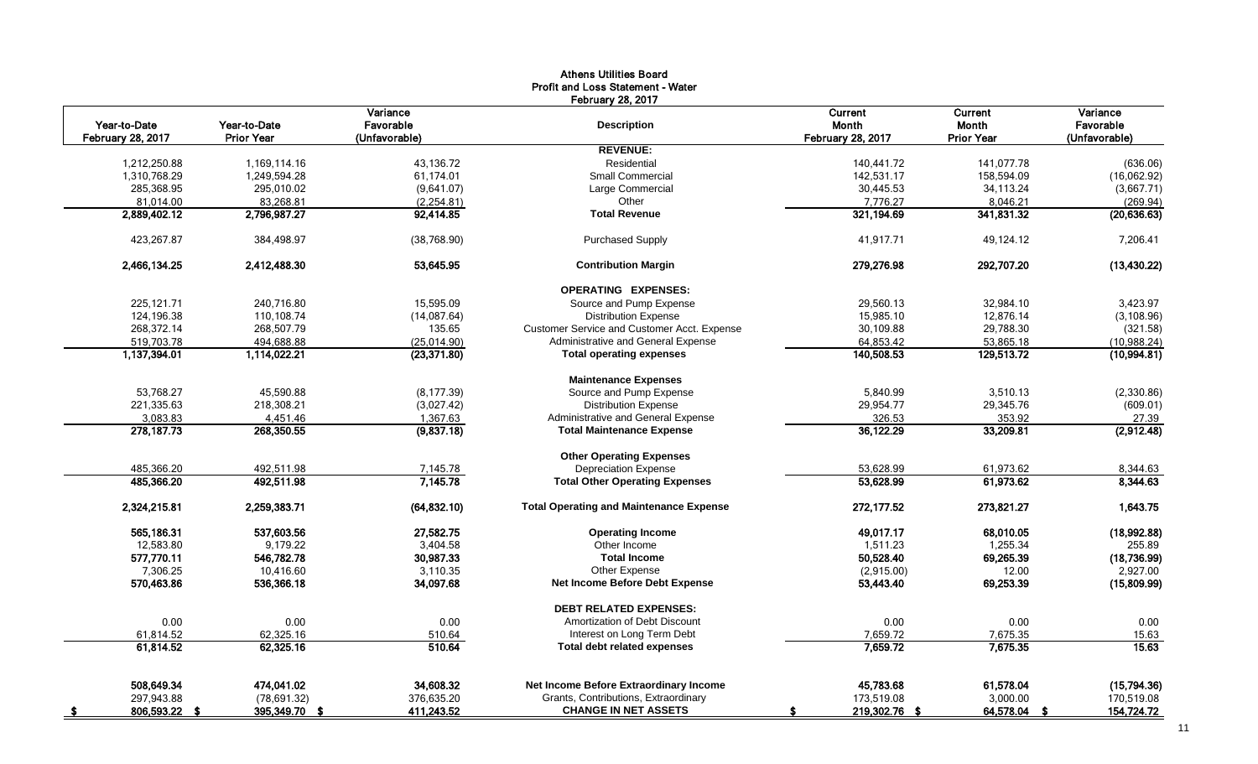|                          |                   | Variance      | <b>February 28, 2017</b>                       | Current                  | Current           | Variance      |
|--------------------------|-------------------|---------------|------------------------------------------------|--------------------------|-------------------|---------------|
| Year-to-Date             | Year-to-Date      | Favorable     | <b>Description</b>                             | <b>Month</b>             | <b>Month</b>      | Favorable     |
| <b>February 28, 2017</b> | <b>Prior Year</b> | (Unfavorable) |                                                | <b>February 28, 2017</b> | <b>Prior Year</b> | (Unfavorable) |
|                          |                   |               | <b>REVENUE:</b>                                |                          |                   |               |
| 1,212,250.88             | 1,169,114.16      | 43,136.72     | Residential                                    | 140,441.72               | 141,077.78        | (636.06)      |
| 1,310,768.29             | 1,249,594.28      | 61,174.01     | <b>Small Commercial</b>                        | 142,531.17               | 158,594.09        | (16,062.92)   |
| 285,368.95               | 295,010.02        | (9,641.07)    | Large Commercial                               | 30,445.53                | 34,113.24         | (3,667.71)    |
| 81,014.00                | 83,268.81         | (2, 254.81)   | Other                                          | 7.776.27                 | 8,046.21          | (269.94)      |
| 2,889,402.12             | 2,796,987.27      | 92,414.85     | <b>Total Revenue</b>                           | 321,194.69               | 341,831.32        | (20, 636.63)  |
| 423,267.87               | 384,498.97        | (38, 768.90)  | <b>Purchased Supply</b>                        | 41,917.71                | 49,124.12         | 7,206.41      |
| 2,466,134.25             | 2,412,488.30      | 53,645.95     | <b>Contribution Margin</b>                     | 279,276.98               | 292,707.20        | (13, 430.22)  |
|                          |                   |               | <b>OPERATING EXPENSES:</b>                     |                          |                   |               |
| 225,121.71               | 240,716.80        | 15,595.09     | Source and Pump Expense                        | 29,560.13                | 32,984.10         | 3,423.97      |
| 124,196.38               | 110,108.74        | (14,087.64)   | <b>Distribution Expense</b>                    | 15.985.10                | 12.876.14         | (3, 108.96)   |
| 268,372.14               | 268,507.79        | 135.65        | Customer Service and Customer Acct. Expense    | 30,109.88                | 29,788.30         | (321.58)      |
| 519,703.78               | 494,688.88        | (25,014.90)   | Administrative and General Expense             | 64,853.42                | 53,865.18         | (10,988.24)   |
| 1,137,394.01             | 1,114,022.21      | (23, 371.80)  | <b>Total operating expenses</b>                | 140,508.53               | 129,513.72        | (10,994.81)   |
|                          |                   |               | <b>Maintenance Expenses</b>                    |                          |                   |               |
| 53.768.27                | 45.590.88         | (8, 177.39)   | Source and Pump Expense                        | 5.840.99                 | 3.510.13          | (2,330.86)    |
| 221,335.63               | 218,308.21        | (3,027.42)    | <b>Distribution Expense</b>                    | 29,954.77                | 29,345.76         | (609.01)      |
| 3,083.83                 | 4,451.46          | 1,367.63      | Administrative and General Expense             | 326.53                   | 353.92            | 27.39         |
| 278, 187. 73             | 268,350.55        | (9,837.18)    | <b>Total Maintenance Expense</b>               | 36,122.29                | 33,209.81         | (2,912.48)    |
|                          |                   |               | <b>Other Operating Expenses</b>                |                          |                   |               |
| 485,366.20               | 492,511.98        | 7,145.78      | <b>Depreciation Expense</b>                    | 53,628.99                | 61,973.62         | 8,344.63      |
| 485,366.20               | 492,511.98        | 7,145.78      | <b>Total Other Operating Expenses</b>          | 53,628.99                | 61,973.62         | 8,344.63      |
| 2,324,215.81             | 2,259,383.71      | (64, 832.10)  | <b>Total Operating and Maintenance Expense</b> | 272,177.52               | 273,821.27        | 1,643.75      |
| 565,186.31               | 537,603.56        | 27,582.75     | <b>Operating Income</b>                        | 49,017.17                | 68,010.05         | (18,992.88)   |
| 12,583.80                | 9,179.22          | 3,404.58      | Other Income                                   | 1,511.23                 | 1,255.34          | 255.89        |
| 577,770.11               | 546,782.78        | 30,987.33     | <b>Total Income</b>                            | 50,528.40                | 69,265.39         | (18,736.99)   |
| 7,306.25                 | 10,416.60         | 3,110.35      | Other Expense                                  | (2,915.00)               | 12.00             | 2,927.00      |
| 570,463.86               | 536,366.18        | 34,097.68     | <b>Net Income Before Debt Expense</b>          | 53,443.40                | 69,253.39         | (15,809.99)   |
|                          |                   |               | <b>DEBT RELATED EXPENSES:</b>                  |                          |                   |               |
| 0.00                     | 0.00              | 0.00          | Amortization of Debt Discount                  | 0.00                     | 0.00              | 0.00          |
| 61,814.52                | 62,325.16         | 510.64        | Interest on Long Term Debt                     | 7,659.72                 | 7,675.35          | 15.63         |
| 61,814.52                | 62,325.16         | 510.64        | <b>Total debt related expenses</b>             | 7,659.72                 | 7,675.35          | 15.63         |
| 508,649.34               | 474,041.02        | 34,608.32     | Net Income Before Extraordinary Income         | 45,783.68                | 61,578.04         | (15,794.36)   |
| 297,943.88               | (78, 691.32)      | 376,635.20    | Grants, Contributions, Extraordinary           | 173,519.08               | 3,000.00          | 170,519.08    |
|                          | 395,349.70        | 411,243.52    | <b>CHANGE IN NET ASSETS</b>                    | 219,302.76 \$            | 64,578.04         | 154,724.72    |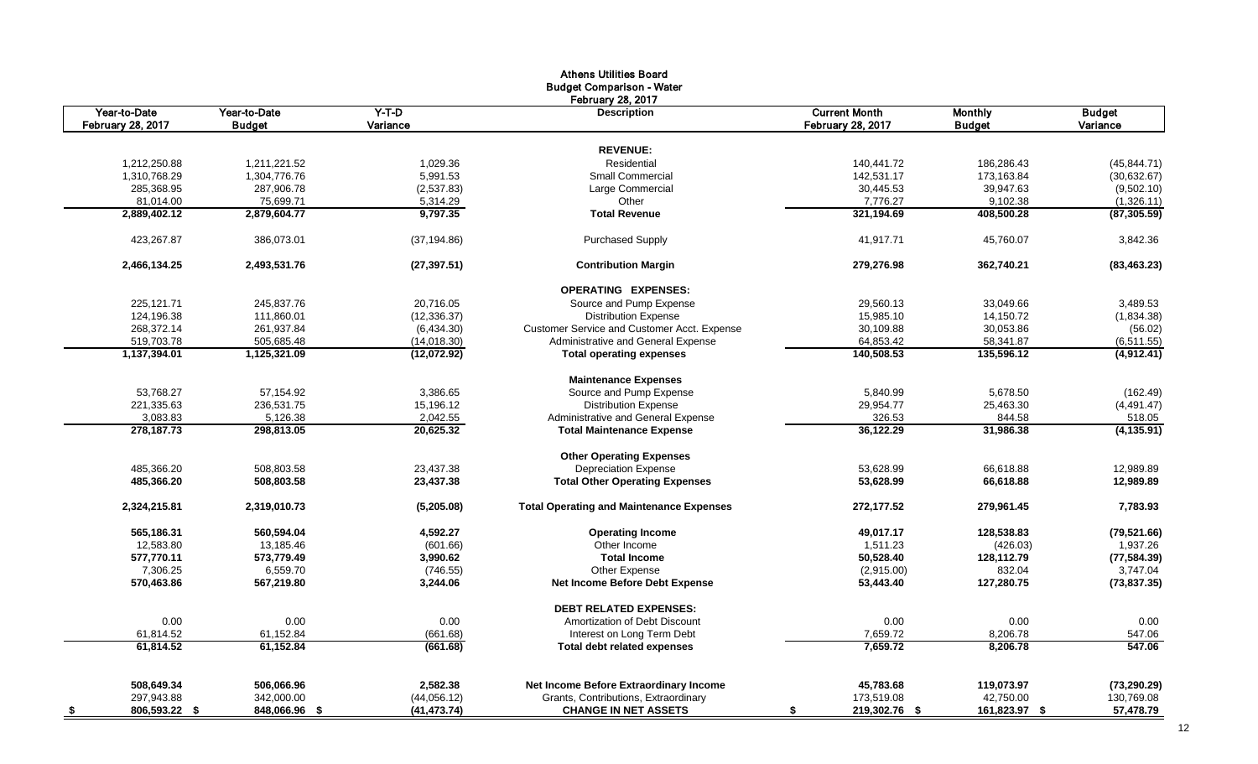|                                   |                               |                     | <b>Athens Utilities Board</b><br><b>Budget Comparison - Water</b> |                                                  |                                 |                           |
|-----------------------------------|-------------------------------|---------------------|-------------------------------------------------------------------|--------------------------------------------------|---------------------------------|---------------------------|
|                                   |                               |                     | <b>February 28, 2017</b>                                          |                                                  |                                 |                           |
| Year-to-Date<br>February 28, 2017 | Year-to-Date<br><b>Budget</b> | $Y-T-D$<br>Variance | <b>Description</b>                                                | <b>Current Month</b><br><b>February 28, 2017</b> | <b>Monthly</b><br><b>Budget</b> | <b>Budget</b><br>Variance |
|                                   |                               |                     |                                                                   |                                                  |                                 |                           |
|                                   |                               |                     | <b>REVENUE:</b>                                                   |                                                  |                                 |                           |
| 1,212,250.88                      | 1,211,221.52                  | 1,029.36            | Residential                                                       | 140.441.72                                       | 186,286.43                      | (45, 844.71)              |
| 1,310,768.29                      | 1,304,776.76                  | 5,991.53            | <b>Small Commercial</b>                                           | 142,531.17                                       | 173,163.84                      | (30, 632.67)              |
| 285,368.95                        | 287,906.78                    | (2,537.83)          | Large Commercial                                                  | 30,445.53                                        | 39,947.63                       | (9,502.10)                |
| 81,014.00                         | 75,699.71                     | 5,314.29            | Other                                                             | 7,776.27                                         | 9,102.38                        | (1,326.11)                |
| 2,889,402.12                      | 2,879,604.77                  | 9,797.35            | <b>Total Revenue</b>                                              | 321,194.69                                       | 408,500.28                      | (87, 305.59)              |
| 423,267.87                        | 386,073.01                    | (37, 194.86)        | <b>Purchased Supply</b>                                           | 41,917.71                                        | 45,760.07                       | 3,842.36                  |
| 2,466,134.25                      | 2,493,531.76                  | (27, 397.51)        | <b>Contribution Margin</b>                                        | 279,276.98                                       | 362,740.21                      | (83, 463.23)              |
|                                   |                               |                     | <b>OPERATING EXPENSES:</b>                                        |                                                  |                                 |                           |
| 225,121.71                        | 245,837.76                    | 20,716.05           | Source and Pump Expense                                           | 29,560.13                                        | 33,049.66                       | 3,489.53                  |
| 124,196.38                        | 111,860.01                    | (12, 336.37)        | <b>Distribution Expense</b>                                       | 15,985.10                                        | 14,150.72                       | (1,834.38)                |
| 268,372.14                        | 261,937.84                    | (6,434.30)          | Customer Service and Customer Acct. Expense                       | 30,109.88                                        | 30,053.86                       | (56.02)                   |
| 519,703.78                        | 505,685.48                    | (14,018.30)         | Administrative and General Expense                                | 64,853.42                                        | 58,341.87                       | (6,511.55)                |
| 1,137,394.01                      | 1,125,321.09                  | (12,072.92)         | <b>Total operating expenses</b>                                   | 140,508.53                                       | 135,596.12                      | (4,912.41)                |
|                                   |                               |                     | <b>Maintenance Expenses</b>                                       |                                                  |                                 |                           |
| 53,768.27                         | 57,154.92                     | 3,386.65            | Source and Pump Expense                                           | 5,840.99                                         | 5,678.50                        | (162.49)                  |
| 221,335.63                        | 236,531.75                    | 15,196.12           | <b>Distribution Expense</b>                                       | 29,954.77                                        | 25,463.30                       | (4,491.47)                |
| 3,083.83                          | 5,126.38                      | 2,042.55            | Administrative and General Expense                                | 326.53                                           | 844.58                          | 518.05                    |
| 278,187.73                        | 298,813.05                    | 20,625.32           | <b>Total Maintenance Expense</b>                                  | 36,122.29                                        | 31,986.38                       | (4, 135.91)               |
|                                   |                               |                     | <b>Other Operating Expenses</b>                                   |                                                  |                                 |                           |
| 485,366.20                        | 508,803.58                    | 23,437.38           | <b>Depreciation Expense</b>                                       | 53,628.99                                        | 66,618.88                       | 12,989.89                 |
| 485.366.20                        | 508,803.58                    | 23,437.38           | <b>Total Other Operating Expenses</b>                             | 53,628.99                                        | 66.618.88                       | 12,989.89                 |
| 2,324,215.81                      | 2,319,010.73                  | (5,205.08)          | <b>Total Operating and Maintenance Expenses</b>                   | 272,177.52                                       | 279,961.45                      | 7,783.93                  |
| 565,186.31                        | 560,594.04                    | 4,592.27            | <b>Operating Income</b>                                           | 49,017.17                                        | 128,538.83                      | (79, 521.66)              |
| 12,583.80                         | 13,185.46                     | (601.66)            | Other Income                                                      | 1,511.23                                         | (426.03)                        | 1,937.26                  |
| 577,770.11                        | 573,779.49                    | 3,990.62            | <b>Total Income</b>                                               | 50,528.40                                        | 128,112.79                      | (77, 584.39)              |
| 7,306.25                          | 6,559.70                      | (746.55)            | Other Expense                                                     | (2,915.00)                                       | 832.04                          | 3,747.04                  |
| 570,463.86                        | 567,219.80                    | 3,244.06            | <b>Net Income Before Debt Expense</b>                             | 53,443.40                                        | 127,280.75                      | (73, 837.35)              |
|                                   |                               |                     | <b>DEBT RELATED EXPENSES:</b>                                     |                                                  |                                 |                           |
| 0.00                              | 0.00                          | 0.00                | Amortization of Debt Discount                                     | 0.00                                             | 0.00                            | 0.00                      |
| 61,814.52                         | 61,152.84                     | (661.68)            | Interest on Long Term Debt                                        | 7,659.72                                         | 8,206.78                        | 547.06                    |
| 61,814.52                         | 61,152.84                     | (661.68)            | <b>Total debt related expenses</b>                                | 7,659.72                                         | 8,206.78                        | 547.06                    |
| 508,649.34                        | 506,066.96                    | 2,582.38            | Net Income Before Extraordinary Income                            | 45,783.68                                        | 119,073.97                      | (73, 290.29)              |
| 297,943.88                        | 342,000.00                    | (44,056.12)         | Grants, Contributions, Extraordinary                              | 173,519.08                                       | 42,750.00                       | 130,769.08                |
| 806,593.22 \$<br>- \$             | 848,066.96 \$                 | (41, 473.74)        | <b>CHANGE IN NET ASSETS</b>                                       | 219,302.76 \$<br>\$                              | 161,823.97 \$                   | 57,478.79                 |
|                                   |                               |                     |                                                                   |                                                  |                                 |                           |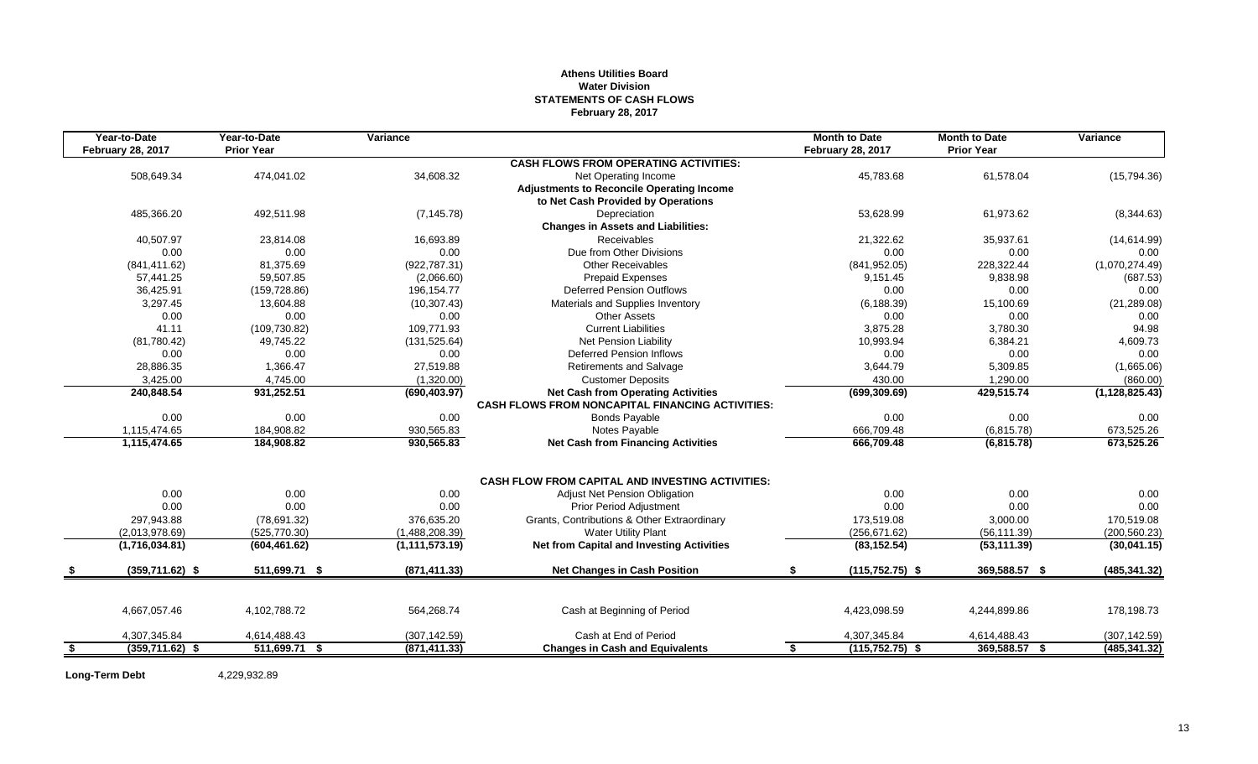# **Athens Utilities Board Water Division STATEMENTS OF CASH FLOWS February 28, 2017**

|      | Year-to-Date             | Year-to-Date      | Variance         |                                                         | <b>Month to Date</b>     | <b>Month to Date</b> | Variance         |
|------|--------------------------|-------------------|------------------|---------------------------------------------------------|--------------------------|----------------------|------------------|
|      | <b>February 28, 2017</b> | <b>Prior Year</b> |                  |                                                         | <b>February 28, 2017</b> | <b>Prior Year</b>    |                  |
|      |                          |                   |                  | <b>CASH FLOWS FROM OPERATING ACTIVITIES:</b>            |                          |                      |                  |
|      | 508,649.34               | 474,041.02        | 34,608.32        | Net Operating Income                                    | 45,783.68                | 61,578.04            | (15,794.36)      |
|      |                          |                   |                  | <b>Adjustments to Reconcile Operating Income</b>        |                          |                      |                  |
|      |                          |                   |                  | to Net Cash Provided by Operations                      |                          |                      |                  |
|      | 485,366.20               | 492,511.98        | (7, 145.78)      | Depreciation                                            | 53,628.99                | 61,973.62            | (8,344.63)       |
|      |                          |                   |                  | <b>Changes in Assets and Liabilities:</b>               |                          |                      |                  |
|      | 40,507.97                | 23,814.08         | 16.693.89        | <b>Receivables</b>                                      | 21,322.62                | 35.937.61            | (14,614.99)      |
|      | 0.00                     | 0.00              | 0.00             | Due from Other Divisions                                | 0.00                     | 0.00                 | 0.00             |
|      | (841, 411.62)            | 81,375.69         | (922, 787.31)    | <b>Other Receivables</b>                                | (841, 952.05)            | 228,322.44           | (1,070,274.49)   |
|      | 57,441.25                | 59,507.85         | (2,066.60)       | Prepaid Expenses                                        | 9,151.45                 | 9,838.98             | (687.53)         |
|      | 36,425.91                | (159, 728.86)     | 196, 154. 77     | <b>Deferred Pension Outflows</b>                        | 0.00                     | 0.00                 | 0.00             |
|      | 3,297.45                 | 13,604.88         | (10, 307.43)     | Materials and Supplies Inventory                        | (6, 188.39)              | 15,100.69            | (21, 289.08)     |
|      | 0.00                     | 0.00              | 0.00             | <b>Other Assets</b>                                     | 0.00                     | 0.00                 | 0.00             |
|      | 41.11                    | (109, 730.82)     | 109,771.93       | <b>Current Liabilities</b>                              | 3,875.28                 | 3,780.30             | 94.98            |
|      | (81,780.42)              | 49,745.22         | (131, 525.64)    | Net Pension Liability                                   | 10,993.94                | 6,384.21             | 4,609.73         |
|      | 0.00                     | 0.00              | 0.00             | <b>Deferred Pension Inflows</b>                         | 0.00                     | 0.00                 | 0.00             |
|      | 28,886.35                | 1,366.47          | 27,519.88        | Retirements and Salvage                                 | 3,644.79                 | 5,309.85             | (1,665.06)       |
|      | 3,425.00                 | 4,745.00          | (1,320.00)       | <b>Customer Deposits</b>                                | 430.00                   | 1,290.00             | (860.00)         |
|      | 240,848.54               | 931,252.51        | (690, 403.97)    | <b>Net Cash from Operating Activities</b>               | (699, 309.69)            | 429,515.74           | (1, 128, 825.43) |
|      |                          |                   |                  | <b>CASH FLOWS FROM NONCAPITAL FINANCING ACTIVITIES:</b> |                          |                      |                  |
|      | 0.00                     | 0.00              | 0.00             | <b>Bonds Payable</b>                                    | 0.00                     | 0.00                 | 0.00             |
|      | 1,115,474.65             | 184,908.82        | 930,565.83       | Notes Payable                                           | 666,709.48               | (6,815.78)           | 673,525.26       |
|      | 1,115,474.65             | 184,908.82        | 930,565.83       | <b>Net Cash from Financing Activities</b>               | 666,709.48               | (6,815.78)           | 673,525.26       |
|      |                          |                   |                  |                                                         |                          |                      |                  |
|      |                          |                   |                  | <b>CASH FLOW FROM CAPITAL AND INVESTING ACTIVITIES:</b> |                          |                      |                  |
|      | 0.00                     | 0.00              | 0.00             | <b>Adjust Net Pension Obligation</b>                    | 0.00                     | 0.00                 | 0.00             |
|      | 0.00                     | 0.00              | 0.00             | <b>Prior Period Adjustment</b>                          | 0.00                     | 0.00                 | 0.00             |
|      | 297,943.88               | (78, 691.32)      | 376,635.20       | Grants, Contributions & Other Extraordinary             | 173,519.08               | 3,000.00             | 170,519.08       |
|      | (2,013,978.69)           | (525, 770.30)     | (1,488,208.39)   | <b>Water Utility Plant</b>                              | (256, 671.62)            | (56, 111.39)         | (200, 560.23)    |
|      | (1,716,034.81)           | (604, 461.62)     | (1, 111, 573.19) | <b>Net from Capital and Investing Activities</b>        | (83, 152.54)             | (53, 111.39)         | (30,041.15)      |
|      | $(359,711.62)$ \$        | 511,699.71 \$     | (871, 411.33)    | <b>Net Changes in Cash Position</b>                     | $(115, 752.75)$ \$<br>\$ | 369,588.57 \$        | (485, 341.32)    |
|      |                          |                   |                  |                                                         |                          |                      |                  |
|      |                          |                   |                  |                                                         |                          |                      |                  |
|      | 4,667,057.46             | 4,102,788.72      | 564,268.74       | Cash at Beginning of Period                             | 4,423,098.59             | 4,244,899.86         | 178,198.73       |
|      | 4,307,345.84             | 4,614,488.43      | (307, 142.59)    | Cash at End of Period                                   | 4,307,345.84             | 4,614,488.43         | (307, 142.59)    |
| - \$ | $(359,711.62)$ \$        | 511,699.71 \$     | (871, 411.33)    | <b>Changes in Cash and Equivalents</b>                  | $(115, 752.75)$ \$<br>\$ | 369,588.57 \$        | (485, 341.32)    |
|      |                          |                   |                  |                                                         |                          |                      |                  |

**Long-Term Debt** 4,229,932.89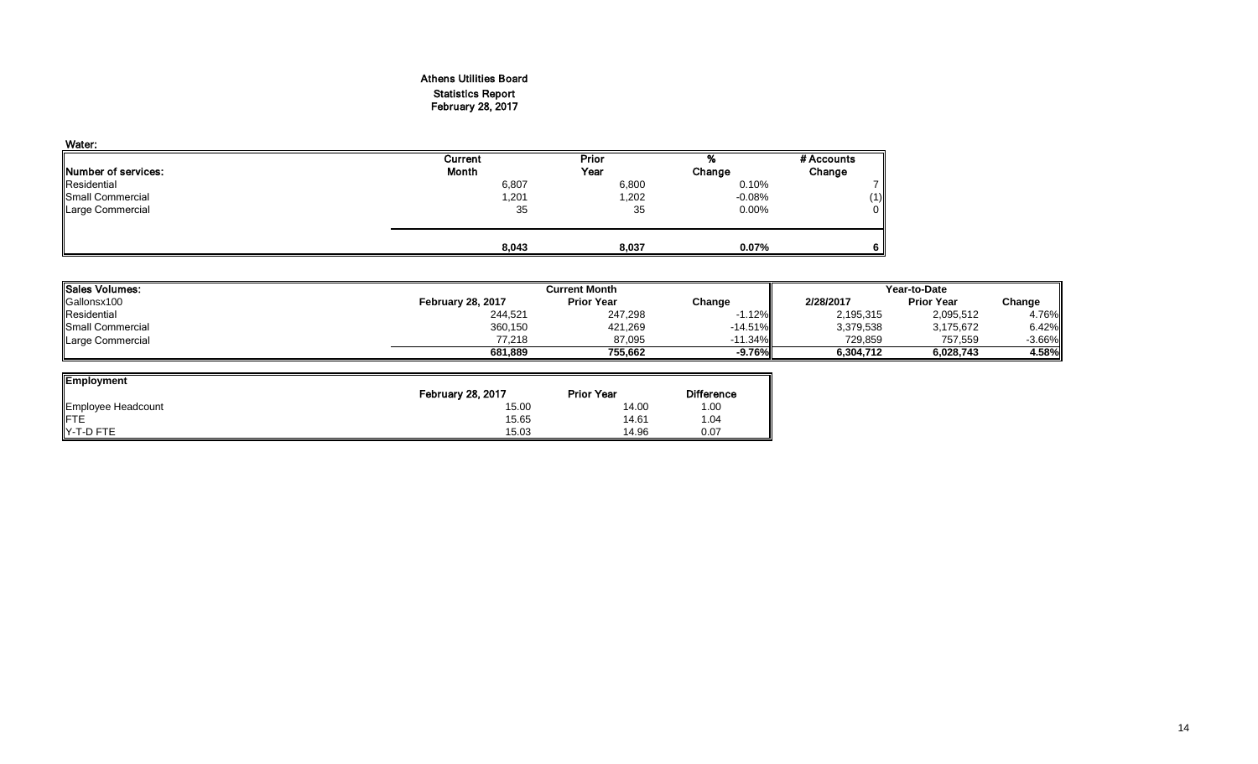# Athens Utilities Board Statistics Report February 28, 2017

| Water:                      |              |       |          |            |
|-----------------------------|--------------|-------|----------|------------|
|                             | Current      | Prior | %        | # Accounts |
| <b>INumber of services:</b> | <b>Month</b> | Year  | Change   | Change     |
| Residential                 | 6,807        | 6,800 | 0.10%    |            |
| Small Commercial            | 201,ا        | 1,202 | $-0.08%$ | (1)        |
| Large Commercial            | 35           | 35    | $0.00\%$ | $\Omega$   |
|                             | 8,043        | 8,037 | 0.07%    | 6          |

| Sales Volumes:            |                          | <b>Current Month</b> |            |           |                   |          |
|---------------------------|--------------------------|----------------------|------------|-----------|-------------------|----------|
| Gallonsx100               | <b>February 28, 2017</b> | <b>Prior Year</b>    | Change     | 2/28/2017 | <b>Prior Year</b> | Change   |
| Residential               | 244,521                  | 247,298              | 1.12%      | 2,195,315 | 2,095,512         | 4.76%    |
| <b>I</b> Small Commercial | 360,150                  | 421,269              | $-14.51%$  | 3,379,538 | 3,175,672         | 6.42%    |
| Large Commercial          | 77.218                   | 87.095               | $-11.34\%$ | 729,859   | 757.559           | $-3.66%$ |
|                           | 681.889                  | 755.662              | $-9.76%$   | 6,304,712 | 6.028.743         | 4.58%    |

| <b>Employment</b>  |                          |                   |                   |
|--------------------|--------------------------|-------------------|-------------------|
|                    | <b>February 28, 2017</b> | <b>Prior Year</b> | <b>Difference</b> |
| Employee Headcount | 15.00                    | 14.00             | 1.00              |
| <b>FTE</b>         | 15.65                    | 14.61             | 1.04              |
| Y-T-D FTE          | 15.03                    | 14.96             | 0.07              |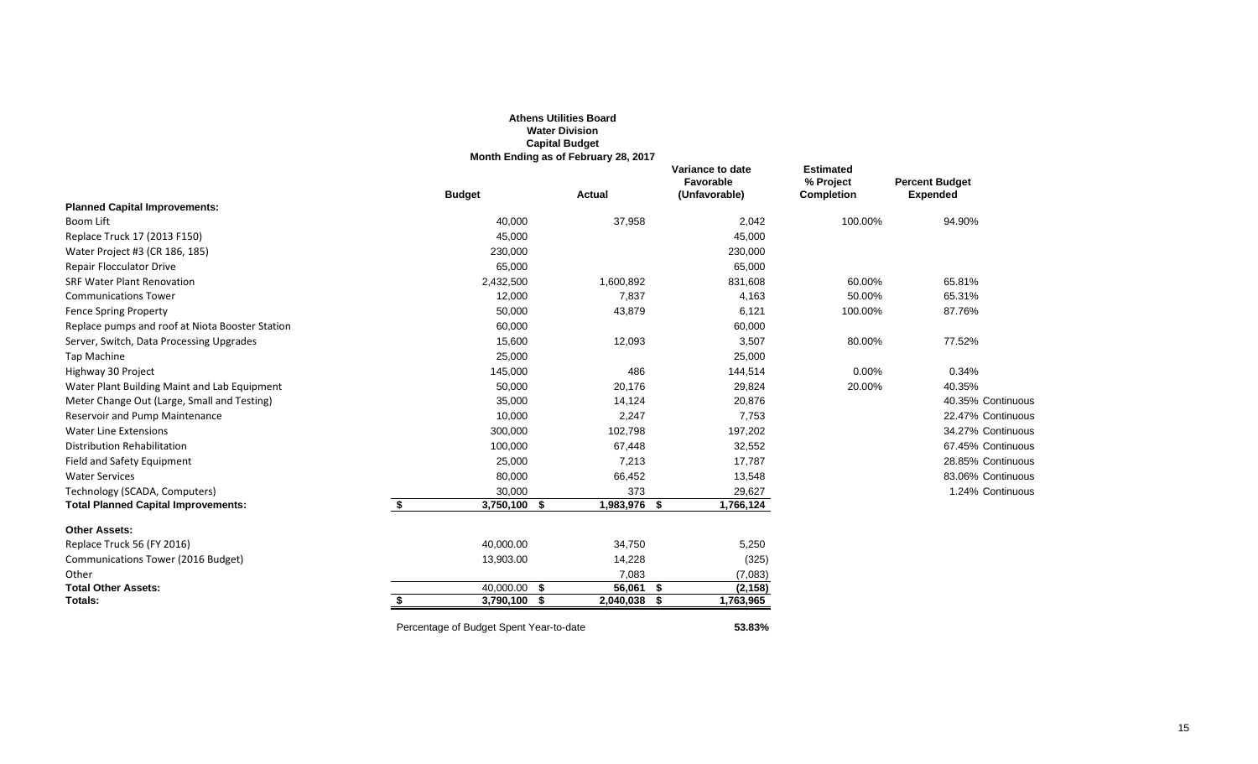|                                                 |    |                                         | <b>Athens Utilities Board</b><br><b>Water Division</b><br><b>Capital Budget</b><br>Month Ending as of February 28, 2017 |                                                |                                                    |                                          |
|-------------------------------------------------|----|-----------------------------------------|-------------------------------------------------------------------------------------------------------------------------|------------------------------------------------|----------------------------------------------------|------------------------------------------|
|                                                 |    | <b>Budget</b>                           | <b>Actual</b>                                                                                                           | Variance to date<br>Favorable<br>(Unfavorable) | <b>Estimated</b><br>% Project<br><b>Completion</b> | <b>Percent Budget</b><br><b>Expended</b> |
| <b>Planned Capital Improvements:</b>            |    |                                         |                                                                                                                         |                                                |                                                    |                                          |
| Boom Lift                                       |    | 40,000                                  | 37,958                                                                                                                  | 2,042                                          | 100.00%                                            | 94.90%                                   |
| Replace Truck 17 (2013 F150)                    |    | 45,000                                  |                                                                                                                         | 45,000                                         |                                                    |                                          |
| Water Project #3 (CR 186, 185)                  |    | 230,000                                 |                                                                                                                         | 230,000                                        |                                                    |                                          |
| <b>Repair Flocculator Drive</b>                 |    | 65,000                                  |                                                                                                                         | 65,000                                         |                                                    |                                          |
| <b>SRF Water Plant Renovation</b>               |    | 2,432,500                               | 1,600,892                                                                                                               | 831,608                                        | 60.00%                                             | 65.81%                                   |
| <b>Communications Tower</b>                     |    | 12,000                                  | 7,837                                                                                                                   | 4,163                                          | 50.00%                                             | 65.31%                                   |
| <b>Fence Spring Property</b>                    |    | 50,000                                  | 43,879                                                                                                                  | 6,121                                          | 100.00%                                            | 87.76%                                   |
| Replace pumps and roof at Niota Booster Station |    | 60,000                                  |                                                                                                                         | 60,000                                         |                                                    |                                          |
| Server, Switch, Data Processing Upgrades        |    | 15,600                                  | 12,093                                                                                                                  | 3,507                                          | 80.00%                                             | 77.52%                                   |
| Tap Machine                                     |    | 25,000                                  |                                                                                                                         | 25,000                                         |                                                    |                                          |
| Highway 30 Project                              |    | 145,000                                 | 486                                                                                                                     | 144,514                                        | 0.00%                                              | 0.34%                                    |
| Water Plant Building Maint and Lab Equipment    |    | 50,000                                  | 20,176                                                                                                                  | 29,824                                         | 20.00%                                             | 40.35%                                   |
| Meter Change Out (Large, Small and Testing)     |    | 35,000                                  | 14,124                                                                                                                  | 20,876                                         |                                                    | 40.35% Continuous                        |
| Reservoir and Pump Maintenance                  |    | 10,000                                  | 2,247                                                                                                                   | 7,753                                          |                                                    | 22.47% Continuous                        |
| <b>Water Line Extensions</b>                    |    | 300,000                                 | 102,798                                                                                                                 | 197,202                                        |                                                    | 34.27% Continuous                        |
| <b>Distribution Rehabilitation</b>              |    | 100,000                                 | 67,448                                                                                                                  | 32,552                                         |                                                    | 67.45% Continuous                        |
| Field and Safety Equipment                      |    | 25,000                                  | 7,213                                                                                                                   | 17,787                                         |                                                    | 28.85% Continuous                        |
| <b>Water Services</b>                           |    | 80,000                                  | 66,452                                                                                                                  | 13,548                                         |                                                    | 83.06% Continuous                        |
| Technology (SCADA, Computers)                   |    | 30,000                                  | 373                                                                                                                     | 29,627                                         |                                                    | 1.24% Continuous                         |
| <b>Total Planned Capital Improvements:</b>      | \$ | $3,750,100$ \$                          | 1,983,976 \$                                                                                                            | 1,766,124                                      |                                                    |                                          |
| <b>Other Assets:</b>                            |    |                                         |                                                                                                                         |                                                |                                                    |                                          |
| Replace Truck 56 (FY 2016)                      |    | 40,000.00                               | 34,750                                                                                                                  | 5,250                                          |                                                    |                                          |
| Communications Tower (2016 Budget)              |    | 13,903.00                               | 14,228                                                                                                                  | (325)                                          |                                                    |                                          |
| Other                                           |    |                                         | 7,083                                                                                                                   | (7,083)                                        |                                                    |                                          |
| <b>Total Other Assets:</b>                      |    | $40,000.00$ \$                          | $56,061$ \$                                                                                                             | (2, 158)                                       |                                                    |                                          |
| Totals:                                         | S. | 3,790,100 \$                            | 2,040,038 \$                                                                                                            | 1,763,965                                      |                                                    |                                          |
|                                                 |    | Percentage of Budget Spent Year-to-date |                                                                                                                         | 53.83%                                         |                                                    |                                          |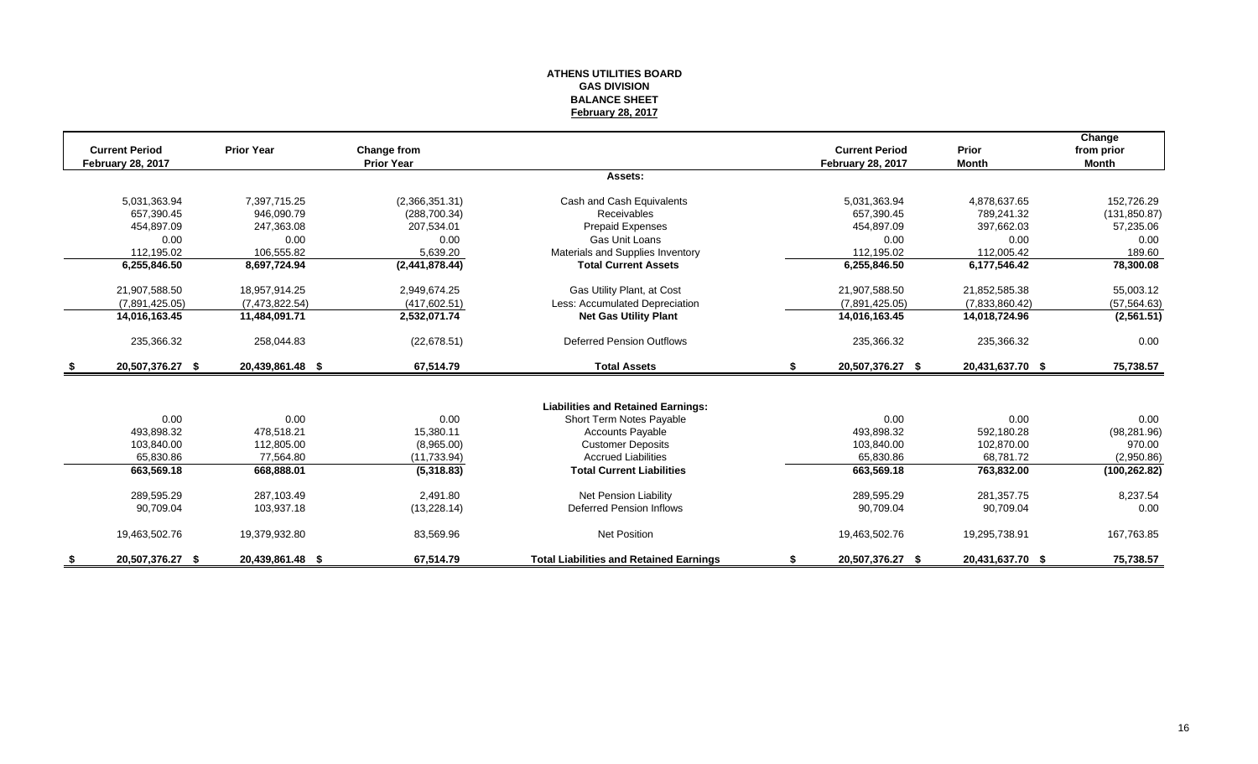#### **ATHENS UTILITIES BOARD GAS DIVISION BALANCE SHEET February 28, 2017**

| <b>Current Period</b>    | <b>Prior Year</b> | Change from       |                                                | <b>Current Period</b>    | Prior            | Change<br>from prior |
|--------------------------|-------------------|-------------------|------------------------------------------------|--------------------------|------------------|----------------------|
| <b>February 28, 2017</b> |                   | <b>Prior Year</b> |                                                | <b>February 28, 2017</b> | <b>Month</b>     | Month                |
|                          |                   |                   | Assets:                                        |                          |                  |                      |
| 5,031,363.94             | 7,397,715.25      | (2,366,351.31)    | Cash and Cash Equivalents                      | 5,031,363.94             | 4,878,637.65     | 152,726.29           |
| 657.390.45               | 946,090.79        | (288, 700.34)     | <b>Receivables</b>                             | 657,390.45               | 789.241.32       | (131, 850.87)        |
| 454.897.09               | 247,363.08        | 207.534.01        | Prepaid Expenses                               | 454.897.09               | 397.662.03       | 57,235.06            |
| 0.00                     | 0.00              | 0.00              | <b>Gas Unit Loans</b>                          | 0.00                     | 0.00             | 0.00                 |
| 112,195.02               | 106,555.82        | 5,639.20          | Materials and Supplies Inventory               | 112.195.02               | 112.005.42       | 189.60               |
| 6,255,846.50             | 8,697,724.94      | (2,441,878.44)    | <b>Total Current Assets</b>                    | 6,255,846.50             | 6,177,546.42     | 78,300.08            |
| 21,907,588.50            | 18,957,914.25     | 2,949,674.25      | Gas Utility Plant, at Cost                     | 21,907,588.50            | 21,852,585.38    | 55,003.12            |
| (7,891,425.05)           | (7,473,822.54)    | (417, 602.51)     | Less: Accumulated Depreciation                 | (7,891,425.05)           | (7,833,860.42)   | (57, 564.63)         |
| 14,016,163.45            | 11,484,091.71     | 2,532,071.74      | <b>Net Gas Utility Plant</b>                   | 14,016,163.45            | 14,018,724.96    | (2, 561.51)          |
| 235,366.32               | 258,044.83        | (22, 678.51)      | <b>Deferred Pension Outflows</b>               | 235,366.32               | 235,366.32       | 0.00                 |
| 20,507,376.27 \$         | 20,439,861.48 \$  | 67,514.79         | <b>Total Assets</b>                            | \$<br>20,507,376.27 \$   | 20,431,637.70 \$ | 75,738.57            |
|                          |                   |                   |                                                |                          |                  |                      |
|                          |                   |                   | <b>Liabilities and Retained Earnings:</b>      |                          |                  |                      |
| 0.00                     | 0.00              | 0.00              | Short Term Notes Payable                       | 0.00                     | 0.00             | 0.00                 |
| 493.898.32               | 478.518.21        | 15.380.11         | <b>Accounts Payable</b>                        | 493.898.32               | 592,180.28       | (98, 281.96)         |
| 103,840.00               | 112,805.00        | (8,965.00)        | <b>Customer Deposits</b>                       | 103,840.00               | 102,870.00       | 970.00               |
| 65.830.86                | 77.564.80         | (11, 733.94)      | <b>Accrued Liabilities</b>                     | 65,830.86                | 68.781.72        | (2,950.86)           |
| 663,569.18               | 668,888.01        | (5,318.83)        | <b>Total Current Liabilities</b>               | 663,569.18               | 763,832.00       | (100, 262.82)        |
| 289,595.29               | 287.103.49        | 2.491.80          | Net Pension Liability                          | 289,595.29               | 281,357.75       | 8,237.54             |
| 90,709.04                | 103,937.18        | (13, 228.14)      | Deferred Pension Inflows                       | 90,709.04                | 90,709.04        | 0.00                 |
| 19,463,502.76            | 19,379,932.80     | 83,569.96         | <b>Net Position</b>                            | 19,463,502.76            | 19,295,738.91    | 167,763.85           |
| 20,507,376.27 \$         | 20,439,861.48 \$  | 67.514.79         | <b>Total Liabilities and Retained Earnings</b> | 20,507,376.27 \$         | 20,431,637.70 \$ | 75,738.57            |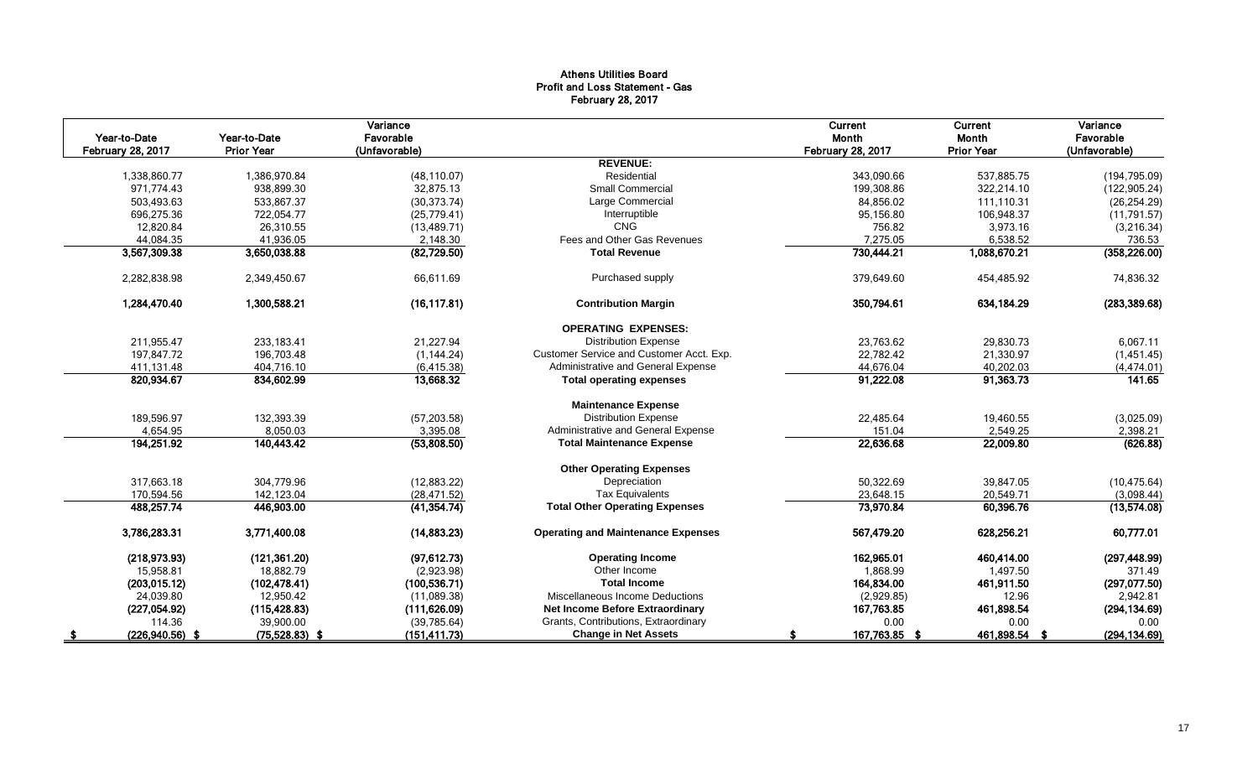# Athens Utilities Board Profit and Loss Statement - Gas February 28, 2017

|                          |                                   | Variance      |                                           | Current                  | Current           | Variance      |
|--------------------------|-----------------------------------|---------------|-------------------------------------------|--------------------------|-------------------|---------------|
| Year-to-Date             | Year-to-Date<br><b>Prior Year</b> | Favorable     |                                           | Month                    | Month             | Favorable     |
| <b>February 28, 2017</b> |                                   | (Unfavorable) | <b>REVENUE:</b>                           | <b>February 28, 2017</b> | <b>Prior Year</b> | (Unfavorable) |
| 1,338,860.77             | 1,386,970.84                      | (48, 110.07)  | Residential                               | 343.090.66               | 537,885.75        | (194, 795.09) |
| 971.774.43               | 938.899.30                        | 32.875.13     | <b>Small Commercial</b>                   | 199.308.86               | 322.214.10        | (122, 905.24) |
| 503,493.63               | 533,867.37                        | (30, 373.74)  | Large Commercial                          | 84,856.02                | 111,110.31        | (26, 254.29)  |
| 696,275.36               | 722,054.77                        | (25, 779.41)  | Interruptible                             | 95,156.80                | 106,948.37        | (11, 791.57)  |
| 12,820.84                | 26,310.55                         | (13, 489.71)  | <b>CNG</b>                                | 756.82                   | 3,973.16          | (3,216.34)    |
| 44,084.35                | 41,936.05                         | 2,148.30      | Fees and Other Gas Revenues               | 7,275.05                 | 6,538.52          | 736.53        |
| 3,567,309.38             | 3,650,038.88                      | (82, 729.50)  | <b>Total Revenue</b>                      | 730,444.21               | 1,088,670.21      | (358, 226.00) |
| 2,282,838.98             | 2,349,450.67                      | 66,611.69     | Purchased supply                          | 379,649.60               | 454,485.92        | 74,836.32     |
| 1,284,470.40             | 1,300,588.21                      | (16, 117.81)  | <b>Contribution Margin</b>                | 350,794.61               | 634,184.29        | (283, 389.68) |
|                          |                                   |               | <b>OPERATING EXPENSES:</b>                |                          |                   |               |
| 211,955.47               | 233,183.41                        | 21,227.94     | <b>Distribution Expense</b>               | 23,763.62                | 29,830.73         | 6,067.11      |
| 197,847.72               | 196,703.48                        | (1, 144.24)   | Customer Service and Customer Acct. Exp.  | 22,782.42                | 21,330.97         | (1,451.45)    |
| 411,131.48               | 404,716.10                        | (6, 415.38)   | Administrative and General Expense        | 44,676.04                | 40,202.03         | (4, 474.01)   |
| 820,934.67               | 834,602.99                        | 13,668.32     | <b>Total operating expenses</b>           | 91,222.08                | 91,363.73         | 141.65        |
|                          |                                   |               | <b>Maintenance Expense</b>                |                          |                   |               |
| 189,596.97               | 132,393.39                        | (57, 203.58)  | <b>Distribution Expense</b>               | 22,485.64                | 19,460.55         | (3,025.09)    |
| 4,654.95                 | 8,050.03                          | 3,395.08      | Administrative and General Expense        | 151.04                   | 2,549.25          | 2,398.21      |
| 194,251.92               | 140,443.42                        | (53,808.50)   | <b>Total Maintenance Expense</b>          | 22,636.68                | 22,009.80         | (626.88)      |
|                          |                                   |               | <b>Other Operating Expenses</b>           |                          |                   |               |
| 317,663.18               | 304,779.96                        | (12,883.22)   | Depreciation                              | 50,322.69                | 39,847.05         | (10, 475.64)  |
| 170,594.56               | 142,123.04                        | (28, 471.52)  | <b>Tax Equivalents</b>                    | 23,648.15                | 20,549.71         | (3,098.44)    |
| 488,257.74               | 446,903.00                        | (41, 354.74)  | <b>Total Other Operating Expenses</b>     | 73,970.84                | 60,396.76         | (13,574.08)   |
| 3,786,283.31             | 3,771,400.08                      | (14, 883.23)  | <b>Operating and Maintenance Expenses</b> | 567,479.20               | 628,256.21        | 60,777.01     |
| (218, 973.93)            | (121, 361.20)                     | (97, 612.73)  | <b>Operating Income</b>                   | 162,965.01               | 460.414.00        | (297, 448.99) |
| 15,958.81                | 18,882.79                         | (2,923.98)    | Other Income                              | 1,868.99                 | 1,497.50          | 371.49        |
| (203, 015.12)            | (102, 478.41)                     | (100, 536.71) | <b>Total Income</b>                       | 164,834.00               | 461,911.50        | (297, 077.50) |
| 24,039.80                | 12,950.42                         | (11,089.38)   | Miscellaneous Income Deductions           | (2,929.85)               | 12.96             | 2,942.81      |
| (227, 054.92)            | (115, 428.83)                     | (111, 626.09) | Net Income Before Extraordinary           | 167,763.85               | 461,898.54        | (294, 134.69) |
| 114.36                   | 39,900.00                         | (39, 785.64)  | Grants, Contributions, Extraordinary      | 0.00                     | 0.00              | 0.00          |
| $(226,940.56)$ \$        | $(75,528.83)$ \$                  | (151, 411.73) | <b>Change in Net Assets</b>               | 167,763.85 \$            | 461,898.54 \$     | (294, 134.69) |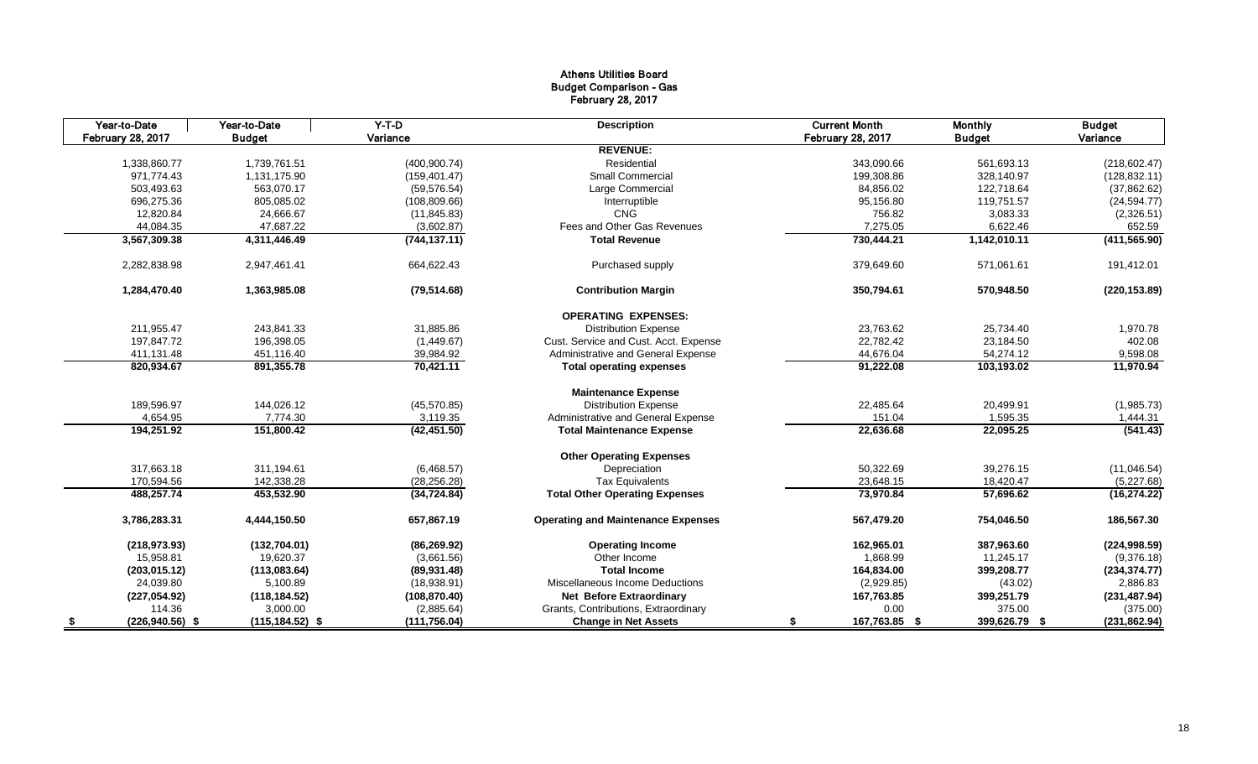# Athens Utilities Board Budget Comparison - Gas February 28, 2017

| Year-to-Date            | Year-to-Date       | $Y-T-D$       | <b>Description</b>                        | <b>Current Month</b> | <b>Monthly</b> | <b>Budget</b> |
|-------------------------|--------------------|---------------|-------------------------------------------|----------------------|----------------|---------------|
| February 28, 2017       | <b>Budget</b>      | Variance      |                                           | February 28, 2017    | <b>Budget</b>  | Variance      |
|                         |                    |               | <b>REVENUE:</b>                           |                      |                |               |
| 1,338,860.77            | 1,739,761.51       | (400, 900.74) | Residential                               | 343.090.66           | 561,693.13     | (218, 602.47) |
| 971,774.43              | 1,131,175.90       | (159, 401.47) | <b>Small Commercial</b>                   | 199,308.86           | 328,140.97     | (128, 832.11) |
| 503,493.63              | 563,070.17         | (59, 576.54)  | Large Commercial                          | 84,856.02            | 122.718.64     | (37,862.62)   |
| 696,275.36              | 805,085.02         | (108, 809.66) | Interruptible                             | 95,156.80            | 119,751.57     | (24, 594.77)  |
| 12,820.84               | 24,666.67          | (11, 845.83)  | <b>CNG</b>                                | 756.82               | 3,083.33       | (2,326.51)    |
| 44,084.35               | 47,687.22          | (3,602.87)    | Fees and Other Gas Revenues               | 7,275.05             | 6,622.46       | 652.59        |
| 3,567,309.38            | 4,311,446.49       | (744, 137.11) | <b>Total Revenue</b>                      | 730,444.21           | 1,142,010.11   | (411, 565.90) |
| 2,282,838.98            | 2,947,461.41       | 664,622.43    | Purchased supply                          | 379,649.60           | 571,061.61     | 191,412.01    |
| 1,284,470.40            | 1,363,985.08       | (79, 514.68)  | <b>Contribution Margin</b>                | 350,794.61           | 570,948.50     | (220, 153.89) |
|                         |                    |               | <b>OPERATING EXPENSES:</b>                |                      |                |               |
| 211,955.47              | 243,841.33         | 31,885.86     | <b>Distribution Expense</b>               | 23,763.62            | 25,734.40      | 1,970.78      |
| 197,847.72              | 196,398.05         | (1,449.67)    | Cust. Service and Cust. Acct. Expense     | 22,782.42            | 23,184.50      | 402.08        |
| 411,131.48              | 451.116.40         | 39,984.92     | Administrative and General Expense        | 44,676.04            | 54,274.12      | 9,598.08      |
| 820,934.67              | 891,355.78         | 70,421.11     | <b>Total operating expenses</b>           | 91,222.08            | 103,193.02     | 11,970.94     |
|                         |                    |               | <b>Maintenance Expense</b>                |                      |                |               |
| 189,596.97              | 144,026.12         | (45, 570.85)  | <b>Distribution Expense</b>               | 22,485.64            | 20,499.91      | (1,985.73)    |
| 4,654.95                | 7,774.30           | 3,119.35      | Administrative and General Expense        | 151.04               | 1,595.35       | 1,444.31      |
| 194,251.92              | 151,800.42         | (42, 451.50)  | <b>Total Maintenance Expense</b>          | 22,636.68            | 22,095.25      | (541.43)      |
|                         |                    |               | <b>Other Operating Expenses</b>           |                      |                |               |
| 317,663.18              | 311,194.61         | (6,468.57)    | Depreciation                              | 50,322.69            | 39,276.15      | (11,046.54)   |
| 170,594.56              | 142,338.28         | (28, 256.28)  | <b>Tax Equivalents</b>                    | 23,648.15            | 18,420.47      | (5,227.68)    |
| 488,257.74              | 453,532.90         | (34, 724.84)  | <b>Total Other Operating Expenses</b>     | 73,970.84            | 57,696.62      | (16, 274.22)  |
| 3,786,283.31            | 4,444,150.50       | 657,867.19    | <b>Operating and Maintenance Expenses</b> | 567,479.20           | 754,046.50     | 186,567.30    |
| (218, 973.93)           | (132, 704.01)      | (86, 269.92)  | <b>Operating Income</b>                   | 162,965.01           | 387.963.60     | (224, 998.59) |
| 15,958.81               | 19.620.37          | (3,661.56)    | Other Income                              | 1.868.99             | 11.245.17      | (9,376.18)    |
| (203, 015.12)           | (113,083.64)       | (89, 931.48)  | <b>Total Income</b>                       | 164,834.00           | 399,208.77     | (234, 374.77) |
| 24,039.80               | 5,100.89           | (18,938.91)   | Miscellaneous Income Deductions           | (2,929.85)           | (43.02)        | 2,886.83      |
| (227, 054.92)           | (118, 184.52)      | (108, 870.40) | <b>Net Before Extraordinary</b>           | 167,763.85           | 399,251.79     | (231, 487.94) |
| 114.36                  | 3,000.00           | (2,885.64)    | Grants, Contributions, Extraordinary      | 0.00                 | 375.00         | (375.00)      |
| $(226,940.56)$ \$<br>\$ | $(115, 184.52)$ \$ | (111, 756.04) | <b>Change in Net Assets</b>               | 167,763.85 \$<br>S.  | 399,626.79 \$  | (231, 862.94) |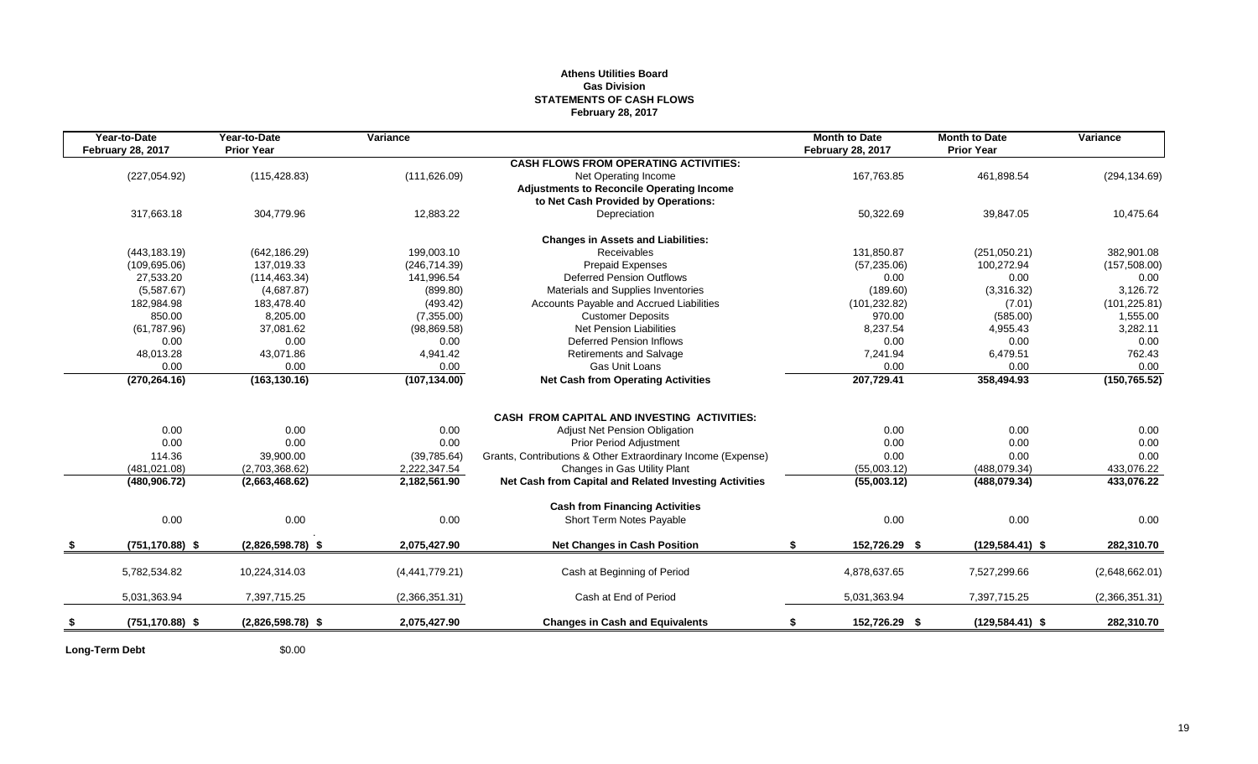# **Athens Utilities Board Gas Division STATEMENTS OF CASH FLOWS February 28, 2017**

| Year-to-Date             | Year-to-Date           | Variance             |                                                                                                                             | <b>Month to Date</b>     | <b>Month to Date</b> | Variance       |
|--------------------------|------------------------|----------------------|-----------------------------------------------------------------------------------------------------------------------------|--------------------------|----------------------|----------------|
| <b>February 28, 2017</b> | <b>Prior Year</b>      |                      |                                                                                                                             | <b>February 28, 2017</b> | <b>Prior Year</b>    |                |
|                          |                        |                      | <b>CASH FLOWS FROM OPERATING ACTIVITIES:</b>                                                                                |                          |                      |                |
| (227, 054.92)            | (115, 428.83)          | (111, 626.09)        | Net Operating Income                                                                                                        | 167,763.85               | 461,898.54           | (294, 134.69)  |
|                          |                        |                      | <b>Adjustments to Reconcile Operating Income</b><br>to Net Cash Provided by Operations:                                     |                          |                      |                |
| 317,663.18               | 304,779.96             | 12,883.22            | Depreciation                                                                                                                | 50,322.69                | 39,847.05            | 10,475.64      |
|                          |                        |                      |                                                                                                                             |                          |                      |                |
|                          |                        |                      | <b>Changes in Assets and Liabilities:</b>                                                                                   |                          |                      |                |
| (443, 183.19)            | (642, 186.29)          | 199,003.10           | <b>Receivables</b>                                                                                                          | 131,850.87               | (251,050.21)         | 382,901.08     |
| (109, 695.06)            | 137.019.33             | (246, 714.39)        | <b>Prepaid Expenses</b>                                                                                                     | (57, 235.06)             | 100,272.94           | (157, 508.00)  |
| 27,533.20                | (114, 463.34)          | 141,996.54           | <b>Deferred Pension Outflows</b>                                                                                            | 0.00                     | 0.00                 | 0.00           |
| (5,587.67)               | (4,687.87)             | (899.80)             | Materials and Supplies Inventories                                                                                          | (189.60)                 | (3,316.32)           | 3,126.72       |
| 182.984.98               | 183.478.40             | (493.42)             | Accounts Payable and Accrued Liabilities                                                                                    | (101, 232.82)            | (7.01)               | (101, 225.81)  |
| 850.00                   | 8,205.00               | (7,355.00)           | <b>Customer Deposits</b>                                                                                                    | 970.00                   | (585.00)             | 1,555.00       |
| (61, 787.96)             | 37,081.62              | (98, 869.58)         | <b>Net Pension Liabilities</b>                                                                                              | 8,237.54                 | 4,955.43             | 3,282.11       |
| 0.00                     | 0.00                   | 0.00                 | <b>Deferred Pension Inflows</b>                                                                                             | 0.00                     | 0.00                 | 0.00           |
| 48,013.28                | 43,071.86              | 4,941.42             | <b>Retirements and Salvage</b>                                                                                              | 7,241.94                 | 6,479.51             | 762.43         |
| 0.00                     | 0.00                   | 0.00                 | Gas Unit Loans                                                                                                              | 0.00                     | 0.00                 | 0.00           |
| (270, 264.16)            | (163, 130.16)          | (107, 134.00)        | <b>Net Cash from Operating Activities</b>                                                                                   | 207,729.41               | 358,494.93           | (150, 765.52)  |
|                          |                        |                      |                                                                                                                             |                          |                      |                |
|                          |                        |                      | <b>CASH FROM CAPITAL AND INVESTING ACTIVITIES:</b>                                                                          |                          |                      |                |
| 0.00                     | 0.00                   | 0.00                 | <b>Adjust Net Pension Obligation</b>                                                                                        | 0.00                     | 0.00                 | 0.00           |
| 0.00                     | 0.00                   | 0.00                 | <b>Prior Period Adjustment</b>                                                                                              | 0.00                     | 0.00                 | 0.00           |
| 114.36                   | 39,900.00              | (39, 785.64)         | Grants, Contributions & Other Extraordinary Income (Expense)                                                                | 0.00                     | 0.00                 | 0.00           |
| (481, 021.08)            | (2,703,368.62)         | 2,222,347.54         | Changes in Gas Utility Plant                                                                                                | (55,003.12)              | (488,079.34)         | 433,076.22     |
|                          |                        |                      |                                                                                                                             |                          |                      | 433,076.22     |
|                          |                        |                      |                                                                                                                             |                          |                      |                |
|                          |                        |                      |                                                                                                                             |                          |                      | 0.00           |
|                          |                        |                      |                                                                                                                             |                          |                      |                |
| $(751, 170.88)$ \$       | $(2,826,598.78)$ \$    | 2,075,427.90         | <b>Net Changes in Cash Position</b>                                                                                         | \$<br>152,726.29 \$      | $(129, 584.41)$ \$   | 282,310.70     |
| 5,782,534.82             | 10,224,314.03          | (4,441,779.21)       | Cash at Beginning of Period                                                                                                 | 4,878,637.65             | 7,527,299.66         | (2,648,662.01) |
|                          |                        |                      |                                                                                                                             |                          |                      |                |
| 5,031,363.94             | 7,397,715.25           | (2,366,351.31)       | Cash at End of Period                                                                                                       | 5,031,363.94             | 7,397,715.25         | (2,366,351.31) |
| $(751, 170.88)$ \$       | $(2,826,598.78)$ \$    | 2,075,427.90         | <b>Changes in Cash and Equivalents</b>                                                                                      | 152,726.29 \$            | $(129, 584.41)$ \$   | 282,310.70     |
| (480, 906.72)<br>0.00    | (2,663,468.62)<br>0.00 | 2,182,561.90<br>0.00 | Net Cash from Capital and Related Investing Activities<br><b>Cash from Financing Activities</b><br>Short Term Notes Payable | (55,003.12)<br>0.00      | (488,079.34)<br>0.00 |                |

**Long-Term Debt** \$0.00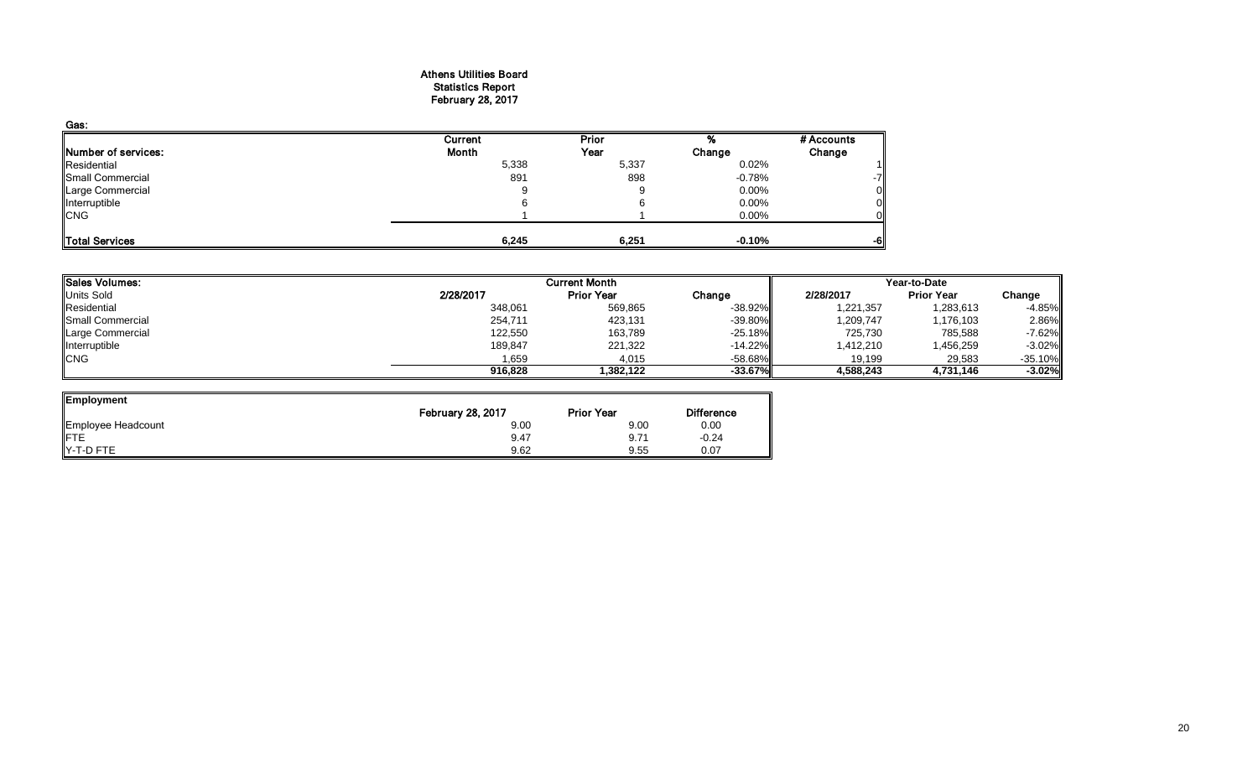#### Athens Utilities Board Statistics Report February 28, 2017

| Gas:                |         |       |          |            |
|---------------------|---------|-------|----------|------------|
|                     | Current | Prior |          | # Accounts |
| Number of services: | Month   | Year  | Change   | Change     |
| Residential         | 5,338   | 5,337 | 0.02%    |            |
| Small Commercial    | 891     | 898   | $-0.78%$ |            |
| Large Commercial    | 9       |       | $0.00\%$ |            |
| Interruptible       |         |       | 0.00%    |            |
| <b>CNG</b>          |         |       | 0.00%    |            |
| Total Services      | 6,245   | 6,251 | $-0.10%$ | -6         |

| Sales Volumes:   |           | <b>Current Month</b> |            |           | Year-to-Date      |           |  |
|------------------|-----------|----------------------|------------|-----------|-------------------|-----------|--|
| Units Sold       | 2/28/2017 | <b>Prior Year</b>    | Change     | 2/28/2017 | <b>Prior Year</b> | Change    |  |
| Residential      | 348,061   | 569,865              | $-38.92%$  | 1,221,357 | 1,283,613         | $-4.85%$  |  |
| Small Commercial | 254,711   | 423,131              | $-39.80\%$ | 1,209,747 | 1,176,103         | 2.86%     |  |
| Large Commercial | 122,550   | 163,789              | $-25.18%$  | 725,730   | 785,588           | $-7.62%$  |  |
| Interruptible    | 189,847   | 221,322              | $-14.22\%$ | 1,412,210 | 1,456,259         | $-3.02%$  |  |
| <b>CNG</b>       | 1,659     | 4,015                | $-58.68\%$ | 19,199    | 29,583            | $-35.10%$ |  |
|                  | 916,828   | 1.382.122            | $-33.67%$  | 4,588,243 | 4,731,146         | $-3.02%$  |  |

 $\overline{\phantom{0}}$ 

| Employment                     |                          |                   |                   |
|--------------------------------|--------------------------|-------------------|-------------------|
|                                | <b>February 28, 2017</b> | <b>Prior Year</b> | <b>Difference</b> |
| Employee Headcount             | 9.00                     | 9.00              | 0.00              |
| <b>IFTE</b>                    | 9.47                     | 9.71              | $-0.24$           |
| $\blacktriangleright$ -T-D FTE | 9.62                     | 9.55              | 0.07              |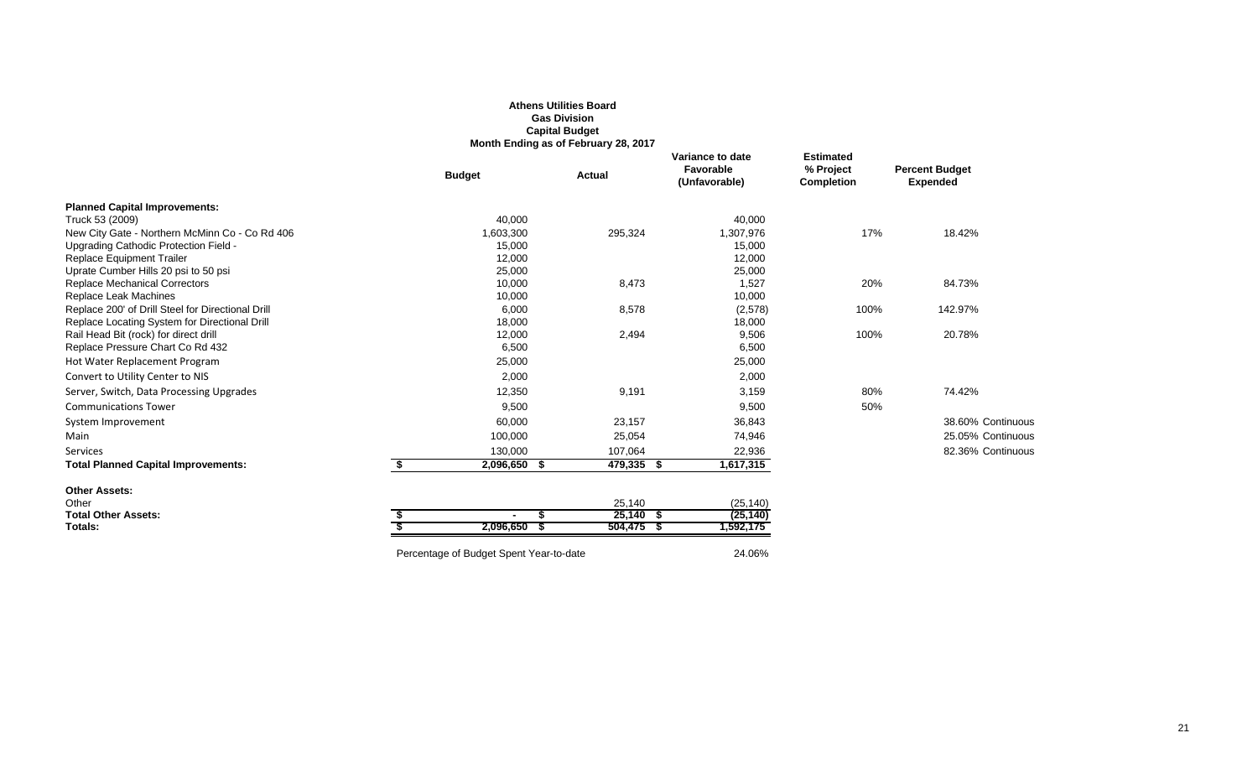|                                                                              |                                         | <b>Gas Division</b><br><b>Capital Budget</b><br>Month Ending as of February 28, 2017 |                                                |                                                    |                                          |
|------------------------------------------------------------------------------|-----------------------------------------|--------------------------------------------------------------------------------------|------------------------------------------------|----------------------------------------------------|------------------------------------------|
|                                                                              | <b>Budget</b>                           | <b>Actual</b>                                                                        | Variance to date<br>Favorable<br>(Unfavorable) | <b>Estimated</b><br>% Project<br><b>Completion</b> | <b>Percent Budget</b><br><b>Expended</b> |
| <b>Planned Capital Improvements:</b>                                         |                                         |                                                                                      |                                                |                                                    |                                          |
| Truck 53 (2009)                                                              | 40,000                                  |                                                                                      | 40,000                                         |                                                    |                                          |
| New City Gate - Northern McMinn Co - Co Rd 406                               | 1,603,300                               | 295,324                                                                              | 1,307,976                                      | 17%                                                | 18.42%                                   |
| Upgrading Cathodic Protection Field -                                        | 15,000                                  |                                                                                      | 15,000                                         |                                                    |                                          |
| <b>Replace Equipment Trailer</b>                                             | 12,000                                  |                                                                                      | 12,000                                         |                                                    |                                          |
| Uprate Cumber Hills 20 psi to 50 psi<br><b>Replace Mechanical Correctors</b> | 25,000<br>10,000                        | 8,473                                                                                | 25,000<br>1,527                                | 20%                                                | 84.73%                                   |
| Replace Leak Machines                                                        | 10,000                                  |                                                                                      | 10,000                                         |                                                    |                                          |
| Replace 200' of Drill Steel for Directional Drill                            | 6,000                                   | 8,578                                                                                | (2,578)                                        | 100%                                               | 142.97%                                  |
| Replace Locating System for Directional Drill                                | 18,000                                  |                                                                                      | 18,000                                         |                                                    |                                          |
| Rail Head Bit (rock) for direct drill                                        | 12,000                                  | 2,494                                                                                | 9,506                                          | 100%                                               | 20.78%                                   |
| Replace Pressure Chart Co Rd 432                                             | 6,500                                   |                                                                                      | 6,500                                          |                                                    |                                          |
| Hot Water Replacement Program                                                | 25,000                                  |                                                                                      | 25,000                                         |                                                    |                                          |
| Convert to Utility Center to NIS                                             | 2,000                                   |                                                                                      | 2,000                                          |                                                    |                                          |
| Server, Switch, Data Processing Upgrades                                     | 12,350                                  | 9,191                                                                                | 3,159                                          | 80%                                                | 74.42%                                   |
| <b>Communications Tower</b>                                                  | 9,500                                   |                                                                                      | 9,500                                          | 50%                                                |                                          |
| System Improvement                                                           | 60,000                                  | 23,157                                                                               | 36,843                                         |                                                    | 38.60% Continuous                        |
| Main                                                                         | 100,000                                 | 25,054                                                                               | 74,946                                         |                                                    | 25.05% Continuous                        |
| Services                                                                     | 130,000                                 | 107,064                                                                              | 22,936                                         |                                                    | 82.36% Continuous                        |
| <b>Total Planned Capital Improvements:</b>                                   | 2,096,650 \$<br>S.                      | 479,335 \$                                                                           | 1,617,315                                      |                                                    |                                          |
| <b>Other Assets:</b>                                                         |                                         |                                                                                      |                                                |                                                    |                                          |
| Other                                                                        |                                         | 25,140                                                                               | (25, 140)                                      |                                                    |                                          |
| <b>Total Other Assets:</b>                                                   |                                         | $25,140$ \$                                                                          | (25, 140)                                      |                                                    |                                          |
| Totals:                                                                      | $2,096,650$ \$                          | $504,475$ \$                                                                         | 1,592,175                                      |                                                    |                                          |
|                                                                              | Percentage of Budget Spent Year-to-date |                                                                                      | 24.06%                                         |                                                    |                                          |

**Athens Utilities Board**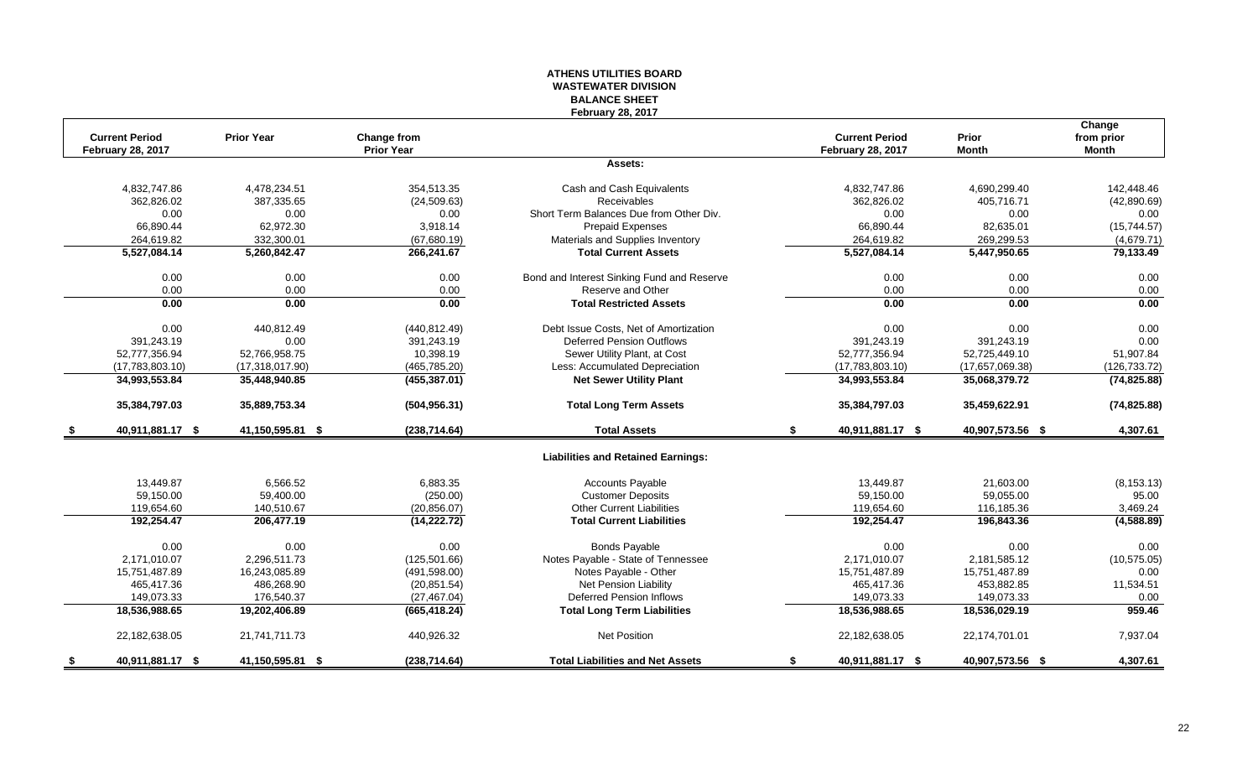#### **ATHENS UTILITIES BOARD WASTEWATER DIVISION BALANCE SHEET February 28, 2017**

| <b>Current Period</b>    |                  | <b>Prior Year</b> | Change from       |                                            | <b>Current Period</b>    | Prior            | Change<br>from prior |
|--------------------------|------------------|-------------------|-------------------|--------------------------------------------|--------------------------|------------------|----------------------|
| <b>February 28, 2017</b> |                  |                   | <b>Prior Year</b> |                                            | <b>February 28, 2017</b> | <b>Month</b>     | <b>Month</b>         |
|                          |                  |                   |                   | Assets:                                    |                          |                  |                      |
|                          | 4,832,747.86     | 4,478,234.51      | 354.513.35        | Cash and Cash Equivalents                  | 4,832,747.86             | 4,690,299.40     | 142.448.46           |
|                          | 362,826.02       | 387,335.65        | (24, 509.63)      | Receivables                                | 362,826.02               | 405,716.71       | (42,890.69)          |
|                          | 0.00             | 0.00              | 0.00              | Short Term Balances Due from Other Div.    | 0.00                     | 0.00             | 0.00                 |
|                          | 66,890.44        | 62,972.30         | 3.918.14          | <b>Prepaid Expenses</b>                    | 66,890.44                | 82,635.01        | (15,744.57)          |
|                          | 264,619.82       | 332,300.01        | (67,680.19)       | Materials and Supplies Inventory           | 264,619.82               | 269,299.53       | (4,679.71)           |
|                          | 5,527,084.14     | 5,260,842.47      | 266,241.67        | <b>Total Current Assets</b>                | 5,527,084.14             | 5,447,950.65     | 79,133.49            |
|                          | 0.00             | 0.00              | 0.00              | Bond and Interest Sinking Fund and Reserve | 0.00                     | 0.00             | 0.00                 |
|                          | 0.00             | 0.00              | 0.00              | Reserve and Other                          | 0.00                     | 0.00             | 0.00                 |
|                          | 0.00             | 0.00              | 0.00              | <b>Total Restricted Assets</b>             | 0.00                     | 0.00             | 0.00                 |
|                          | 0.00             | 440,812.49        | (440, 812.49)     | Debt Issue Costs, Net of Amortization      | 0.00                     | 0.00             | 0.00                 |
|                          | 391,243.19       | 0.00              | 391,243.19        | <b>Deferred Pension Outflows</b>           | 391,243.19               | 391,243.19       | 0.00                 |
| 52,777,356.94            |                  | 52,766,958.75     | 10,398.19         | Sewer Utility Plant, at Cost               | 52,777,356.94            | 52,725,449.10    | 51,907.84            |
|                          | (17,783,803.10)  | (17,318,017.90)   | (465, 785.20)     | Less: Accumulated Depreciation             | (17,783,803.10)          | (17,657,069.38)  | (126, 733.72)        |
| 34,993,553.84            |                  | 35,448,940.85     | (455, 387.01)     | <b>Net Sewer Utility Plant</b>             | 34,993,553.84            | 35,068,379.72    | (74, 825.88)         |
| 35,384,797.03            |                  | 35,889,753.34     | (504, 956.31)     | <b>Total Long Term Assets</b>              | 35,384,797.03            | 35,459,622.91    | (74, 825.88)         |
|                          | 40,911,881.17 \$ | 41,150,595.81 \$  | (238, 714.64)     | <b>Total Assets</b>                        | 40,911,881.17 \$<br>S.   | 40,907,573.56 \$ | 4,307.61             |
|                          |                  |                   |                   | <b>Liabilities and Retained Earnings:</b>  |                          |                  |                      |
|                          | 13,449.87        | 6,566.52          | 6,883.35          | <b>Accounts Payable</b>                    | 13,449.87                | 21,603.00        | (8, 153.13)          |
|                          | 59,150.00        | 59,400.00         | (250.00)          | <b>Customer Deposits</b>                   | 59,150.00                | 59,055.00        | 95.00                |
|                          | 119,654.60       | 140,510.67        | (20, 856.07)      | <b>Other Current Liabilities</b>           | 119,654.60               | 116,185.36       | 3,469.24             |
|                          | 192,254.47       | 206,477.19        | (14, 222.72)      | <b>Total Current Liabilities</b>           | 192,254.47               | 196,843.36       | (4,588.89)           |
|                          | 0.00             | 0.00              | 0.00              | <b>Bonds Payable</b>                       | 0.00                     | 0.00             | 0.00                 |
|                          | 2,171,010.07     | 2,296,511.73      | (125, 501.66)     | Notes Payable - State of Tennessee         | 2,171,010.07             | 2,181,585.12     | (10, 575.05)         |
| 15,751,487.89            |                  | 16,243,085.89     | (491, 598.00)     | Notes Payable - Other                      | 15,751,487.89            | 15,751,487.89    | 0.00                 |
|                          | 465,417.36       | 486.268.90        | (20, 851.54)      | <b>Net Pension Liability</b>               | 465,417.36               | 453,882.85       | 11,534.51            |
|                          | 149,073.33       | 176,540.37        | (27, 467.04)      | <b>Deferred Pension Inflows</b>            | 149,073.33               | 149,073.33       | 0.00                 |
| 18,536,988.65            |                  | 19,202,406.89     | (665, 418.24)     | <b>Total Long Term Liabilities</b>         | 18,536,988.65            | 18,536,029.19    | 959.46               |
| 22,182,638.05            |                  | 21,741,711.73     | 440,926.32        | <b>Net Position</b>                        | 22,182,638.05            | 22,174,701.01    | 7,937.04             |
| -\$                      | 40,911,881.17 \$ | 41,150,595.81 \$  | (238, 714.64)     | <b>Total Liabilities and Net Assets</b>    | 40,911,881.17 \$<br>£.   | 40,907,573.56 \$ | 4,307.61             |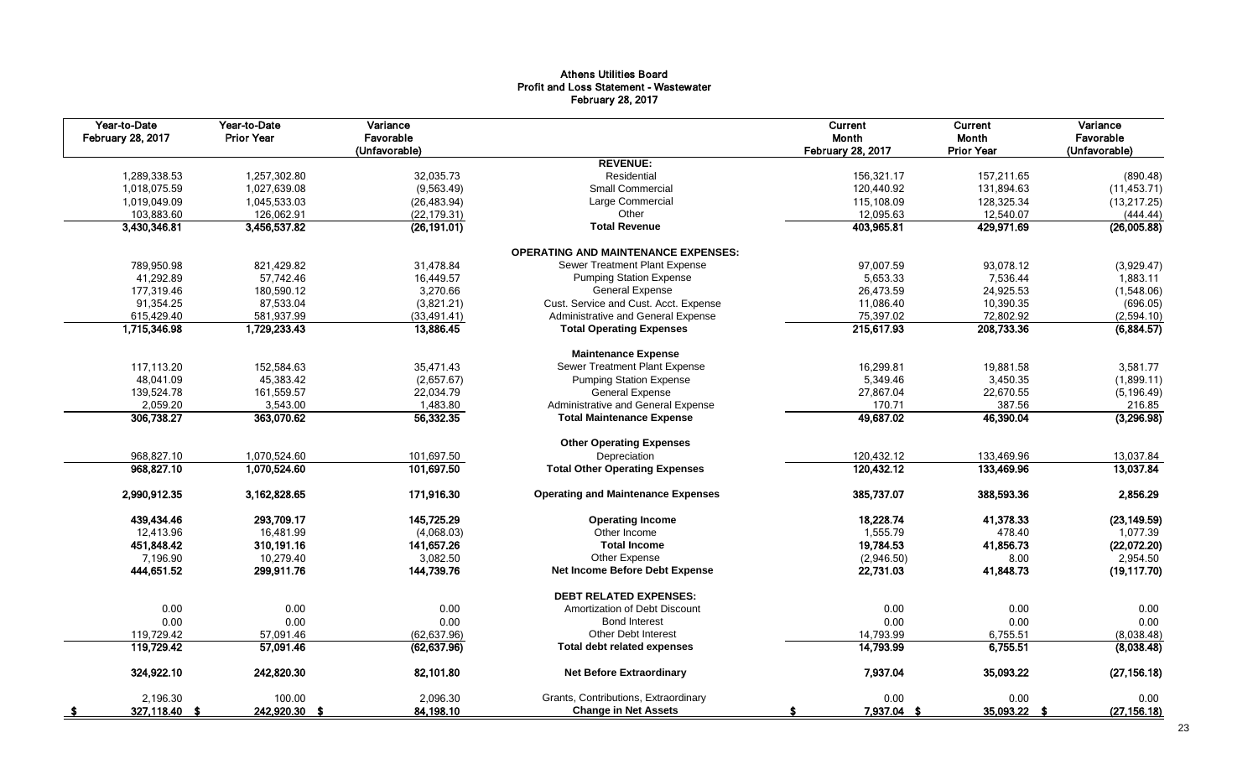# Athens Utilities Board Profit and Loss Statement - Wastewater February 28, 2017

| Year-to-Date<br><b>February 28, 2017</b> | Year-to-Date<br><b>Prior Year</b> | Variance<br>Favorable<br>(Unfavorable) |                                            | Current<br>Month<br><b>February 28, 2017</b> | Current<br>Month<br><b>Prior Year</b> | Variance<br>Favorable<br>(Unfavorable) |
|------------------------------------------|-----------------------------------|----------------------------------------|--------------------------------------------|----------------------------------------------|---------------------------------------|----------------------------------------|
|                                          |                                   |                                        | <b>REVENUE:</b>                            |                                              |                                       |                                        |
| 1,289,338.53                             | 1,257,302.80                      | 32,035.73                              | Residential                                | 156,321.17                                   | 157,211.65                            | (890.48)                               |
| 1,018,075.59                             | 1,027,639.08                      | (9,563.49)                             | <b>Small Commercial</b>                    | 120,440.92                                   | 131,894.63                            | (11, 453.71)                           |
| 1,019,049.09                             | 1,045,533.03                      | (26, 483.94)                           | Large Commercial                           | 115,108.09                                   | 128,325.34                            | (13, 217.25)                           |
| 103,883.60                               | 126,062.91                        | (22, 179.31)                           | Other                                      | 12,095.63                                    | 12,540.07                             | (444.44)                               |
| 3,430,346.81                             | 3,456,537.82                      | (26, 191.01)                           | <b>Total Revenue</b>                       | 403,965.81                                   | 429,971.69                            | (26,005.88)                            |
|                                          |                                   |                                        | <b>OPERATING AND MAINTENANCE EXPENSES:</b> |                                              |                                       |                                        |
| 789,950.98                               | 821,429.82                        | 31,478.84                              | Sewer Treatment Plant Expense              | 97,007.59                                    | 93,078.12                             | (3,929.47)                             |
| 41,292.89                                | 57,742.46                         | 16,449.57                              | <b>Pumping Station Expense</b>             | 5,653.33                                     | 7,536.44                              | 1,883.11                               |
| 177,319.46                               | 180,590.12                        | 3,270.66                               | <b>General Expense</b>                     | 26,473.59                                    | 24,925.53                             | (1,548.06)                             |
| 91,354.25                                | 87,533.04                         | (3,821.21)                             | Cust. Service and Cust. Acct. Expense      | 11,086.40                                    | 10,390.35                             | (696.05)                               |
| 615,429.40                               | 581,937.99                        | (33, 491.41)                           | Administrative and General Expense         | 75,397.02                                    | 72,802.92                             | (2,594.10)                             |
| 1,715,346.98                             | 1,729,233.43                      | 13,886.45                              | <b>Total Operating Expenses</b>            | 215,617.93                                   | 208,733.36                            | (6,884.57)                             |
|                                          |                                   |                                        | <b>Maintenance Expense</b>                 |                                              |                                       |                                        |
| 117,113.20                               | 152.584.63                        | 35,471.43                              | Sewer Treatment Plant Expense              | 16,299.81                                    | 19,881.58                             | 3,581.77                               |
| 48,041.09                                | 45,383.42                         | (2,657.67)                             | <b>Pumping Station Expense</b>             | 5,349.46                                     | 3,450.35                              | (1,899.11)                             |
| 139,524.78                               | 161,559.57                        | 22,034.79                              | <b>General Expense</b>                     | 27,867.04                                    | 22,670.55                             | (5, 196.49)                            |
| 2,059.20                                 | 3,543.00                          | 1,483.80                               | Administrative and General Expense         | 170.71                                       | 387.56                                | 216.85                                 |
| 306,738.27                               | 363,070.62                        | 56,332.35                              | <b>Total Maintenance Expense</b>           | 49,687.02                                    | 46,390.04                             | (3,296.98)                             |
|                                          |                                   |                                        | <b>Other Operating Expenses</b>            |                                              |                                       |                                        |
| 968,827.10                               | 1,070,524.60                      | 101,697.50                             | Depreciation                               | 120,432.12                                   | 133,469.96                            | 13,037.84                              |
| 968,827.10                               | 1,070,524.60                      | 101,697.50                             | <b>Total Other Operating Expenses</b>      | 120,432.12                                   | 133,469.96                            | 13,037.84                              |
| 2,990,912.35                             | 3,162,828.65                      | 171,916.30                             | <b>Operating and Maintenance Expenses</b>  | 385,737.07                                   | 388,593.36                            | 2,856.29                               |
| 439,434.46                               | 293.709.17                        | 145,725.29                             | <b>Operating Income</b>                    | 18,228.74                                    | 41,378.33                             | (23, 149.59)                           |
| 12,413.96                                | 16,481.99                         | (4,068.03)                             | Other Income                               | 1,555.79                                     | 478.40                                | 1,077.39                               |
| 451,848.42                               | 310,191.16                        | 141,657.26                             | <b>Total Income</b>                        | 19,784.53                                    | 41,856.73                             | (22,072.20)                            |
| 7,196.90                                 | 10,279.40                         | 3,082.50                               | Other Expense                              | (2,946.50)                                   | 8.00                                  | 2,954.50                               |
| 444,651.52                               | 299,911.76                        | 144,739.76                             | Net Income Before Debt Expense             | 22,731.03                                    | 41,848.73                             | (19, 117.70)                           |
|                                          |                                   |                                        | <b>DEBT RELATED EXPENSES:</b>              |                                              |                                       |                                        |
| 0.00                                     | 0.00                              | 0.00                                   | Amortization of Debt Discount              | 0.00                                         | 0.00                                  | 0.00                                   |
| 0.00                                     | 0.00                              | 0.00                                   | <b>Bond Interest</b>                       | 0.00                                         | 0.00                                  | 0.00                                   |
| 119,729.42                               | 57,091.46                         | (62, 637.96)                           | Other Debt Interest                        | 14,793.99                                    | 6,755.51                              | (8,038.48)                             |
| 119,729.42                               | 57,091.46                         | (62, 637.96)                           | <b>Total debt related expenses</b>         | 14,793.99                                    | 6,755.51                              | (8,038.48)                             |
| 324,922.10                               | 242,820.30                        | 82,101.80                              | <b>Net Before Extraordinary</b>            | 7,937.04                                     | 35,093.22                             | (27, 156.18)                           |
| 2,196.30                                 | 100.00                            | 2,096.30                               | Grants, Contributions, Extraordinary       | 0.00                                         | 0.00                                  | 0.00                                   |
| 327,118.40 \$                            | 242,920.30 \$                     | 84,198.10                              | <b>Change in Net Assets</b>                | 7,937.04 \$                                  | 35,093.22 \$                          | (27, 156.18)                           |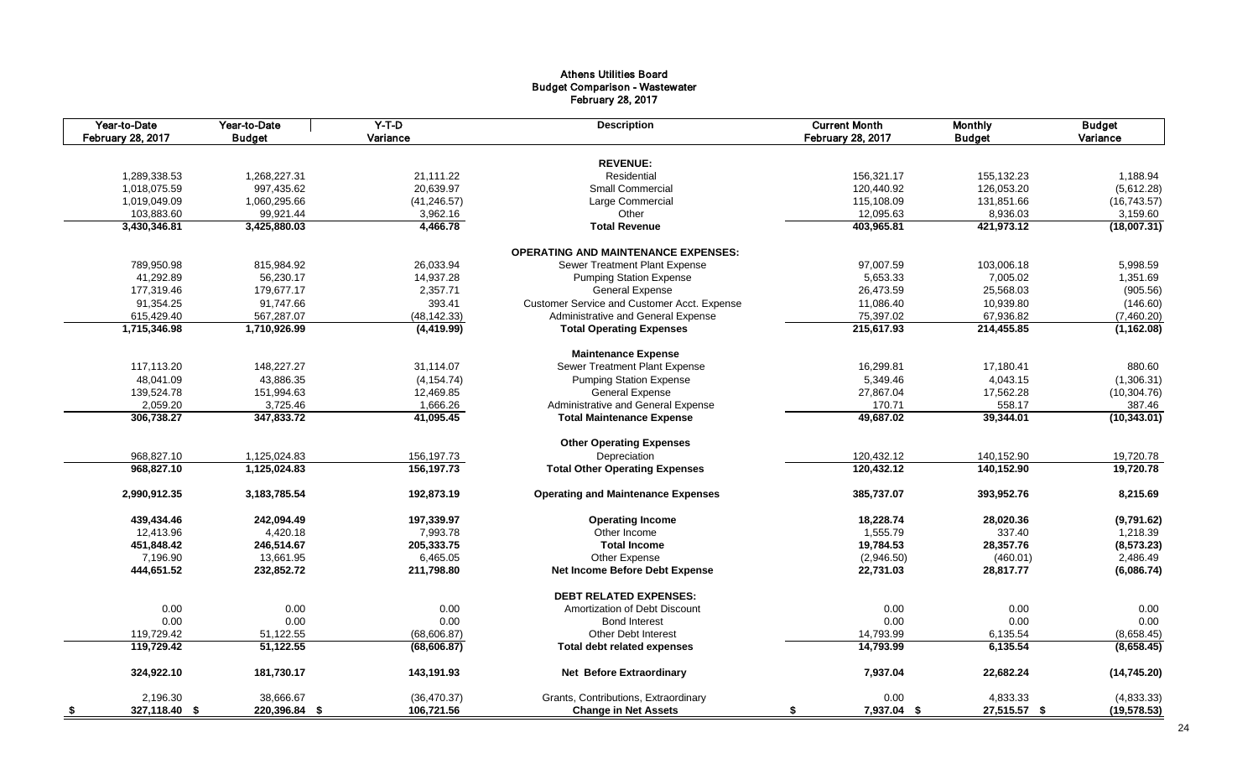# Athens Utilities Board Budget Comparison - Wastewater February 28, 2017

| Year-to-Date<br>February 28, 2017 | Year-to-Date<br><b>Budget</b> | $Y-T-D$<br>Variance | <b>Description</b>                          | <b>Current Month</b><br>February 28, 2017 | <b>Monthly</b><br><b>Budget</b> | <b>Budget</b><br>Variance |
|-----------------------------------|-------------------------------|---------------------|---------------------------------------------|-------------------------------------------|---------------------------------|---------------------------|
|                                   |                               |                     |                                             |                                           |                                 |                           |
|                                   |                               |                     | <b>REVENUE:</b>                             |                                           |                                 |                           |
| 1,289,338.53                      | 1,268,227.31                  | 21,111.22           | Residential                                 | 156,321.17                                | 155,132.23                      | 1,188.94                  |
| 1,018,075.59                      | 997,435.62                    | 20,639.97           | <b>Small Commercial</b>                     | 120,440.92                                | 126,053.20                      | (5,612.28)                |
| 1,019,049.09                      | 1,060,295.66                  | (41, 246.57)        | Large Commercial                            | 115,108.09                                | 131,851.66                      | (16, 743.57)              |
| 103,883.60                        | 99,921.44                     | 3,962.16            | Other                                       | 12,095.63                                 | 8,936.03                        | 3,159.60                  |
| 3,430,346.81                      | 3,425,880.03                  | 4,466.78            | <b>Total Revenue</b>                        | 403,965.81                                | 421,973.12                      | (18,007.31)               |
|                                   |                               |                     | <b>OPERATING AND MAINTENANCE EXPENSES:</b>  |                                           |                                 |                           |
| 789,950.98                        | 815,984.92                    | 26,033.94           | Sewer Treatment Plant Expense               | 97,007.59                                 | 103,006.18                      | 5,998.59                  |
| 41,292.89                         | 56,230.17                     | 14,937.28           | <b>Pumping Station Expense</b>              | 5,653.33                                  | 7,005.02                        | 1,351.69                  |
| 177,319.46                        | 179,677.17                    | 2,357.71            | <b>General Expense</b>                      | 26,473.59                                 | 25,568.03                       | (905.56)                  |
| 91,354.25                         | 91,747.66                     | 393.41              | Customer Service and Customer Acct. Expense | 11,086.40                                 | 10,939.80                       | (146.60)                  |
| 615,429.40                        | 567,287.07                    | (48, 142.33)        | Administrative and General Expense          | 75,397.02                                 | 67,936.82                       | (7,460.20)                |
| 1,715,346.98                      | 1,710,926.99                  | (4, 419.99)         | <b>Total Operating Expenses</b>             | 215,617.93                                | 214,455.85                      | (1, 162.08)               |
|                                   |                               |                     |                                             |                                           |                                 |                           |
|                                   |                               |                     | <b>Maintenance Expense</b>                  |                                           |                                 |                           |
| 117,113.20                        | 148,227.27                    | 31.114.07           | Sewer Treatment Plant Expense               | 16,299.81                                 | 17,180.41                       | 880.60                    |
| 48,041.09                         | 43,886.35                     | (4, 154.74)         | <b>Pumping Station Expense</b>              | 5,349.46                                  | 4,043.15                        | (1,306.31)                |
| 139,524.78                        | 151,994.63                    | 12,469.85           | <b>General Expense</b>                      | 27,867.04                                 | 17,562.28                       | (10, 304.76)              |
| 2,059.20                          | 3,725.46                      | 1,666.26            | Administrative and General Expense          | 170.71                                    | 558.17                          | 387.46                    |
| 306,738.27                        | 347,833.72                    | 41,095.45           | <b>Total Maintenance Expense</b>            | 49,687.02                                 | 39,344.01                       | (10, 343.01)              |
|                                   |                               |                     | <b>Other Operating Expenses</b>             |                                           |                                 |                           |
| 968,827.10                        | 1,125,024.83                  | 156,197.73          | Depreciation                                | 120,432.12                                | 140,152.90                      | 19,720.78                 |
| 968,827.10                        | 1,125,024.83                  | 156,197.73          | <b>Total Other Operating Expenses</b>       | 120,432.12                                | 140,152.90                      | 19,720.78                 |
| 2,990,912.35                      | 3, 183, 785. 54               | 192,873.19          | <b>Operating and Maintenance Expenses</b>   | 385,737.07                                | 393,952.76                      | 8,215.69                  |
| 439,434.46                        | 242,094.49                    | 197,339.97          | <b>Operating Income</b>                     | 18,228.74                                 | 28,020.36                       | (9,791.62)                |
| 12,413.96                         | 4,420.18                      | 7,993.78            | Other Income                                | 1,555.79                                  | 337.40                          | 1,218.39                  |
| 451,848.42                        | 246,514.67                    | 205,333.75          | <b>Total Income</b>                         | 19,784.53                                 | 28,357.76                       | (8,573.23)                |
| 7,196.90                          | 13,661.95                     | 6,465.05            | Other Expense                               | (2,946.50)                                | (460.01)                        | 2,486.49                  |
| 444,651.52                        | 232,852.72                    | 211,798.80          | Net Income Before Debt Expense              | 22,731.03                                 | 28,817.77                       | (6,086.74)                |
|                                   |                               |                     | <b>DEBT RELATED EXPENSES:</b>               |                                           |                                 |                           |
| 0.00                              | 0.00                          | 0.00                | Amortization of Debt Discount               | 0.00                                      | 0.00                            | 0.00                      |
| 0.00                              | 0.00                          | 0.00                | <b>Bond Interest</b>                        | 0.00                                      | 0.00                            | 0.00                      |
|                                   |                               |                     |                                             |                                           |                                 |                           |
| 119,729.42                        | 51,122.55                     | (68, 606.87)        | <b>Other Debt Interest</b>                  | 14,793.99                                 | 6,135.54                        | (8,658.45)                |
| 119.729.42                        | 51,122.55                     | (68, 606.87)        | <b>Total debt related expenses</b>          | 14,793.99                                 | 6,135.54                        | (8,658.45)                |
| 324,922.10                        | 181,730.17                    | 143,191.93          | <b>Net Before Extraordinary</b>             | 7,937.04                                  | 22,682.24                       | (14, 745.20)              |
| 2,196.30                          | 38,666.67                     | (36, 470.37)        | Grants, Contributions, Extraordinary        | 0.00                                      | 4,833.33                        | (4,833.33)                |
| 327,118.40 \$<br>- \$             | 220,396.84 \$                 | 106,721.56          | <b>Change in Net Assets</b>                 | 7,937.04 \$<br>\$                         | 27,515.57 \$                    | (19, 578.53)              |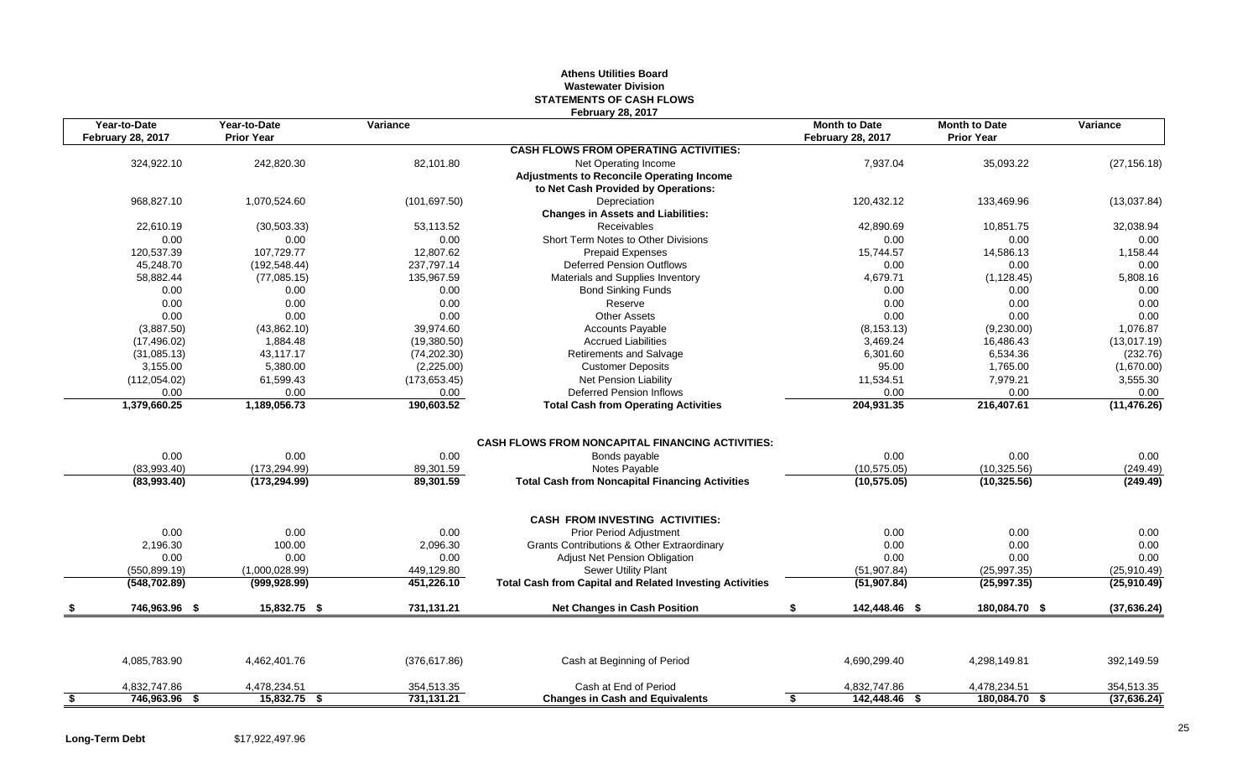## **Athens Utilities Board Wastewater Division STATEMENTS OF CASH FLOWS February 28, 2017**

| Year-to-Date<br><b>February 28, 2017</b> | Year-to-Date<br><b>Prior Year</b> | Variance      |                                                                          | <b>Month to Date</b><br><b>February 28, 2017</b> | <b>Month to Date</b><br><b>Prior Year</b> | Variance                   |
|------------------------------------------|-----------------------------------|---------------|--------------------------------------------------------------------------|--------------------------------------------------|-------------------------------------------|----------------------------|
|                                          |                                   |               | <b>CASH FLOWS FROM OPERATING ACTIVITIES:</b>                             |                                                  |                                           |                            |
| 324,922.10                               | 242,820.30                        | 82,101.80     | Net Operating Income<br><b>Adjustments to Reconcile Operating Income</b> | 7,937.04                                         | 35,093.22                                 | (27, 156.18)               |
|                                          |                                   |               | to Net Cash Provided by Operations:                                      |                                                  |                                           |                            |
| 968,827.10                               | 1,070,524.60                      | (101, 697.50) | Depreciation<br><b>Changes in Assets and Liabilities:</b>                | 120,432.12                                       | 133,469.96                                | (13,037.84)                |
| 22,610.19                                | (30, 503.33)                      | 53,113.52     | <b>Receivables</b>                                                       | 42,890.69                                        | 10,851.75                                 | 32,038.94                  |
| 0.00                                     | 0.00                              | 0.00          | Short Term Notes to Other Divisions                                      | 0.00                                             | 0.00                                      | 0.00                       |
| 120,537.39                               | 107,729.77                        | 12,807.62     | Prepaid Expenses                                                         | 15,744.57                                        | 14,586.13                                 | 1,158.44                   |
| 45,248.70                                | (192, 548.44)                     | 237,797.14    | <b>Deferred Pension Outflows</b>                                         | 0.00                                             | 0.00                                      | 0.00                       |
| 58,882.44                                | (77,085.15)                       | 135,967.59    | Materials and Supplies Inventory                                         | 4,679.71                                         | (1, 128.45)                               | 5,808.16                   |
| 0.00                                     | 0.00                              | 0.00          | <b>Bond Sinking Funds</b>                                                | 0.00                                             | 0.00                                      | 0.00                       |
| 0.00                                     | 0.00                              | 0.00          | Reserve                                                                  | 0.00                                             | 0.00                                      | 0.00                       |
| 0.00                                     | 0.00                              | 0.00          | <b>Other Assets</b>                                                      | 0.00                                             | 0.00                                      | 0.00                       |
| (3,887.50)                               | (43,862.10)                       | 39,974.60     | <b>Accounts Payable</b>                                                  | (8, 153.13)                                      | (9,230.00)                                | 1,076.87                   |
| (17, 496.02)                             | 1,884.48                          | (19,380.50)   | <b>Accrued Liabilities</b>                                               | 3,469.24                                         | 16,486.43                                 | (13,017.19)                |
| (31,085.13)                              | 43,117.17                         | (74, 202.30)  | <b>Retirements and Salvage</b>                                           | 6,301.60                                         | 6,534.36                                  | (232.76)                   |
| 3,155.00                                 | 5,380.00                          | (2,225.00)    | <b>Customer Deposits</b>                                                 | 95.00                                            | 1,765.00                                  | (1,670.00)                 |
| (112,054.02)                             | 61,599.43                         | (173, 653.45) | Net Pension Liability                                                    | 11,534.51                                        | 7,979.21                                  | 3,555.30                   |
| 0.00                                     | 0.00                              | 0.00          | <b>Deferred Pension Inflows</b>                                          | 0.00                                             | 0.00                                      | 0.00                       |
| 1,379,660.25                             | 1,189,056.73                      | 190,603.52    | <b>Total Cash from Operating Activities</b>                              | 204,931.35                                       | 216,407.61                                | (11, 476.26)               |
| 0.00                                     | 0.00                              | 0.00          | <b>CASH FLOWS FROM NONCAPITAL FINANCING ACTIVITIES:</b><br>Bonds payable | 0.00                                             | 0.00                                      | 0.00                       |
| (83,993.40)                              | (173, 294.99)                     | 89,301.59     | Notes Payable                                                            | (10, 575.05)                                     | (10, 325.56)                              | (249.49)                   |
| (83,993.40)                              | (173, 294.99)                     | 89,301.59     | <b>Total Cash from Noncapital Financing Activities</b>                   | (10, 575.05)                                     | (10, 325.56)                              | (249.49)                   |
|                                          |                                   |               | <b>CASH FROM INVESTING ACTIVITIES:</b>                                   |                                                  |                                           |                            |
| 0.00                                     | 0.00                              | 0.00          | Prior Period Adjustment                                                  | 0.00                                             | 0.00                                      | 0.00                       |
| 2,196.30                                 | 100.00                            | 2,096.30      | Grants Contributions & Other Extraordinary                               | 0.00                                             | 0.00                                      | 0.00                       |
| 0.00                                     | 0.00                              | 0.00          | <b>Adjust Net Pension Obligation</b>                                     | 0.00                                             | 0.00                                      | 0.00                       |
| (550, 899.19)                            | (1,000,028.99)                    | 449,129.80    | <b>Sewer Utility Plant</b>                                               | (51, 907.84)                                     | (25, 997.35)                              | (25,910.49)                |
|                                          |                                   |               |                                                                          |                                                  |                                           |                            |
| (548, 702.89)                            | (999, 928.99)                     | 451,226.10    | <b>Total Cash from Capital and Related Investing Activities</b>          | (51, 907.84)                                     | (25,997.35)                               | (25,910.49)                |
| 746,963.96 \$                            | 15,832.75 \$                      | 731,131.21    | <b>Net Changes in Cash Position</b>                                      | 142,448.46 \$<br>\$                              | 180,084.70 \$                             |                            |
|                                          |                                   |               |                                                                          |                                                  |                                           |                            |
| 4,085,783.90                             | 4,462,401.76                      | (376, 617.86) | Cash at Beginning of Period                                              | 4,690,299.40                                     | 4,298,149.81                              | 392,149.59                 |
| 4,832,747.86                             | 4,478,234.51                      | 354,513.35    | Cash at End of Period                                                    | 4,832,747.86                                     | 4,478,234.51                              | (37, 636.24)<br>354,513.35 |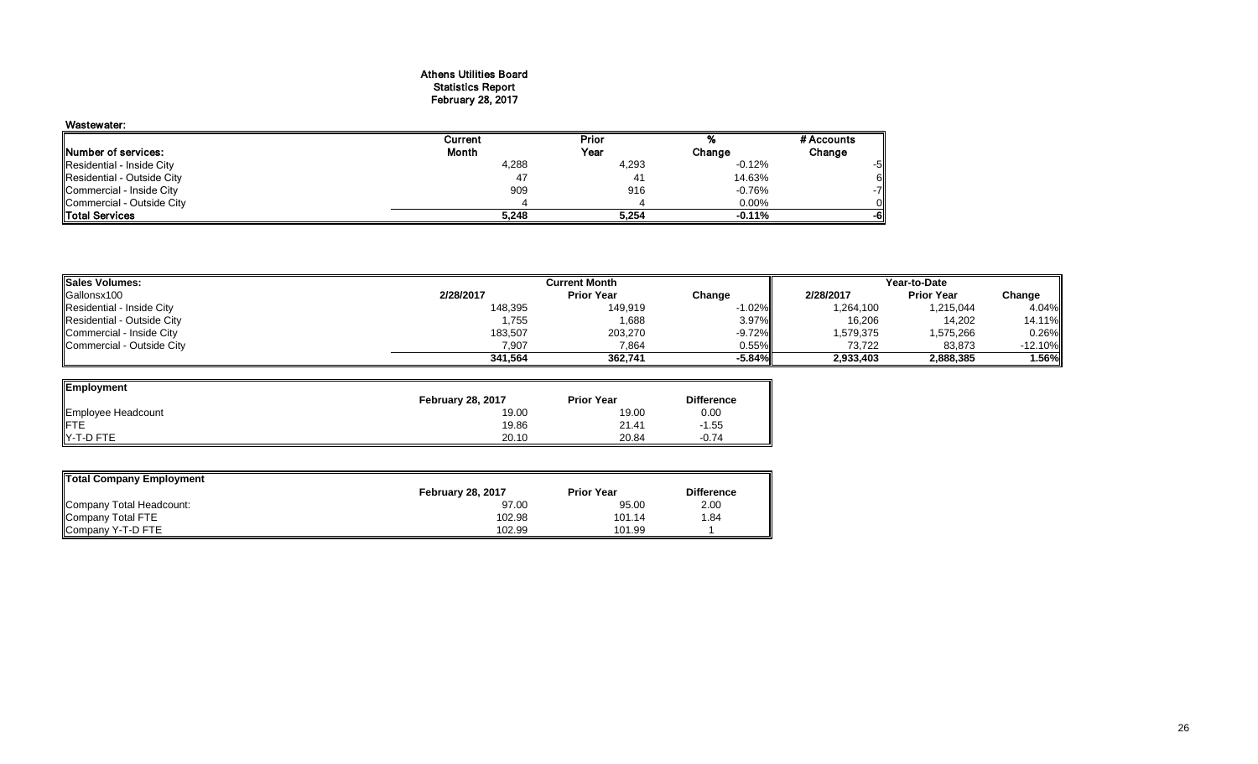#### Athens Utilities Board Statistics Report February 28, 2017

| Wastewater:                 |         |                |          |            |
|-----------------------------|---------|----------------|----------|------------|
|                             | Current | Prior          |          | # Accounts |
| <b>INumber of services:</b> | Month   | Year           | Change   | Change     |
| Residential - Inside City   | 4,288   | 4,293          | $-0.12%$ | -5         |
| Residential - Outside City  | 47      | 4 <sup>1</sup> | 14.63%   |            |
| Commercial - Inside City    | 909     | 916            | $-0.76%$ | -71        |
| Commercial - Outside City   |         |                | $0.00\%$ |            |
| <b>Total Services</b>       | 5,248   | 5,254          | $-0.11%$ | -0         |

| <b>Sales Volumes:</b>      | <b>Current Month</b> |                   |           | Year-to-Date |                   |           |
|----------------------------|----------------------|-------------------|-----------|--------------|-------------------|-----------|
| Gallonsx100                | 2/28/2017            | <b>Prior Year</b> | Change    | 2/28/2017    | <b>Prior Year</b> | Change    |
| Residential - Inside City  | 148,395              | 149,919           | $-1.02\%$ | 1,264,100    | 1,215,044         | 4.04%     |
| Residential - Outside City | 1,755                | 1,688             | $3.97\%$  | 16,206       | 14,202            | 14.11%    |
| Commercial - Inside City   | 183,507              | 203,270           | -9.72%II  | 1,579,375    | 1,575,266         | 0.26%     |
| Commercial - Outside City  | 7,907                | 7,864             | 0.55%     | 73.722       | 83,873            | $-12.10%$ |
|                            | 341.564              | 362.741           | -5.84%ll  | 2,933,403    | 2,888,385         | 1.56%     |

 $\overline{\phantom{0}}$ 

<u>\_\_</u>

| Employment         |                          |                   |                   |
|--------------------|--------------------------|-------------------|-------------------|
|                    | <b>February 28, 2017</b> | <b>Prior Year</b> | <b>Difference</b> |
| Employee Headcount | 19.00                    | 19.00             | 0.00              |
|                    | 19.86                    | 21.41             | $-1.55$           |
| Y-T-D FTE          | 20.10                    | 20.84             | $-0.74$           |

| Total Company Employment |                          |                   |                   |  |  |  |  |
|--------------------------|--------------------------|-------------------|-------------------|--|--|--|--|
|                          | <b>February 28, 2017</b> | <b>Prior Year</b> | <b>Difference</b> |  |  |  |  |
| Company Total Headcount: | 97.00                    | 95.00             | 2.00              |  |  |  |  |
| Company Total FTE        | 102.98                   | 101.14            | .84               |  |  |  |  |
| Company Y-T-D FTE        | 102.99                   | 101.99            |                   |  |  |  |  |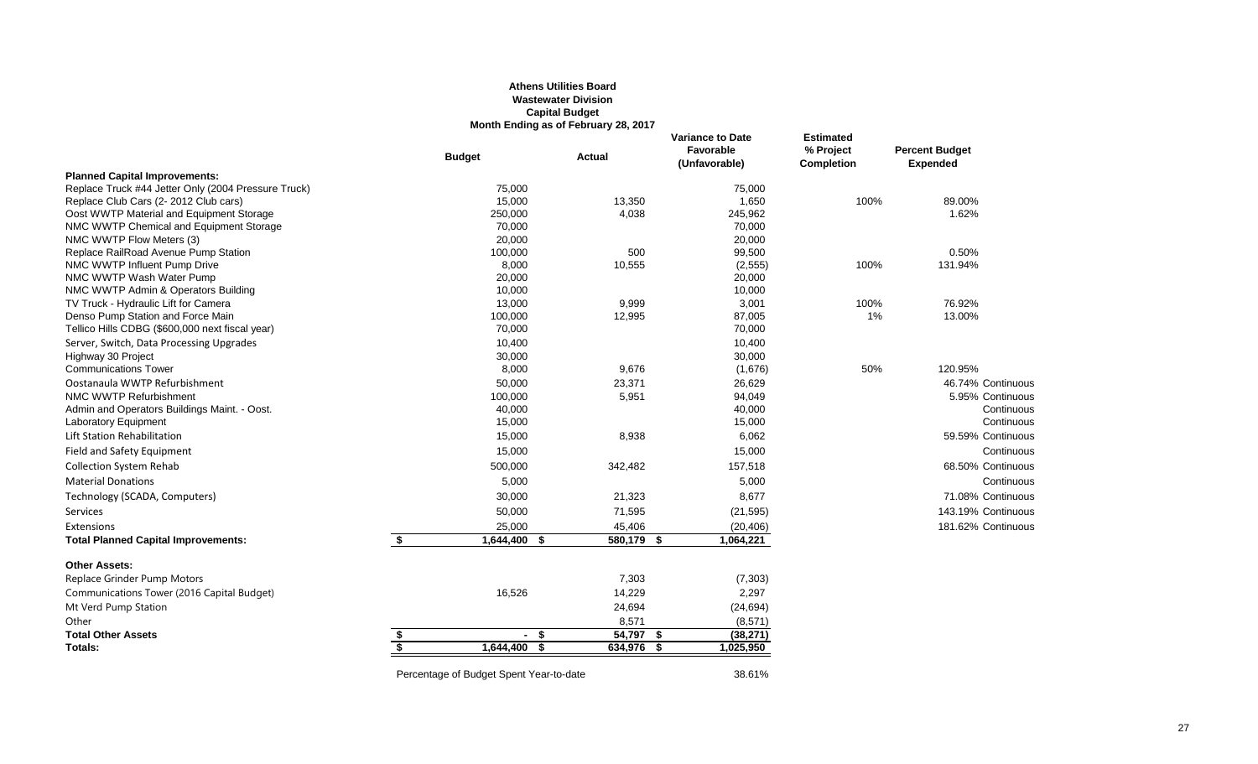### **Athens Utilities Board Wastewater Division Capital Budget Month Ending as of February 28, 2017**

|                                                     |    | <b>Budget</b>                           | <b>Actual</b> |              | <b>Variance to Date</b><br>Favorable<br>(Unfavorable) | <b>Estimated</b><br>% Project<br><b>Completion</b> | <b>Percent Budget</b><br><b>Expended</b> |
|-----------------------------------------------------|----|-----------------------------------------|---------------|--------------|-------------------------------------------------------|----------------------------------------------------|------------------------------------------|
| <b>Planned Capital Improvements:</b>                |    |                                         |               |              |                                                       |                                                    |                                          |
| Replace Truck #44 Jetter Only (2004 Pressure Truck) |    | 75,000                                  |               |              | 75,000                                                |                                                    |                                          |
| Replace Club Cars (2-2012 Club cars)                |    | 15,000                                  |               | 13,350       | 1,650                                                 | 100%                                               | 89.00%                                   |
| Oost WWTP Material and Equipment Storage            |    | 250,000                                 |               | 4,038        | 245,962                                               |                                                    | 1.62%                                    |
| NMC WWTP Chemical and Equipment Storage             |    | 70,000                                  |               |              | 70,000                                                |                                                    |                                          |
| NMC WWTP Flow Meters (3)                            |    | 20,000                                  |               |              | 20,000                                                |                                                    |                                          |
| Replace RailRoad Avenue Pump Station                |    | 100,000                                 |               | 500          | 99,500                                                |                                                    | 0.50%                                    |
| NMC WWTP Influent Pump Drive                        |    | 8,000                                   |               | 10,555       | (2, 555)                                              | 100%                                               | 131.94%                                  |
| NMC WWTP Wash Water Pump                            |    | 20,000                                  |               |              | 20,000                                                |                                                    |                                          |
| NMC WWTP Admin & Operators Building                 |    | 10,000                                  |               |              | 10,000                                                |                                                    |                                          |
| TV Truck - Hydraulic Lift for Camera                |    | 13,000                                  |               | 9,999        | 3,001                                                 | 100%                                               | 76.92%                                   |
| Denso Pump Station and Force Main                   |    | 100,000                                 |               | 12,995       | 87,005                                                | 1%                                                 | 13.00%                                   |
| Tellico Hills CDBG (\$600,000 next fiscal year)     |    | 70,000                                  |               |              | 70,000                                                |                                                    |                                          |
| Server, Switch, Data Processing Upgrades            |    | 10,400                                  |               |              | 10,400                                                |                                                    |                                          |
| Highway 30 Project                                  |    | 30,000                                  |               |              | 30,000                                                |                                                    |                                          |
| <b>Communications Tower</b>                         |    | 8,000                                   |               | 9,676        | (1,676)                                               | 50%                                                | 120.95%                                  |
| Oostanaula WWTP Refurbishment                       |    | 50,000                                  |               | 23,371       | 26,629                                                |                                                    | 46.74% Continuous                        |
| NMC WWTP Refurbishment                              |    | 100,000                                 |               | 5,951        | 94,049                                                |                                                    | 5.95% Continuous                         |
| Admin and Operators Buildings Maint. - Oost.        |    | 40,000                                  |               |              | 40,000                                                |                                                    | Continuous                               |
| <b>Laboratory Equipment</b>                         |    | 15,000                                  |               |              | 15,000                                                |                                                    | Continuous                               |
| Lift Station Rehabilitation                         |    | 15,000                                  |               | 8,938        | 6,062                                                 |                                                    | 59.59% Continuous                        |
| Field and Safety Equipment                          |    | 15,000                                  |               |              | 15,000                                                |                                                    | Continuous                               |
| <b>Collection System Rehab</b>                      |    | 500,000                                 |               | 342,482      | 157,518                                               |                                                    | 68.50% Continuous                        |
| <b>Material Donations</b>                           |    | 5,000                                   |               |              | 5,000                                                 |                                                    | Continuous                               |
| Technology (SCADA, Computers)                       |    | 30,000                                  |               | 21,323       | 8,677                                                 |                                                    | 71.08% Continuous                        |
| <b>Services</b>                                     |    | 50,000                                  |               | 71,595       | (21, 595)                                             |                                                    | 143.19% Continuous                       |
| Extensions                                          |    | 25,000                                  |               | 45,406       | (20, 406)                                             |                                                    | 181.62% Continuous                       |
| <b>Total Planned Capital Improvements:</b>          | \$ | 1,644,400                               | \$            | $580,179$ \$ | 1,064,221                                             |                                                    |                                          |
| <b>Other Assets:</b>                                |    |                                         |               |              |                                                       |                                                    |                                          |
| Replace Grinder Pump Motors                         |    |                                         |               | 7,303        | (7, 303)                                              |                                                    |                                          |
| Communications Tower (2016 Capital Budget)          |    | 16,526                                  |               | 14,229       | 2,297                                                 |                                                    |                                          |
| Mt Verd Pump Station                                |    |                                         |               | 24,694       | (24, 694)                                             |                                                    |                                          |
| Other                                               |    |                                         |               | 8,571        | (8, 571)                                              |                                                    |                                          |
| <b>Total Other Assets</b>                           | \$ | $-$ \$                                  |               | 54,797 \$    | (38, 271)                                             |                                                    |                                          |
| Totals:                                             | S. | 1,644,400 \$                            |               | $634,976$ \$ | 1,025,950                                             |                                                    |                                          |
|                                                     |    | Percentage of Budget Spent Year-to-date |               |              | 38.61%                                                |                                                    |                                          |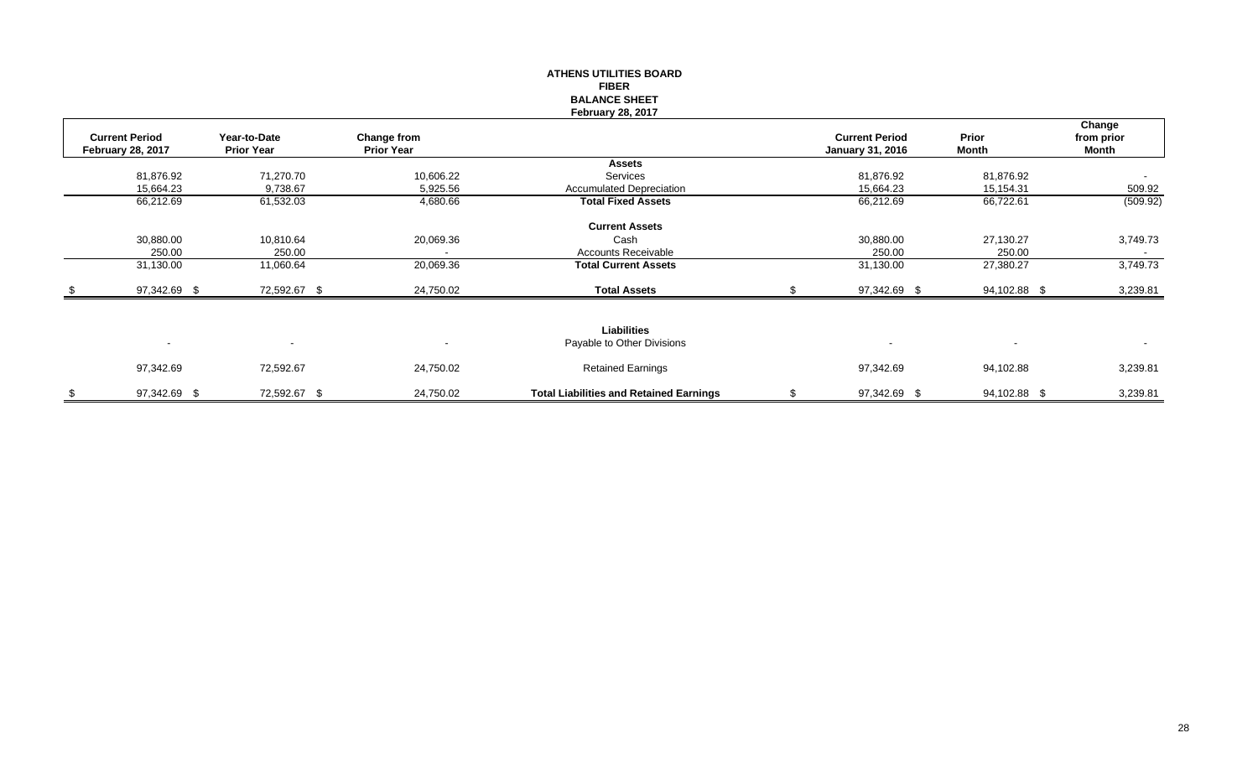|                                                   |                                   |                                  | <b>FIBER</b><br><b>BALANCE SHEET</b><br><b>February 28, 2017</b> |                                                  |                          |                               |
|---------------------------------------------------|-----------------------------------|----------------------------------|------------------------------------------------------------------|--------------------------------------------------|--------------------------|-------------------------------|
| <b>Current Period</b><br><b>February 28, 2017</b> | Year-to-Date<br><b>Prior Year</b> | Change from<br><b>Prior Year</b> |                                                                  | <b>Current Period</b><br><b>January 31, 2016</b> | Prior<br><b>Month</b>    | Change<br>from prior<br>Month |
|                                                   |                                   |                                  | <b>Assets</b>                                                    |                                                  |                          |                               |
| 81,876.92                                         | 71,270.70                         | 10,606.22                        | Services                                                         | 81,876.92                                        | 81,876.92                | $\overline{\phantom{a}}$      |
| 15,664.23                                         | 9,738.67                          | 5,925.56                         | <b>Accumulated Depreciation</b>                                  | 15,664.23                                        | 15,154.31                | 509.92                        |
| 66,212.69                                         | 61,532.03                         | 4,680.66                         | <b>Total Fixed Assets</b>                                        | 66,212.69                                        | 66,722.61                | (509.92)                      |
|                                                   |                                   |                                  | <b>Current Assets</b>                                            |                                                  |                          |                               |
| 30,880.00                                         | 10,810.64                         | 20,069.36                        | Cash                                                             | 30,880.00                                        | 27,130.27                | 3,749.73                      |
| 250.00                                            | 250.00                            | $\overline{\phantom{a}}$         | <b>Accounts Receivable</b>                                       | 250.00                                           | 250.00                   | $\blacksquare$                |
| 31,130.00                                         | 11,060.64                         | 20,069.36                        | <b>Total Current Assets</b>                                      | 31,130.00                                        | 27,380.27                | 3,749.73                      |
| 97,342.69 \$                                      | 72,592.67 \$                      | 24,750.02                        | <b>Total Assets</b>                                              | 97,342.69 \$                                     | 94,102.88 \$             | 3,239.81                      |
|                                                   |                                   |                                  |                                                                  |                                                  |                          |                               |
|                                                   |                                   |                                  | <b>Liabilities</b>                                               |                                                  |                          |                               |
| $\blacksquare$                                    | $\blacksquare$                    | $\overline{\phantom{a}}$         | Payable to Other Divisions                                       | $\overline{\phantom{a}}$                         | $\overline{\phantom{a}}$ | $\sim$                        |
| 97,342.69                                         | 72,592.67                         | 24,750.02                        | <b>Retained Earnings</b>                                         | 97,342.69                                        | 94,102.88                | 3,239.81                      |
| \$<br>97,342.69 \$                                | 72,592.67 \$                      | 24,750.02                        | <b>Total Liabilities and Retained Earnings</b>                   | \$<br>97,342.69 \$                               | 94,102.88 \$             | 3,239.81                      |

**ATHENS UTILITIES BOARD**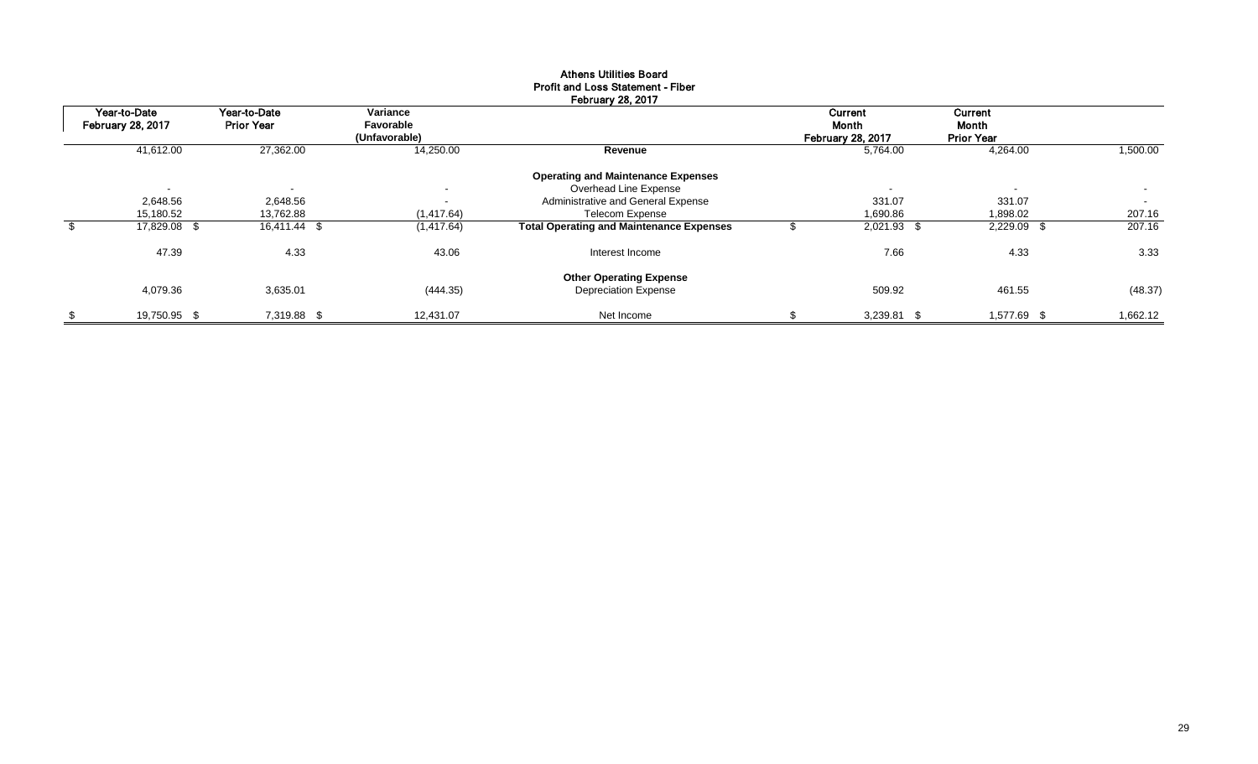|                                          |                                   |                       | <b>February 28, 2017</b>                        |                          |                   |          |
|------------------------------------------|-----------------------------------|-----------------------|-------------------------------------------------|--------------------------|-------------------|----------|
| Year-to-Date<br><b>February 28, 2017</b> | Year-to-Date<br><b>Prior Year</b> | Variance<br>Favorable |                                                 | Current<br>Month         | Current<br>Month  |          |
|                                          |                                   | (Unfavorable)         |                                                 | <b>February 28, 2017</b> | <b>Prior Year</b> |          |
| 41,612.00                                | 27,362.00                         | 14,250.00             | Revenue                                         | 5,764.00                 | 4,264.00          | 1,500.00 |
|                                          |                                   |                       | <b>Operating and Maintenance Expenses</b>       |                          |                   |          |
| $\sim$                                   |                                   | $\blacksquare$        | Overhead Line Expense                           | $\overline{\phantom{a}}$ | $\sim$            | $\sim$   |
| 2,648.56                                 | 2,648.56                          | $\blacksquare$        | Administrative and General Expense              | 331.07                   | 331.07            | $\sim$   |
| 15,180.52                                | 13,762.88                         | (1, 417.64)           | <b>Telecom Expense</b>                          | 1,690.86                 | 1,898.02          | 207.16   |
| 17,829.08 \$                             | 16,411.44 \$                      | (1, 417.64)           | <b>Total Operating and Maintenance Expenses</b> | 2,021.93 \$              | 2,229.09 \$       | 207.16   |
| 47.39                                    | 4.33                              | 43.06                 | Interest Income                                 | 7.66                     | 4.33              | 3.33     |
|                                          |                                   |                       | <b>Other Operating Expense</b>                  |                          |                   |          |
| 4,079.36                                 | 3,635.01                          | (444.35)              | <b>Depreciation Expense</b>                     | 509.92                   | 461.55            | (48.37)  |
| 19,750.95 \$                             | 7,319.88 \$                       | 12,431.07             | Net Income                                      | 3,239.81 \$              | 1,577.69 \$       | 1,662.12 |

# Athens Utilities Board Profit and Loss Statement - Fiber